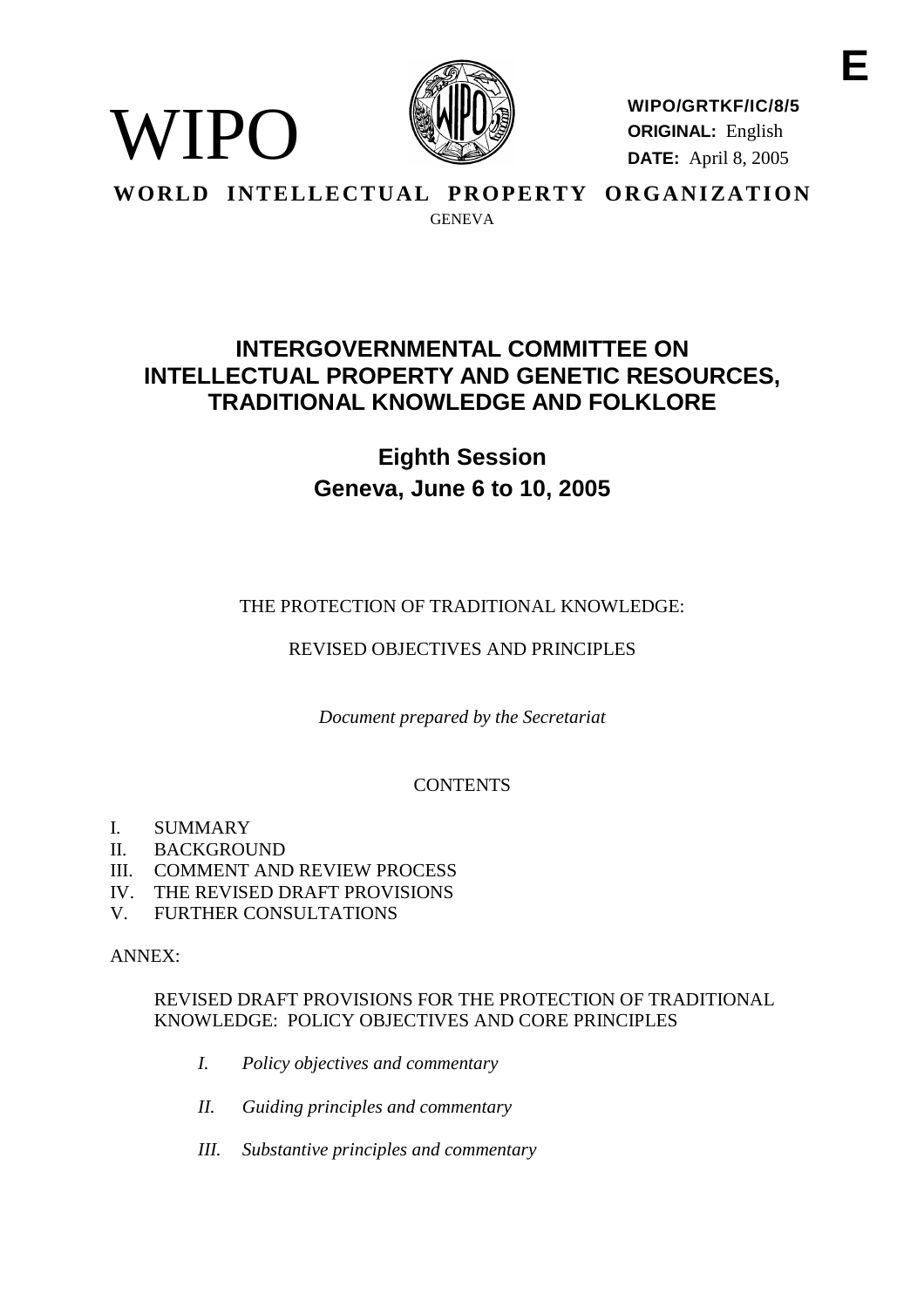

**WIPO/GRTKF/IC/8/5 ORIGINAL:** English **DATE:** April 8, 2005

WORLD INTELLECTUAL PROPERTY ORGANIZATION **GENEVA** 

# **INTERGOVERNMENTAL COMMITTEE ON INTELLECTUAL PROPERTY AND GENETIC RESOURCES, TRADITIONAL KNOWLEDGE AND FOLKLORE**

# **Eighth Session Geneva, June 6 to 10, 2005**

# THE PROTECTION OF TRADITIONAL KNOWLEDGE:

# REVISED OBJECTIVES AND PRINCIPLES

*Document prepared by the Secretariat*

# **CONTENTS**

- I. SUMMARY
- II. BACKGROUND

WIPO

- III. COMMENT AND REVIEW PROCESS
- IV. THE REVISED DRAFT PROVISIONS
- V. FURTHER CONSULTATIONS

ANNEX:

# REVISED DRAFT PROVISIONS FOR THE PROTECTION OF TRADITIONAL KNOWLEDGE: POLICY OBJECTIVES AND CORE PRINCIPLES

- *I. Policy objectives and commentary*
- *II. Guiding principles and commentary*
- *III. Substantive principles and commentary*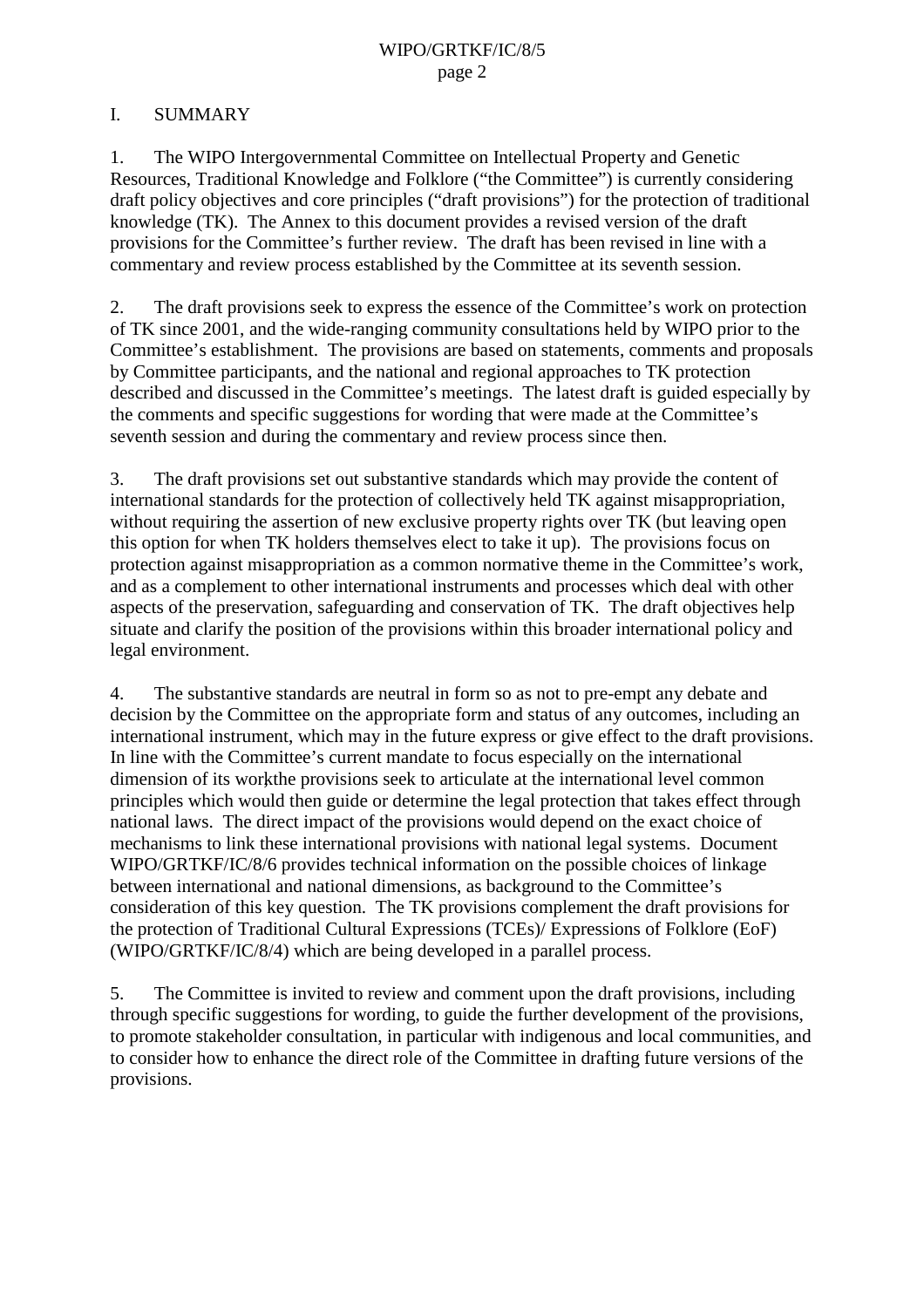### I. SUMMARY

1. The WIPO Intergovernmental Committee on Intellectual Property and Genetic Resources, Traditional Knowledge and Folklore ("the Committee") is currently considering draft policy objectives and core principles ("draft provisions") for the protection of traditional knowledge (TK). The Annex to this document provides a revised version of the draft provisions for the Committee's further review. The draft has been revised in line with a commentary and review process established by the Committee at its seventh session.

2. The draft provisions seek to express the essence of the Committee's work on protection of TK since 2001, and the wide-ranging community consultations held by WIPO prior to the Committee's establishment. The provisions are based on statements, comments and proposals by Committee participants, and the national and regional approaches to TK protection described and discussed in the Committee's meetings. The latest draft is guided especially by the comments and specific suggestions for wording that were made at the Committee's seventh session and during the commentary and review process since then.

3. The draft provisions set out substantive standards which may provide the content of international standards for the protection of collectively held TK against misappropriation, without requiring the assertion of new exclusive property rights over TK (but leaving open this option for when TK holders themselves elect to take it up). The provisions focus on protection against misappropriation as a common normative theme in the Committee's work, and as a complement to other international instruments and processes which deal with other aspects of the preservation, safeguarding and conservation of TK. The draft objectives help situate and clarify the position of the provisions within this broader international policy and legal environment.

4. The substantive standards are neutral in form so as not to pre-empt any debate and decision by the Committee on the appropriate form and status of any outcomes, including an international instrument, which may in the future express or give effect to the draft provisions. In line with the Committee's current mandate to focus especially on the international dimension of its work the provisions seek to articulate at the international level common principles which would then guide or determine the legal protection that takes effect through national laws. The direct impact of the provisions would depend on the exact choice of mechanisms to link these international provisions with national legal systems. Document WIPO/GRTKF/IC/8/6 provides technical information on the possible choices of linkage between international and national dimensions, as background to the Committee's consideration of this key question. The TK provisions complement the draft provisions for the protection of Traditional Cultural Expressions (TCEs)/ Expressions of Folklore (EoF) (WIPO/GRTKF/IC/8/4) which are being developed in a parallel process.

5. The Committee is invited to review and comment upon the draft provisions, including through specific suggestions for wording, to guide the further development of the provisions, to promote stakeholder consultation, in particular with indigenous and local communities, and to consider how to enhance the direct role of the Committee in drafting future versions of the provisions.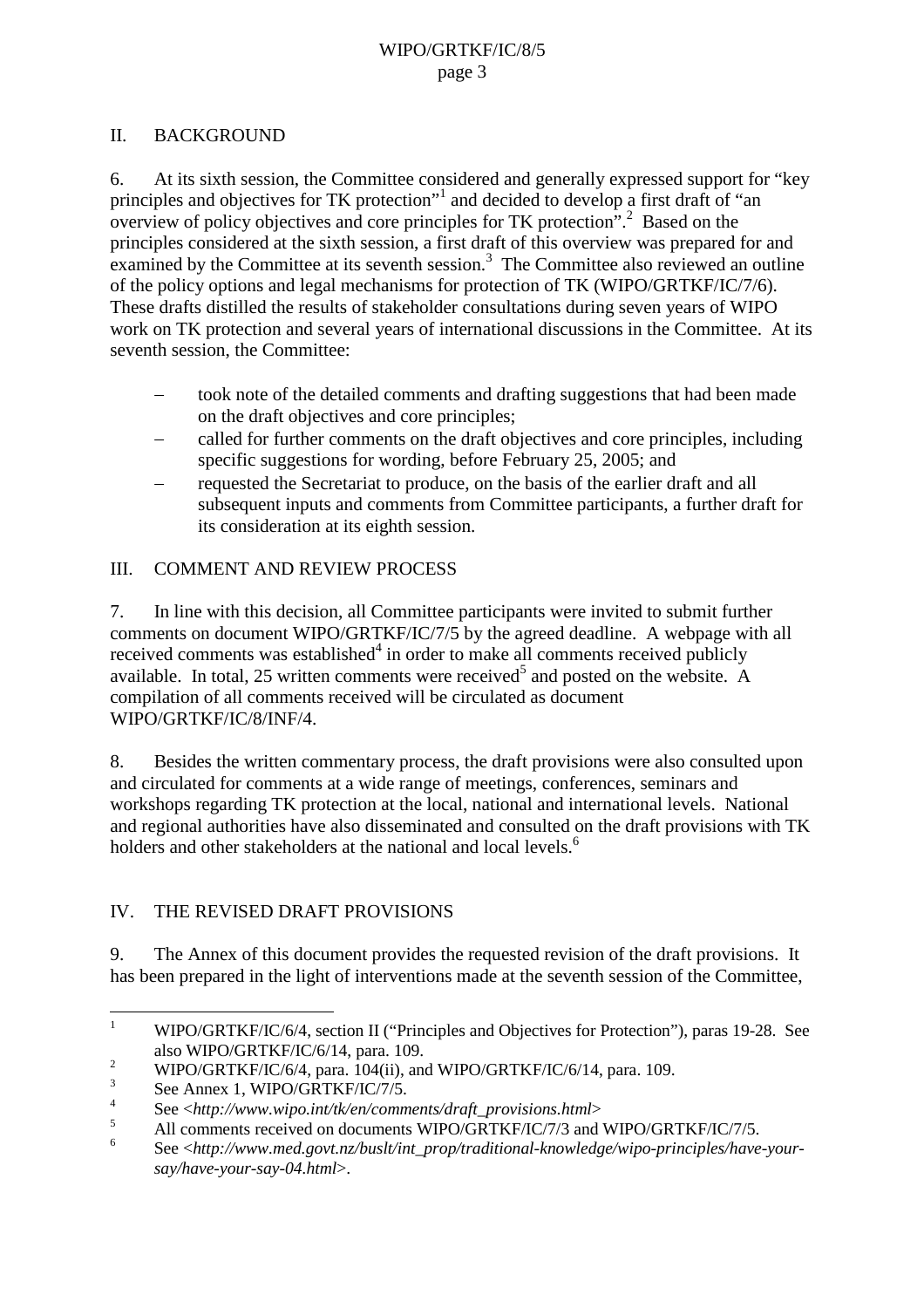### II. BACKGROUND

6. At its sixth session, the Committee considered and generally expressed support for "key principles and objectives for TK protection"<sup>1</sup> and decided to develop a first draft of "an overview of policy objectives and core principles for TK protection".<sup>2</sup> Based on the principles considered at the sixth session, a first draft of this overview was prepared for and examined by the Committee at its seventh session.<sup>3</sup> The Committee also reviewed an outline of the policy options and legal mechanisms for protection of TK (WIPO/GRTKF/IC/7/6). These drafts distilled the results of stakeholder consultations during seven years of WIPO work on TK protection and several years of international discussions in the Committee. At its seventh session, the Committee:

- took note of the detailed comments and drafting suggestions that had been made on the draft objectives and core principles;
- called for further comments on the draft objectives and core principles, including specific suggestions for wording, before February 25, 2005; and
- requested the Secretariat to produce, on the basis of the earlier draft and all subsequent inputs and comments from Committee participants, a further draft for its consideration at its eighth session.

# III. COMMENT AND REVIEW PROCESS

7. In line with this decision, all Committee participants were invited to submit further comments on document WIPO/GRTKF/IC/7/5 by the agreed deadline. A webpage with all received comments was established<sup>4</sup> in order to make all comments received publicly available. In total, 25 written comments were received<sup>5</sup> and posted on the website. A compilation of all comments received will be circulated as document WIPO/GRTKF/IC/8/INF/4.

8. Besides the written commentary process, the draft provisions were also consulted upon and circulated for comments at a wide range of meetings, conferences, seminars and workshops regarding TK protection at the local, national and international levels. National and regional authorities have also disseminated and consulted on the draft provisions with TK holders and other stakeholders at the national and local levels.<sup>6</sup>

# IV. THE REVISED DRAFT PROVISIONS

9. The Annex of this document provides the requested revision of the draft provisions. It has been prepared in the light of interventions made at the seventh session of the Committee,

<sup>&</sup>lt;sup>1</sup> WIPO/GRTKF/IC/6/4, section II ("Principles and Objectives for Protection"), paras 19-28. See also WIPO/GRTKF/IC/6/14, para. 109.

<sup>2</sup> WIPO/GRTKF/IC/6/4, para. 104(ii), and WIPO/GRTKF/IC/6/14, para. 109.

 $\frac{3}{4}$  See Annex 1, WIPO/GRTKF/IC/7/5.

<sup>4</sup> See <*http://www.wipo.int/tk/en/comments/draft\_provisions.html*>

<sup>&</sup>lt;sup>5</sup> All comments received on documents WIPO/GRTKF/IC/7/3 and WIPO/GRTKF/IC/7/5.

See <*http://www.med.govt.nz/buslt/int\_prop/traditional-knowledge/wipo-principles/have-yoursay/have-your-say-04.html*>.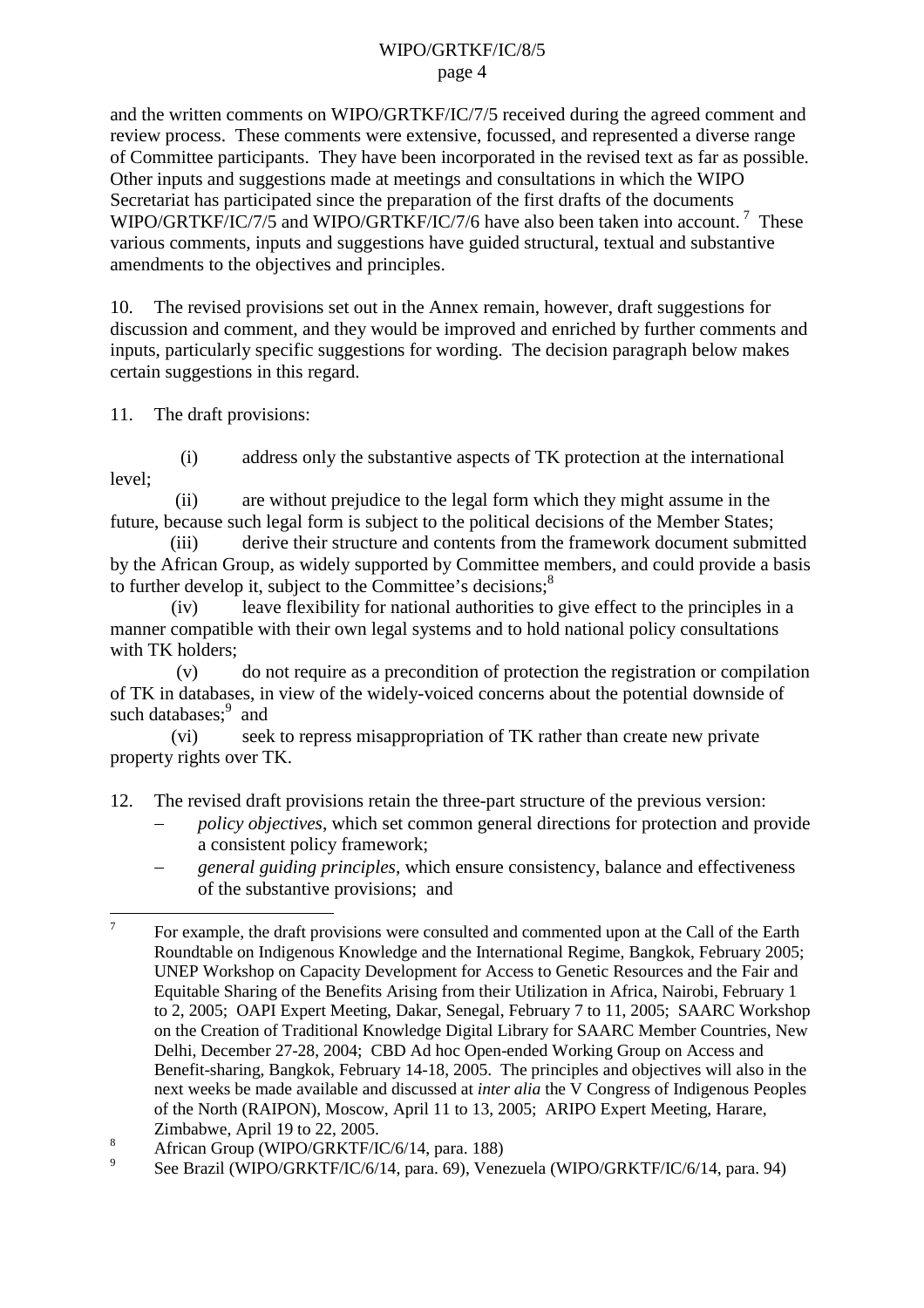#### WIPO/GRTKF/IC/8/5 page 4

and the written comments on WIPO/GRTKF/IC/7/5 received during the agreed comment and review process. These comments were extensive, focussed, and represented a diverse range of Committee participants. They have been incorporated in the revised text as far as possible. Other inputs and suggestions made at meetings and consultations in which the WIPO Secretariat has participated since the preparation of the first drafts of the documents WIPO/GRTKF/IC/7/5 and WIPO/GRTKF/IC/7/6 have also been taken into account.<sup>7</sup> These various comments, inputs and suggestions have guided structural, textual and substantive amendments to the objectives and principles.

10. The revised provisions set out in the Annex remain, however, draft suggestions for discussion and comment, and they would be improved and enriched by further comments and inputs, particularly specific suggestions for wording. The decision paragraph below makes certain suggestions in this regard.

11. The draft provisions:

(i) address only the substantive aspects of TK protection at the international level;

(ii) are without prejudice to the legal form which they might assume in the future, because such legal form is subject to the political decisions of the Member States;

(iii) derive their structure and contents from the framework document submitted by the African Group, as widely supported by Committee members, and could provide a basis to further develop it, subject to the Committee's decisions;<sup>8</sup>

(iv) leave flexibility for national authorities to give effect to the principles in a manner compatible with their own legal systems and to hold national policy consultations with TK holders;

(v) do not require as a precondition of protection the registration or compilation of TK in databases, in view of the widely-voiced concerns about the potential downside of such databases;<sup>9</sup> and

(vi) seek to repress misappropriation of TK rather than create new private property rights over TK.

12. The revised draft provisions retain the three-part structure of the previous version:

- *policy objectives*, which set common general directions for protection and provide a consistent policy framework;
- *general guiding principles*, which ensure consistency, balance and effectiveness of the substantive provisions; and

 $7\degree$  For example, the draft provisions were consulted and commented upon at the Call of the Earth Roundtable on Indigenous Knowledge and the International Regime, Bangkok, February 2005; UNEP Workshop on Capacity Development for Access to Genetic Resources and the Fair and Equitable Sharing of the Benefits Arising from their Utilization in Africa, Nairobi, February 1 to 2, 2005; OAPI Expert Meeting, Dakar, Senegal, February 7 to 11, 2005; SAARC Workshop on the Creation of Traditional Knowledge Digital Library for SAARC Member Countries, New Delhi, December 27-28, 2004; CBD Ad hoc Open-ended Working Group on Access and Benefit-sharing, Bangkok, February 14-18, 2005. The principles and objectives will also in the next weeks be made available and discussed at *inter alia* the V Congress of Indigenous Peoples of the North (RAIPON), Moscow, April 11 to 13, 2005; ARIPO Expert Meeting, Harare, Zimbabwe, April 19 to 22, 2005.

 $\frac{8}{9}$  African Group (WIPO/GRKTF/IC/6/14, para. 188)

See Brazil (WIPO/GRKTF/IC/6/14, para. 69), Venezuela (WIPO/GRKTF/IC/6/14, para. 94)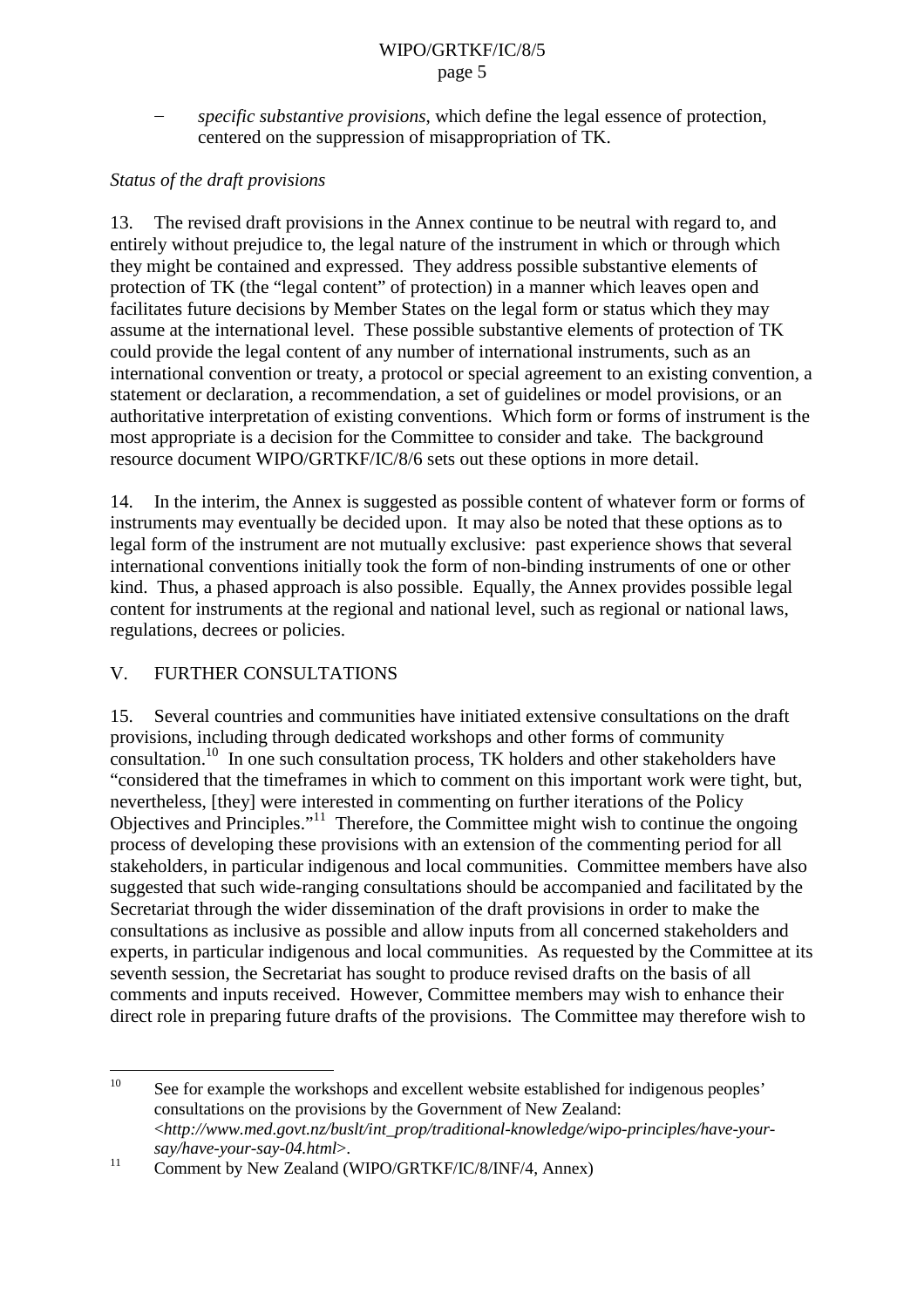*specific substantive provisions*, which define the legal essence of protection, centered on the suppression of misappropriation of TK.

## *Status of the draft provisions*

13. The revised draft provisions in the Annex continue to be neutral with regard to, and entirely without prejudice to, the legal nature of the instrument in which or through which they might be contained and expressed. They address possible substantive elements of protection of TK (the "legal content" of protection) in a manner which leaves open and facilitates future decisions by Member States on the legal form or status which they may assume at the international level. These possible substantive elements of protection of TK could provide the legal content of any number of international instruments, such as an international convention or treaty, a protocol or special agreement to an existing convention, a statement or declaration, a recommendation, a set of guidelines or model provisions, or an authoritative interpretation of existing conventions. Which form or forms of instrument is the most appropriate is a decision for the Committee to consider and take. The background resource document WIPO/GRTKF/IC/8/6 sets out these options in more detail.

14. In the interim, the Annex is suggested as possible content of whatever form or forms of instruments may eventually be decided upon. It may also be noted that these options as to legal form of the instrument are not mutually exclusive: past experience shows that several international conventions initially took the form of non-binding instruments of one or other kind. Thus, a phased approach is also possible. Equally, the Annex provides possible legal content for instruments at the regional and national level, such as regional or national laws, regulations, decrees or policies.

# V. FURTHER CONSULTATIONS

15. Several countries and communities have initiated extensive consultations on the draft provisions, including through dedicated workshops and other forms of community consultation.<sup>10</sup> In one such consultation process, TK holders and other stakeholders have "considered that the timeframes in which to comment on this important work were tight, but, nevertheless, [they] were interested in commenting on further iterations of the Policy Objectives and Principles."11 Therefore, the Committee might wish to continue the ongoing process of developing these provisions with an extension of the commenting period for all stakeholders, in particular indigenous and local communities. Committee members have also suggested that such wide-ranging consultations should be accompanied and facilitated by the Secretariat through the wider dissemination of the draft provisions in order to make the consultations as inclusive as possible and allow inputs from all concerned stakeholders and experts, in particular indigenous and local communities. As requested by the Committee at its seventh session, the Secretariat has sought to produce revised drafts on the basis of all comments and inputs received. However, Committee members may wish to enhance their direct role in preparing future drafts of the provisions. The Committee may therefore wish to

 $10$  See for example the workshops and excellent website established for indigenous peoples' consultations on the provisions by the Government of New Zealand: <*http://www.med.govt.nz/buslt/int\_prop/traditional-knowledge/wipo-principles/have-yoursay/have-your-say-04.html*>.

<sup>&</sup>lt;sup>11</sup> Comment by New Zealand (WIPO/GRTKF/IC/8/INF/4, Annex)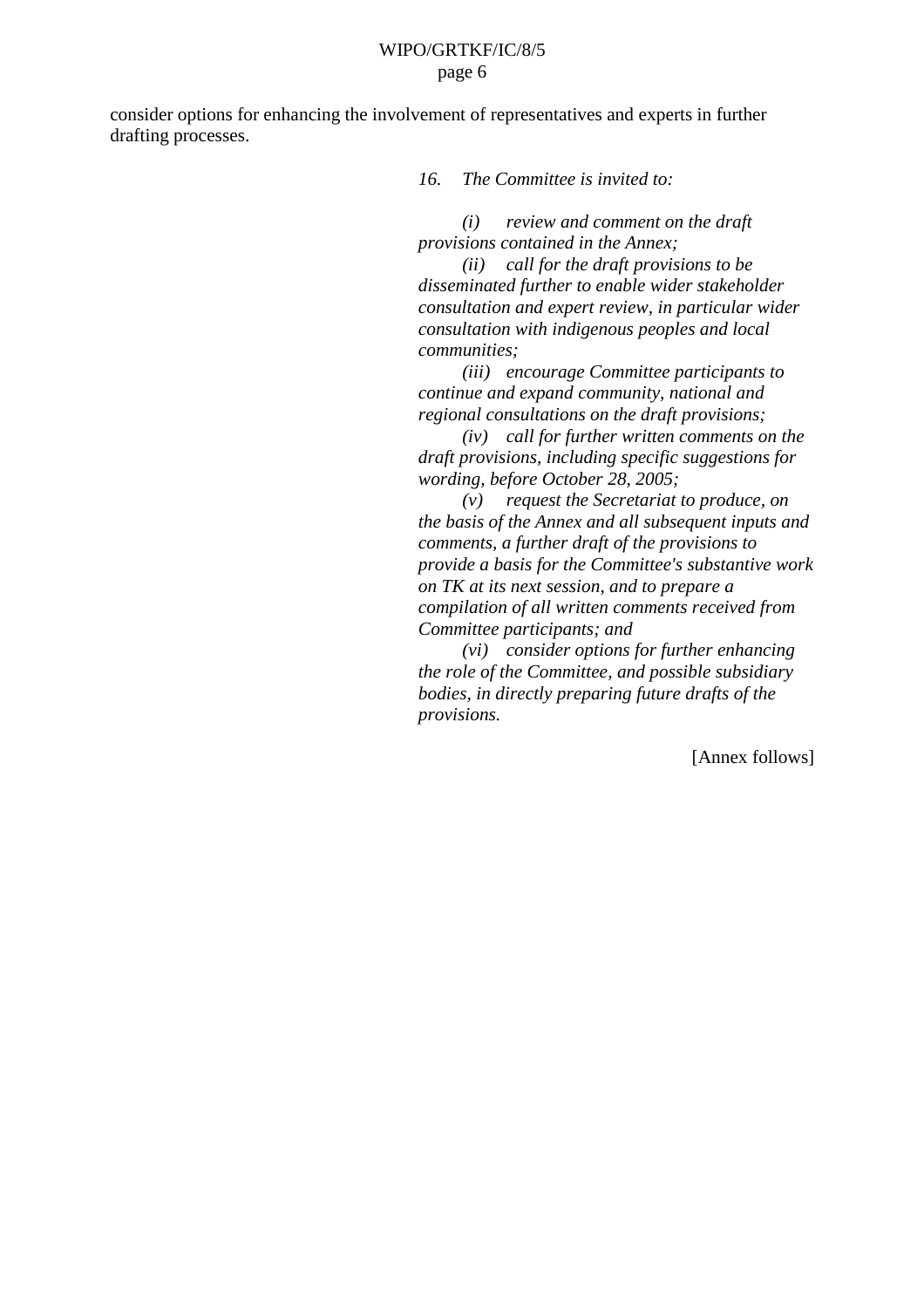#### WIPO/GRTKF/IC/8/5 page 6

consider options for enhancing the involvement of representatives and experts in further drafting processes.

*16. The Committee is invited to:* 

*(i) review and comment on the draft provisions contained in the Annex;*

*(ii) call for the draft provisions to be disseminated further to enable wider stakeholder consultation and expert review, in particular wider consultation with indigenous peoples and local communities;*

*(iii) encourage Committee participants to continue and expand community, national and regional consultations on the draft provisions;*

*(iv) call for further written comments on the draft provisions, including specific suggestions for wording, before October 28, 2005;* 

*(v) request the Secretariat to produce, on the basis of the Annex and all subsequent inputs and comments, a further draft of the provisions to provide a basis for the Committee's substantive work on TK at its next session, and to prepare a compilation of all written comments received from Committee participants; and*

*(vi) consider options for further enhancing the role of the Committee, and possible subsidiary bodies, in directly preparing future drafts of the provisions.*

[Annex follows]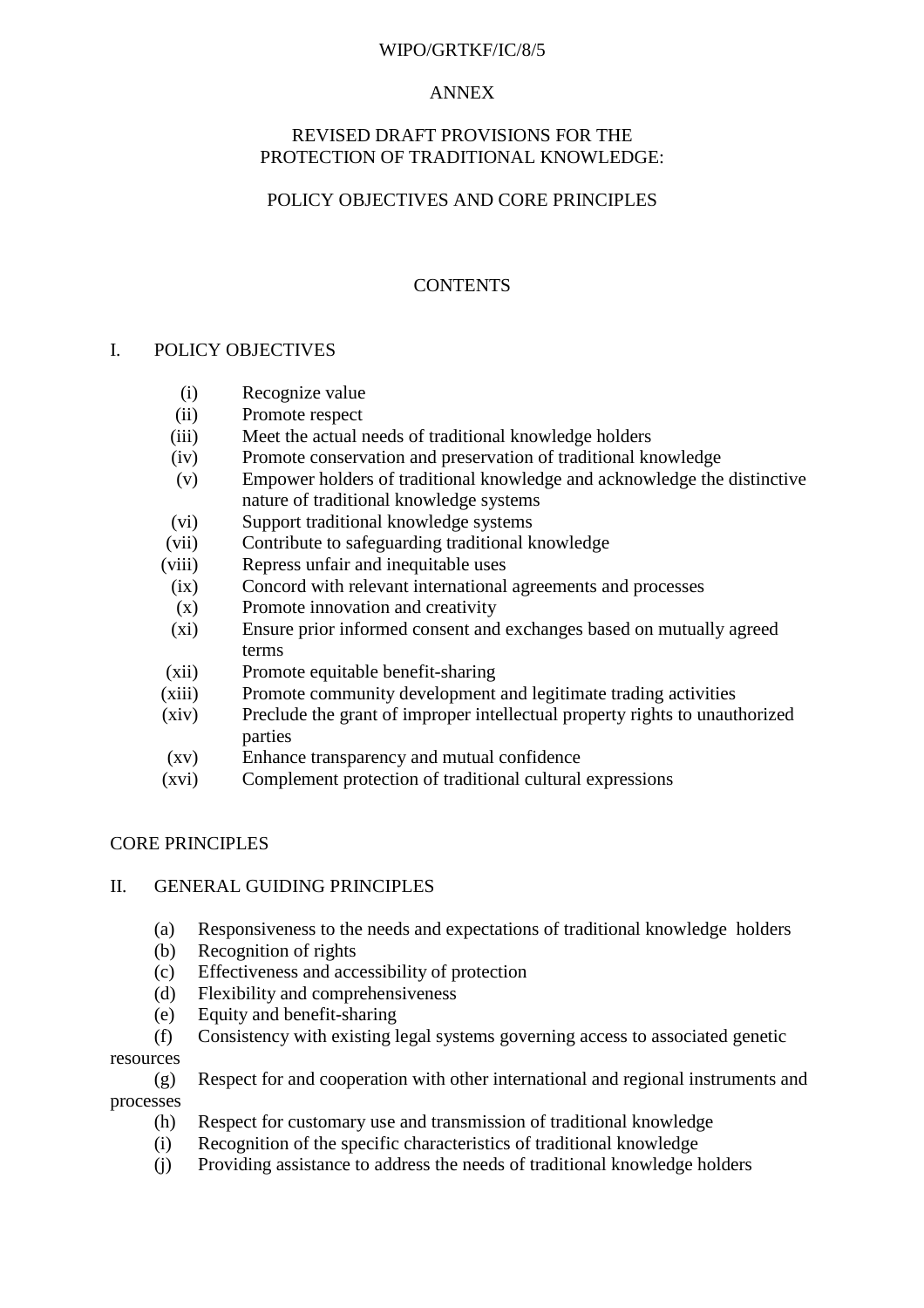### WIPO/GRTKF/IC/8/5

### ANNEX

#### REVISED DRAFT PROVISIONS FOR THE PROTECTION OF TRADITIONAL KNOWLEDGE:

# POLICY OBJECTIVES AND CORE PRINCIPLES

## **CONTENTS**

### I. POLICY OBJECTIVES

- (i) Recognize value
- (ii) Promote respect
- (iii) Meet the actual needs of traditional knowledge holders
- (iv) Promote conservation and preservation of traditional knowledge
- (v) Empower holders of traditional knowledge and acknowledge the distinctive nature of traditional knowledge systems
- (vi) Support traditional knowledge systems
- (vii) Contribute to safeguarding traditional knowledge
- (viii) Repress unfair and inequitable uses
- (ix) Concord with relevant international agreements and processes
- (x) Promote innovation and creativity
- (xi) Ensure prior informed consent and exchanges based on mutually agreed terms
- (xii) Promote equitable benefit-sharing
- (xiii) Promote community development and legitimate trading activities
- (xiv) Preclude the grant of improper intellectual property rights to unauthorized parties
- (xv) Enhance transparency and mutual confidence
- (xvi) Complement protection of traditional cultural expressions

### CORE PRINCIPLES

### II. GENERAL GUIDING PRINCIPLES

- (a) Responsiveness to the needs and expectations of traditional knowledge holders
- (b) Recognition of rights
- (c) Effectiveness and accessibility of protection
- (d) Flexibility and comprehensiveness
- (e) Equity and benefit-sharing
- (f) Consistency with existing legal systems governing access to associated genetic

resources

- (g) Respect for and cooperation with other international and regional instruments and processes
	- (h) Respect for customary use and transmission of traditional knowledge
	- (i) Recognition of the specific characteristics of traditional knowledge
	- (j) Providing assistance to address the needs of traditional knowledge holders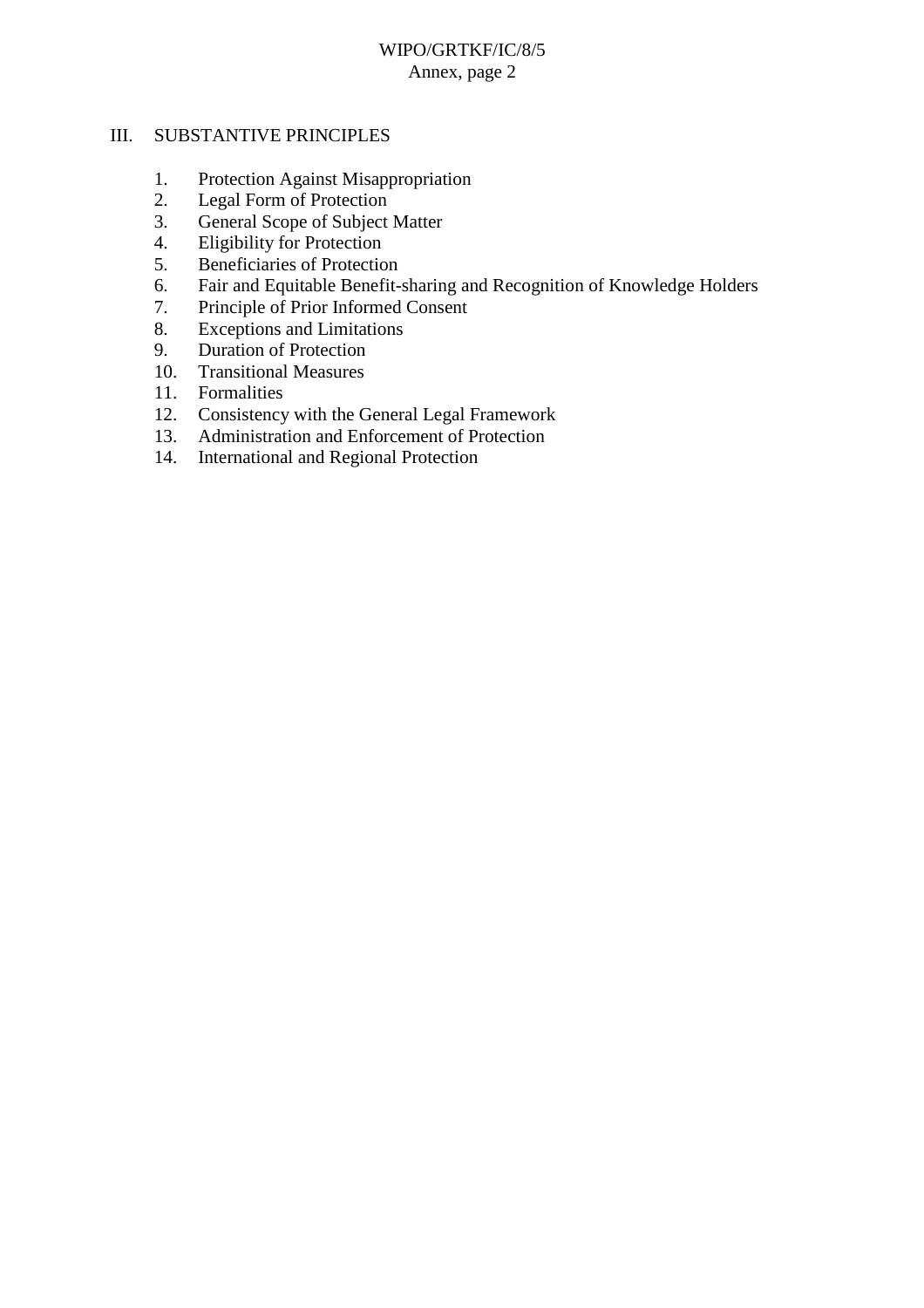#### III. SUBSTANTIVE PRINCIPLES

- 1. Protection Against Misappropriation<br>2. Legal Form of Protection
- Legal Form of Protection
- 3. General Scope of Subject Matter
- 4. Eligibility for Protection
- 5. Beneficiaries of Protection
- 6. Fair and Equitable Benefit-sharing and Recognition of Knowledge Holders
- 7. Principle of Prior Informed Consent
- 8. Exceptions and Limitations
- 9. Duration of Protection
- 10. Transitional Measures
- 11. Formalities
- 12. Consistency with the General Legal Framework
- 13. Administration and Enforcement of Protection
- 14. International and Regional Protection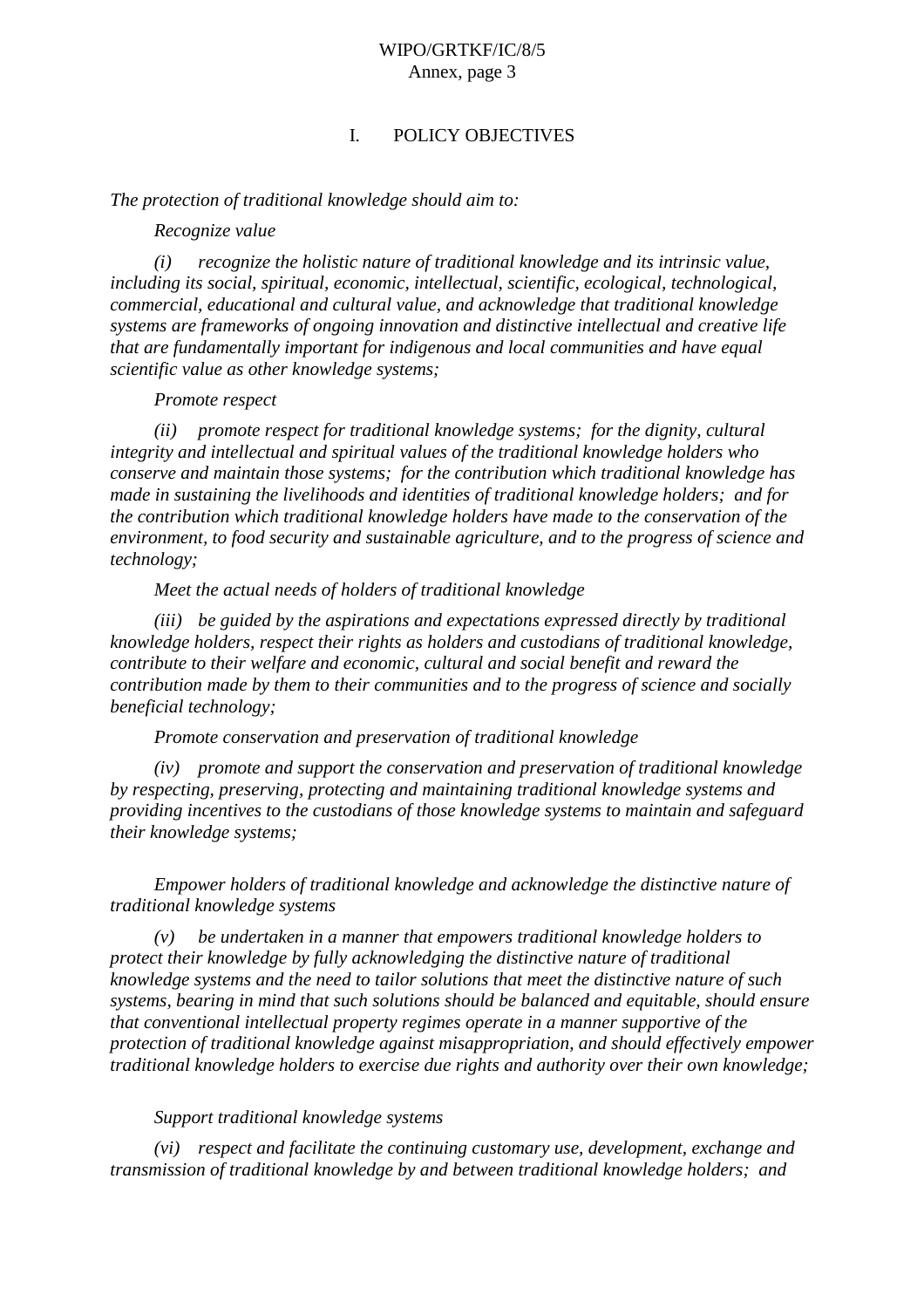#### I. POLICY OBJECTIVES

#### *The protection of traditional knowledge should aim to:*

#### *Recognize value*

*(i) recognize the holistic nature of traditional knowledge and its intrinsic value, including its social, spiritual, economic, intellectual, scientific, ecological, technological, commercial, educational and cultural value, and acknowledge that traditional knowledge systems are frameworks of ongoing innovation and distinctive intellectual and creative life that are fundamentally important for indigenous and local communities and have equal scientific value as other knowledge systems;*

#### *Promote respect*

*(ii) promote respect for traditional knowledge systems; for the dignity, cultural integrity and intellectual and spiritual values of the traditional knowledge holders who conserve and maintain those systems; for the contribution which traditional knowledge has made in sustaining the livelihoods and identities of traditional knowledge holders; and for the contribution which traditional knowledge holders have made to the conservation of the environment, to food security and sustainable agriculture, and to the progress of science and technology;*

#### *Meet the actual needs of holders of traditional knowledge*

*(iii) be guided by the aspirations and expectations expressed directly by traditional knowledge holders, respect their rights as holders and custodians of traditional knowledge, contribute to their welfare and economic, cultural and social benefit and reward the contribution made by them to their communities and to the progress of science and socially beneficial technology;*

#### *Promote conservation and preservation of traditional knowledge*

*(iv) promote and support the conservation and preservation of traditional knowledge by respecting, preserving, protecting and maintaining traditional knowledge systems and providing incentives to the custodians of those knowledge systems to maintain and safeguard their knowledge systems;*

*Empower holders of traditional knowledge and acknowledge the distinctive nature of traditional knowledge systems*

*(v) be undertaken in a manner that empowers traditional knowledge holders to protect their knowledge by fully acknowledging the distinctive nature of traditional knowledge systems and the need to tailor solutions that meet the distinctive nature of such systems, bearing in mind that such solutions should be balanced and equitable, should ensure that conventional intellectual property regimes operate in a manner supportive of the protection of traditional knowledge against misappropriation, and should effectively empower traditional knowledge holders to exercise due rights and authority over their own knowledge;*

#### *Support traditional knowledge systems*

*(vi) respect and facilitate the continuing customary use, development, exchange and transmission of traditional knowledge by and between traditional knowledge holders; and*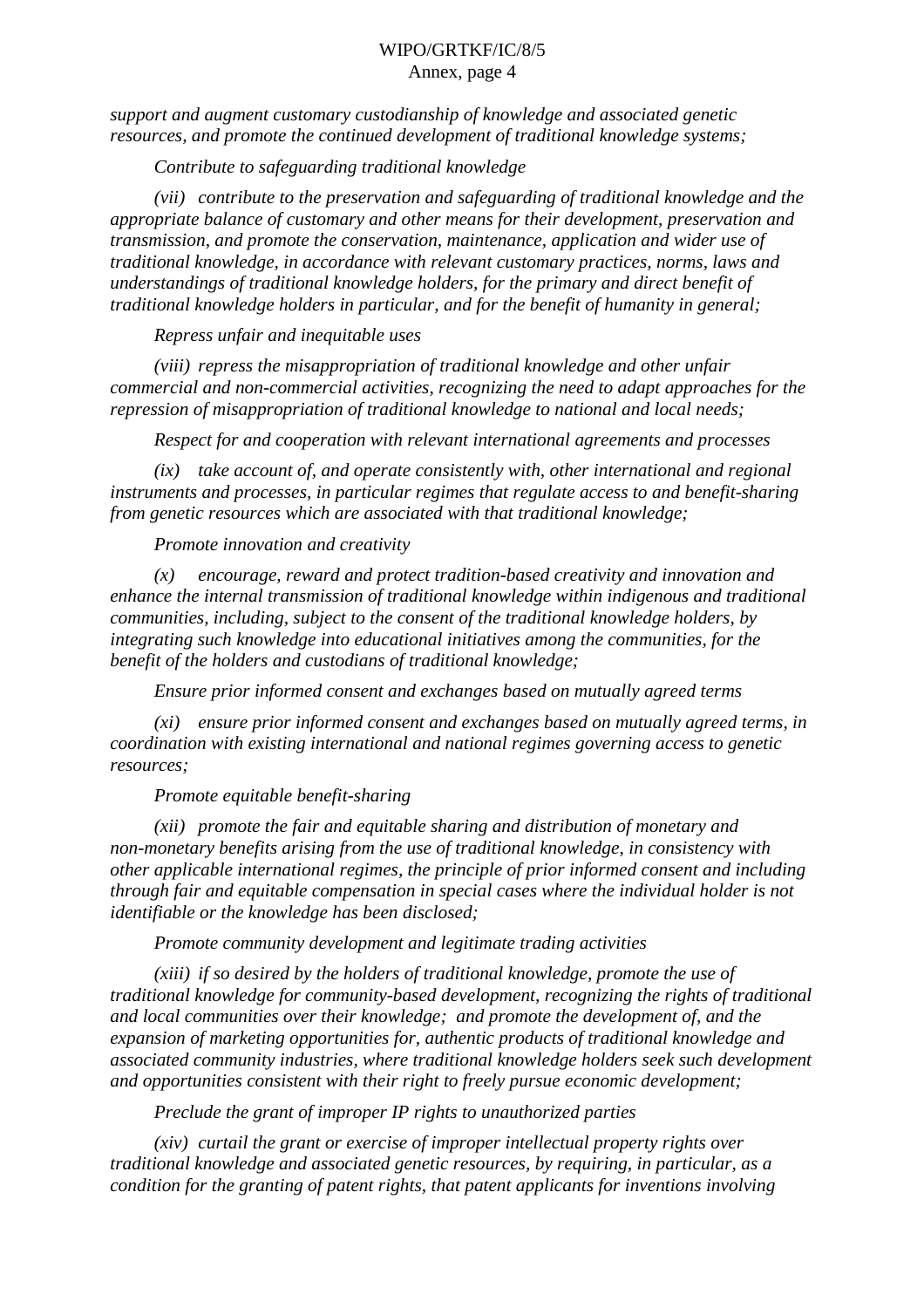*support and augment customary custodianship of knowledge and associated genetic resources, and promote the continued development of traditional knowledge systems;* 

*Contribute to safeguarding traditional knowledge*

*(vii) contribute to the preservation and safeguarding of traditional knowledge and the appropriate balance of customary and other means for their development, preservation and transmission, and promote the conservation, maintenance, application and wider use of traditional knowledge, in accordance with relevant customary practices, norms, laws and understandings of traditional knowledge holders, for the primary and direct benefit of traditional knowledge holders in particular, and for the benefit of humanity in general;*

*Repress unfair and inequitable uses*

*(viii) repress the misappropriation of traditional knowledge and other unfair commercial and non-commercial activities, recognizing the need to adapt approaches for the repression of misappropriation of traditional knowledge to national and local needs;*

*Respect for and cooperation with relevant international agreements and processes*

*(ix) take account of, and operate consistently with, other international and regional instruments and processes, in particular regimes that regulate access to and benefit-sharing from genetic resources which are associated with that traditional knowledge;*

*Promote innovation and creativity*

*(x) encourage, reward and protect tradition-based creativity and innovation and enhance the internal transmission of traditional knowledge within indigenous and traditional communities, including, subject to the consent of the traditional knowledge holders, by integrating such knowledge into educational initiatives among the communities, for the benefit of the holders and custodians of traditional knowledge;*

*Ensure prior informed consent and exchanges based on mutually agreed terms*

*(xi) ensure prior informed consent and exchanges based on mutually agreed terms, in coordination with existing international and national regimes governing access to genetic resources;*

*Promote equitable benefit-sharing*

*(xii) promote the fair and equitable sharing and distribution of monetary and non-monetary benefits arising from the use of traditional knowledge, in consistency with other applicable international regimes, the principle of prior informed consent and including through fair and equitable compensation in special cases where the individual holder is not identifiable or the knowledge has been disclosed;*

*Promote community development and legitimate trading activities*

*(xiii) if so desired by the holders of traditional knowledge, promote the use of traditional knowledge for community-based development, recognizing the rights of traditional and local communities over their knowledge; and promote the development of, and the expansion of marketing opportunities for, authentic products of traditional knowledge and associated community industries, where traditional knowledge holders seek such development and opportunities consistent with their right to freely pursue economic development;*

*Preclude the grant of improper IP rights to unauthorized parties*

*(xiv) curtail the grant or exercise of improper intellectual property rights over traditional knowledge and associated genetic resources, by requiring, in particular, as a condition for the granting of patent rights, that patent applicants for inventions involving*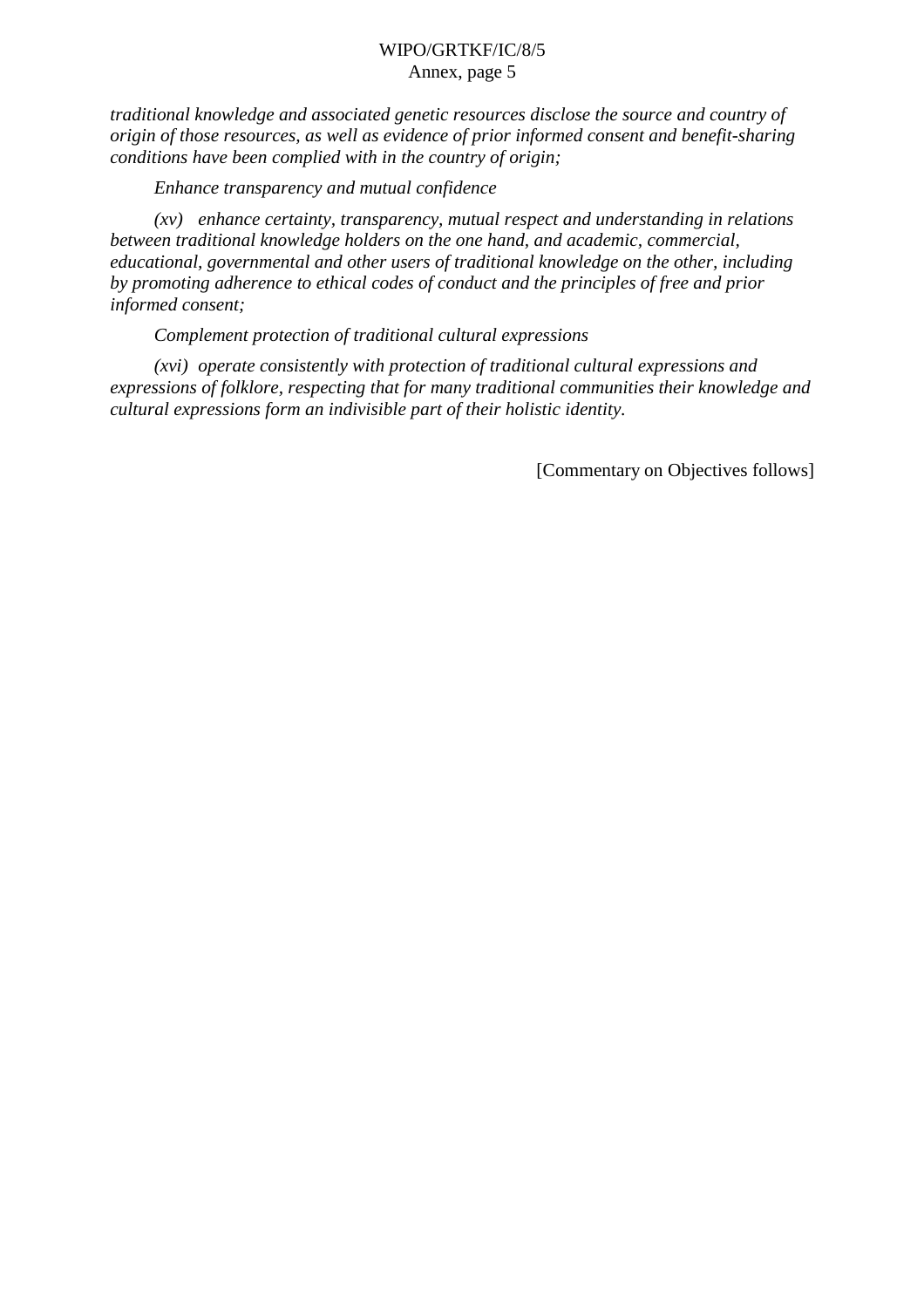*traditional knowledge and associated genetic resources disclose the source and country of origin of those resources, as well as evidence of prior informed consent and benefit-sharing conditions have been complied with in the country of origin;*

*Enhance transparency and mutual confidence*

*(xv) enhance certainty, transparency, mutual respect and understanding in relations between traditional knowledge holders on the one hand, and academic, commercial, educational, governmental and other users of traditional knowledge on the other, including by promoting adherence to ethical codes of conduct and the principles of free and prior informed consent;*

*Complement protection of traditional cultural expressions*

*(xvi) operate consistently with protection of traditional cultural expressions and expressions of folklore, respecting that for many traditional communities their knowledge and cultural expressions form an indivisible part of their holistic identity.*

[Commentary on Objectives follows]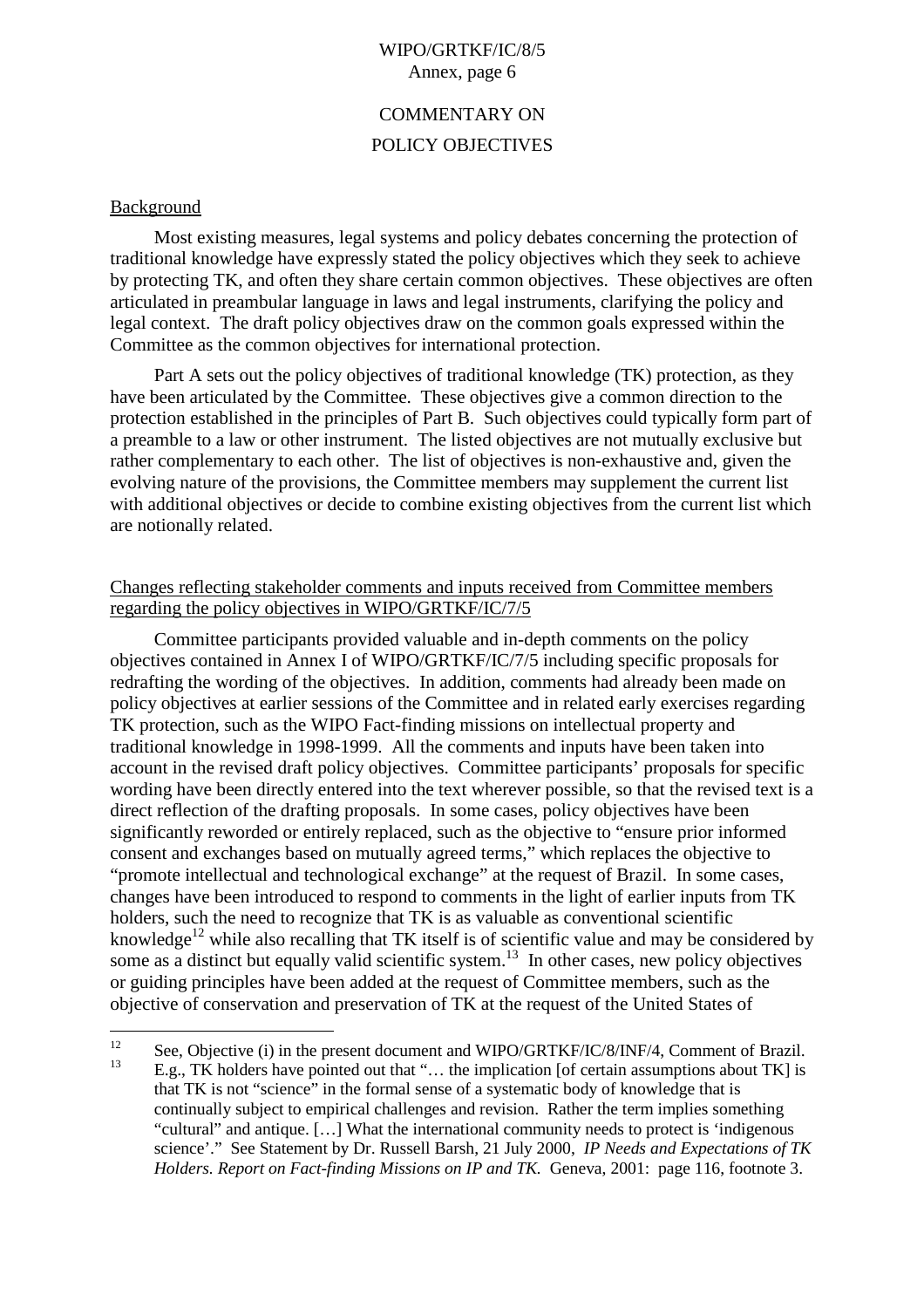# COMMENTARY ON POLICY OBJECTIVES

#### Background

Most existing measures, legal systems and policy debates concerning the protection of traditional knowledge have expressly stated the policy objectives which they seek to achieve by protecting TK, and often they share certain common objectives. These objectives are often articulated in preambular language in laws and legal instruments, clarifying the policy and legal context. The draft policy objectives draw on the common goals expressed within the Committee as the common objectives for international protection.

Part A sets out the policy objectives of traditional knowledge (TK) protection, as they have been articulated by the Committee. These objectives give a common direction to the protection established in the principles of Part B. Such objectives could typically form part of a preamble to a law or other instrument. The listed objectives are not mutually exclusive but rather complementary to each other. The list of objectives is non-exhaustive and, given the evolving nature of the provisions, the Committee members may supplement the current list with additional objectives or decide to combine existing objectives from the current list which are notionally related.

#### Changes reflecting stakeholder comments and inputs received from Committee members regarding the policy objectives in WIPO/GRTKF/IC/7/5

Committee participants provided valuable and in-depth comments on the policy objectives contained in Annex I of WIPO/GRTKF/IC/7/5 including specific proposals for redrafting the wording of the objectives. In addition, comments had already been made on policy objectives at earlier sessions of the Committee and in related early exercises regarding TK protection, such as the WIPO Fact-finding missions on intellectual property and traditional knowledge in 1998-1999. All the comments and inputs have been taken into account in the revised draft policy objectives. Committee participants' proposals for specific wording have been directly entered into the text wherever possible, so that the revised text is a direct reflection of the drafting proposals. In some cases, policy objectives have been significantly reworded or entirely replaced, such as the objective to "ensure prior informed consent and exchanges based on mutually agreed terms," which replaces the objective to "promote intellectual and technological exchange" at the request of Brazil. In some cases, changes have been introduced to respond to comments in the light of earlier inputs from TK holders, such the need to recognize that TK is as valuable as conventional scientific knowledge<sup>12</sup> while also recalling that TK itself is of scientific value and may be considered by some as a distinct but equally valid scientific system.<sup>13</sup> In other cases, new policy objectives or guiding principles have been added at the request of Committee members, such as the objective of conservation and preservation of TK at the request of the United States of

<sup>&</sup>lt;sup>12</sup> See, Objective (i) in the present document and WIPO/GRTKF/IC/8/INF/4, Comment of Brazil.<br><sup>13</sup> E.e., TK haldars have nainted aut that "the invaligation left earthing assumptions about TKL is E.g., TK holders have pointed out that "... the implication [of certain assumptions about TK] is that TK is not "science" in the formal sense of a systematic body of knowledge that is continually subject to empirical challenges and revision. Rather the term implies something "cultural" and antique. […] What the international community needs to protect is 'indigenous science'." See Statement by Dr. Russell Barsh, 21 July 2000, *IP Needs and Expectations of TK Holders. Report on Fact-finding Missions on IP and TK.* Geneva, 2001: page 116, footnote 3.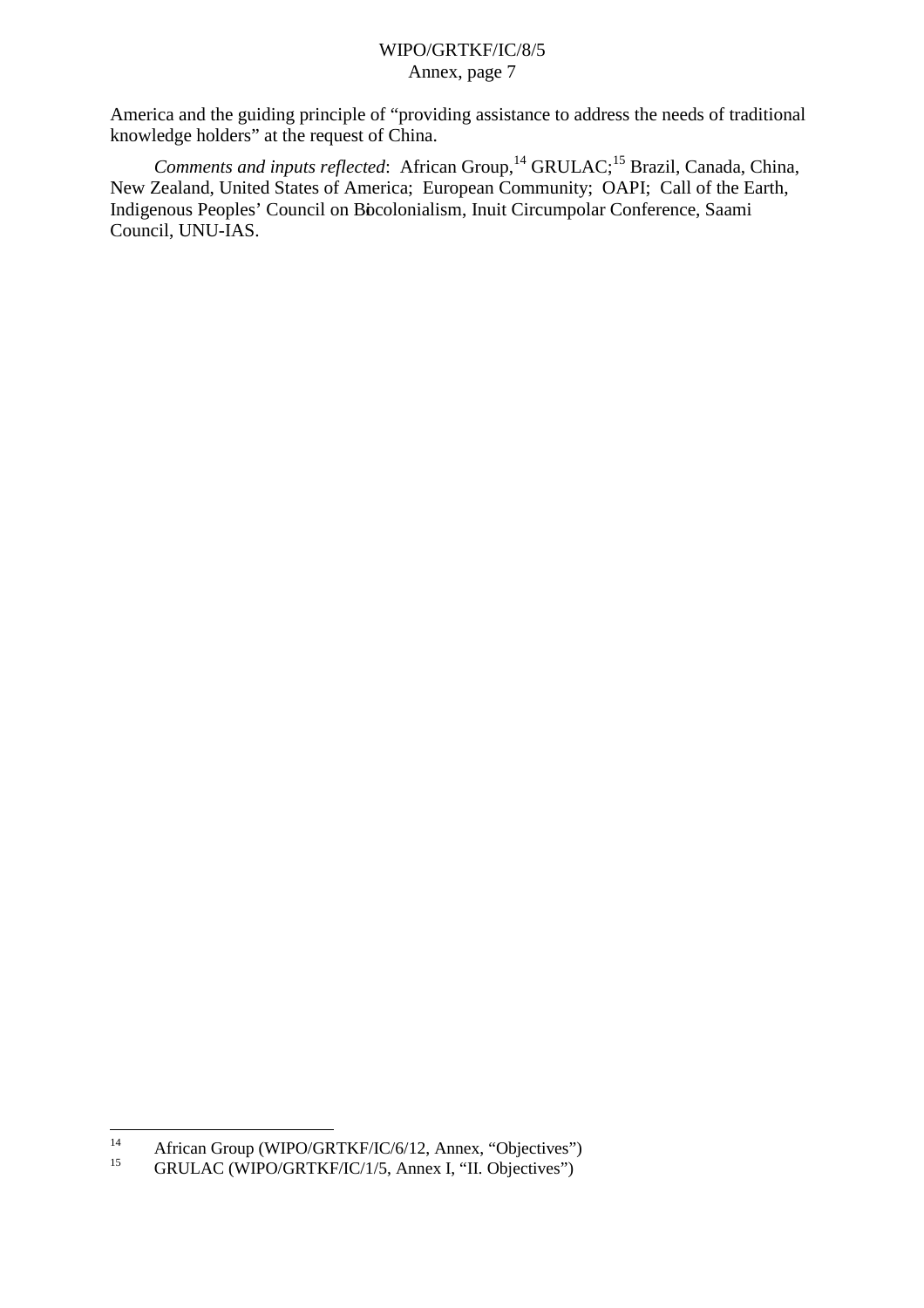America and the guiding principle of "providing assistance to address the needs of traditional knowledge holders" at the request of China.

*Comments and inputs reflected*: African Group,<sup>14</sup> GRULAC;<sup>15</sup> Brazil, Canada, China, New Zealand, United States of America; European Community; OAPI; Call of the Earth, Indigenous Peoples' Council on Biocolonialism, Inuit Circumpolar Conference, Saami Council, UNU-IAS.

<sup>&</sup>lt;sup>14</sup> African Group (WIPO/GRTKF/IC/6/12, Annex, "Objectives")

GRULAC (WIPO/GRTKF/IC/1/5, Annex I, "II. Objectives")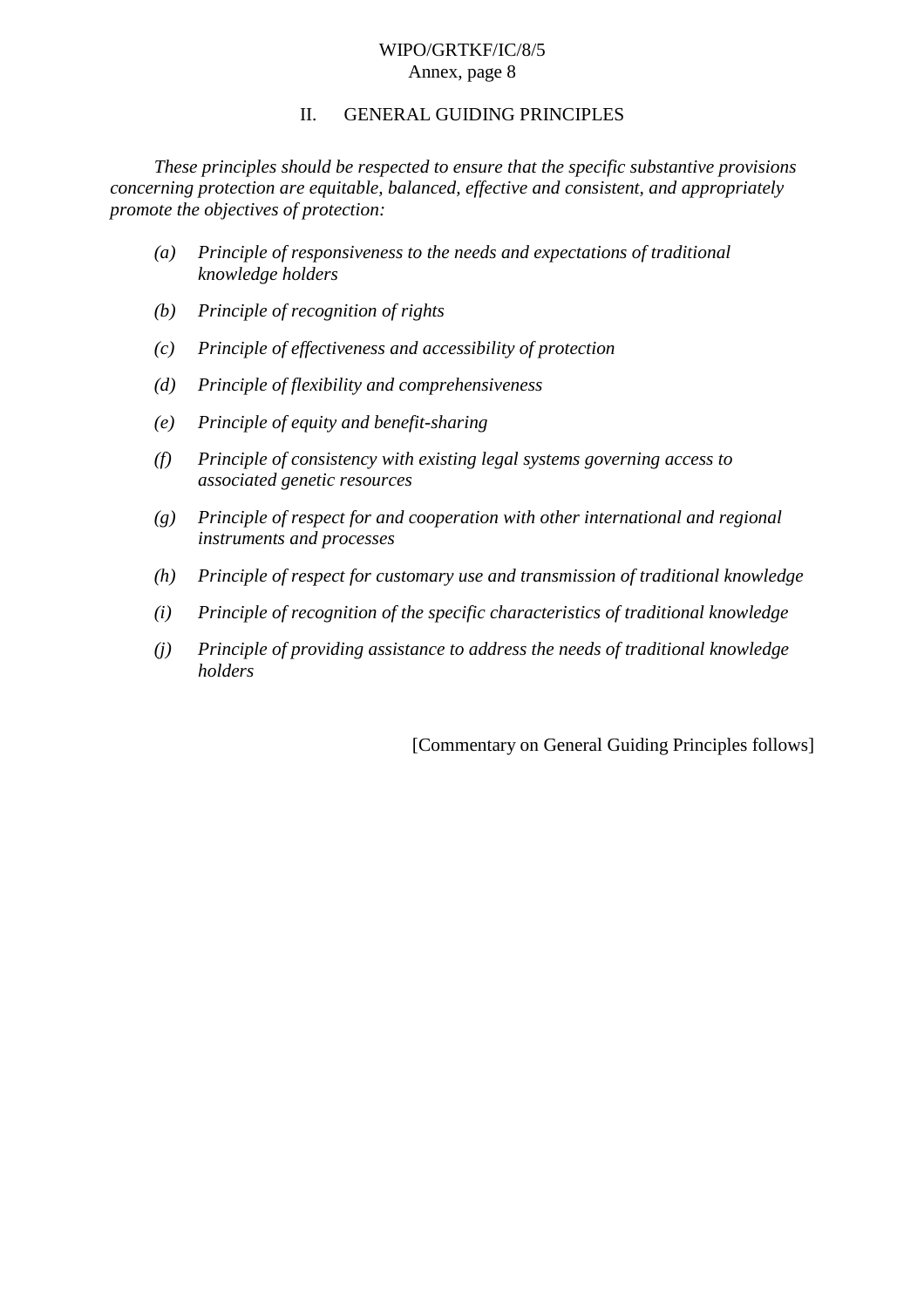#### II. GENERAL GUIDING PRINCIPLES

*These principles should be respected to ensure that the specific substantive provisions concerning protection are equitable, balanced, effective and consistent, and appropriately promote the objectives of protection:*

- *(a) Principle of responsiveness to the needs and expectations of traditional knowledge holders*
- *(b) Principle of recognition of rights*
- *(c) Principle of effectiveness and accessibility of protection*
- *(d) Principle of flexibility and comprehensiveness*
- *(e) Principle of equity and benefit-sharing*
- *(f) Principle of consistency with existing legal systems governing access to associated genetic resources*
- *(g) Principle of respect for and cooperation with other international and regional instruments and processes*
- *(h) Principle of respect for customary use and transmission of traditional knowledge*
- *(i) Principle of recognition of the specific characteristics of traditional knowledge*
- *(j) Principle of providing assistance to address the needs of traditional knowledge holders*

[Commentary on General Guiding Principles follows]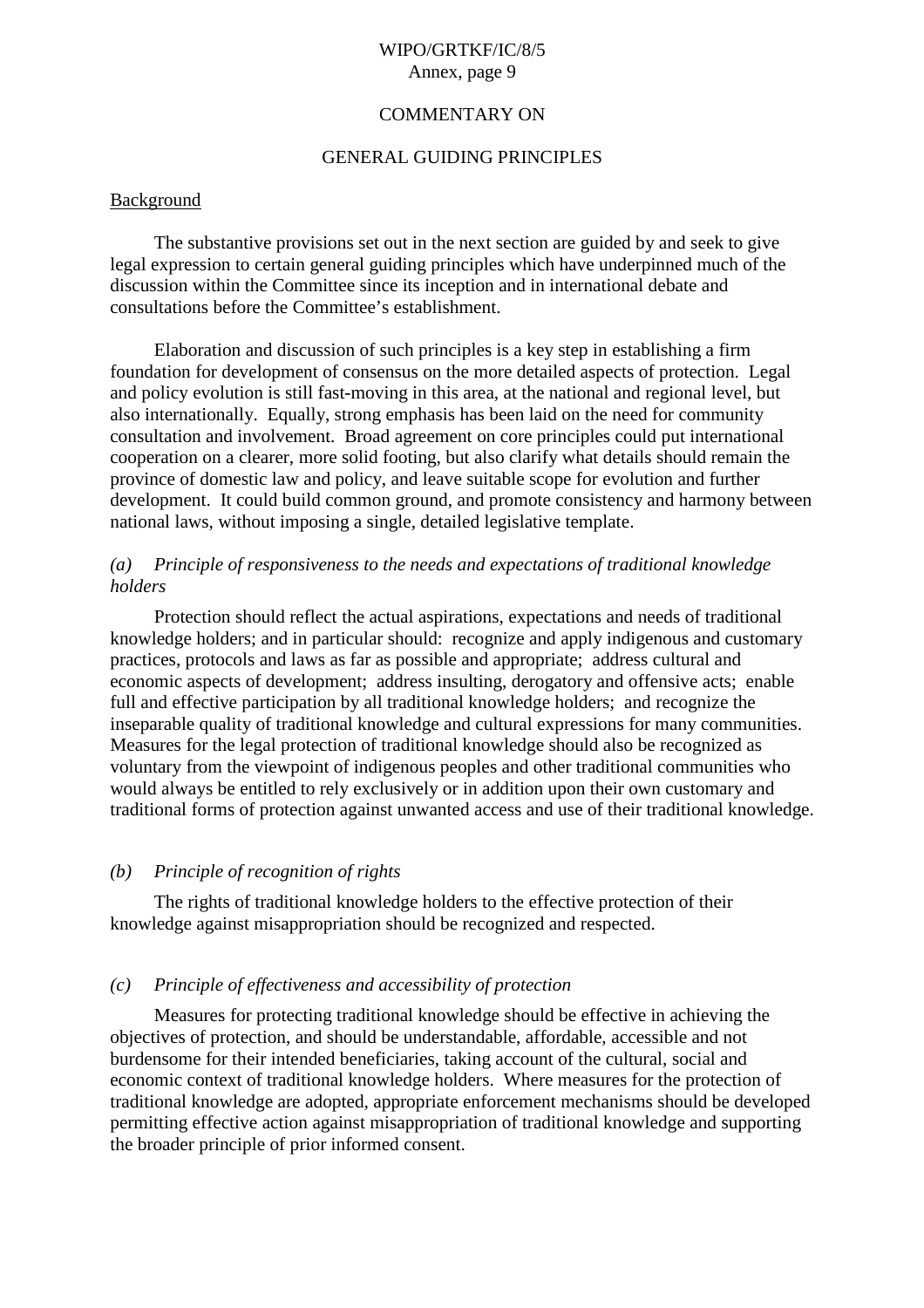#### COMMENTARY ON

#### GENERAL GUIDING PRINCIPLES

#### Background

The substantive provisions set out in the next section are guided by and seek to give legal expression to certain general guiding principles which have underpinned much of the discussion within the Committee since its inception and in international debate and consultations before the Committee's establishment.

Elaboration and discussion of such principles is a key step in establishing a firm foundation for development of consensus on the more detailed aspects of protection. Legal and policy evolution is still fast-moving in this area, at the national and regional level, but also internationally. Equally, strong emphasis has been laid on the need for community consultation and involvement. Broad agreement on core principles could put international cooperation on a clearer, more solid footing, but also clarify what details should remain the province of domestic law and policy, and leave suitable scope for evolution and further development. It could build common ground, and promote consistency and harmony between national laws, without imposing a single, detailed legislative template.

#### *(a) Principle of responsiveness to the needs and expectations of traditional knowledge holders*

Protection should reflect the actual aspirations, expectations and needs of traditional knowledge holders; and in particular should: recognize and apply indigenous and customary practices, protocols and laws as far as possible and appropriate; address cultural and economic aspects of development; address insulting, derogatory and offensive acts; enable full and effective participation by all traditional knowledge holders; and recognize the inseparable quality of traditional knowledge and cultural expressions for many communities. Measures for the legal protection of traditional knowledge should also be recognized as voluntary from the viewpoint of indigenous peoples and other traditional communities who would always be entitled to rely exclusively or in addition upon their own customary and traditional forms of protection against unwanted access and use of their traditional knowledge.

#### *(b) Principle of recognition of rights*

The rights of traditional knowledge holders to the effective protection of their knowledge against misappropriation should be recognized and respected.

#### *(c) Principle of effectiveness and accessibility of protection*

Measures for protecting traditional knowledge should be effective in achieving the objectives of protection, and should be understandable, affordable, accessible and not burdensome for their intended beneficiaries, taking account of the cultural, social and economic context of traditional knowledge holders. Where measures for the protection of traditional knowledge are adopted, appropriate enforcement mechanisms should be developed permitting effective action against misappropriation of traditional knowledge and supporting the broader principle of prior informed consent.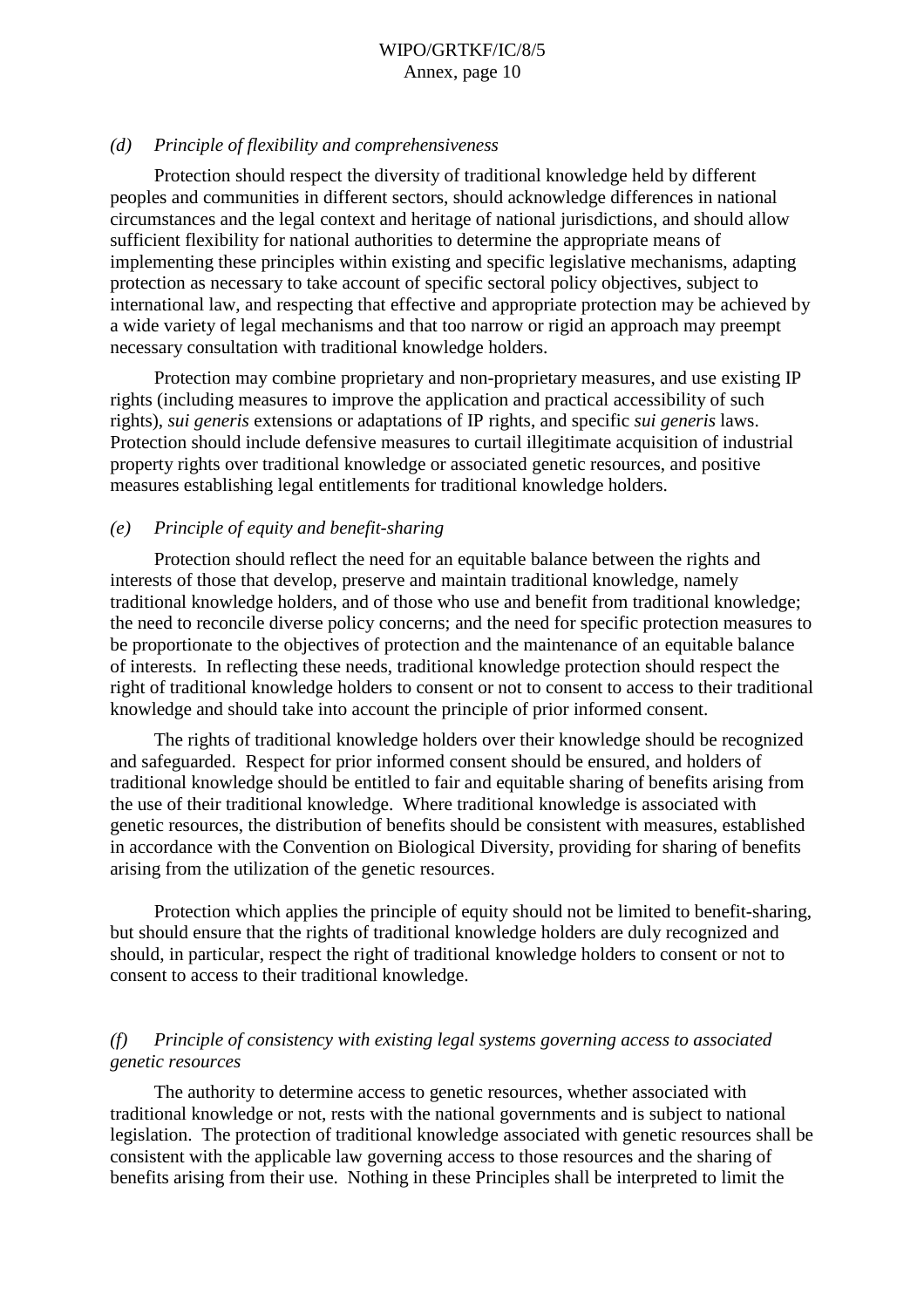#### *(d) Principle of flexibility and comprehensiveness*

Protection should respect the diversity of traditional knowledge held by different peoples and communities in different sectors, should acknowledge differences in national circumstances and the legal context and heritage of national jurisdictions, and should allow sufficient flexibility for national authorities to determine the appropriate means of implementing these principles within existing and specific legislative mechanisms, adapting protection as necessary to take account of specific sectoral policy objectives, subject to international law, and respecting that effective and appropriate protection may be achieved by a wide variety of legal mechanisms and that too narrow or rigid an approach may preempt necessary consultation with traditional knowledge holders.

Protection may combine proprietary and non-proprietary measures, and use existing IP rights (including measures to improve the application and practical accessibility of such rights), *sui generis* extensions or adaptations of IP rights, and specific *sui generis* laws. Protection should include defensive measures to curtail illegitimate acquisition of industrial property rights over traditional knowledge or associated genetic resources, and positive measures establishing legal entitlements for traditional knowledge holders.

#### *(e) Principle of equity and benefit-sharing*

Protection should reflect the need for an equitable balance between the rights and interests of those that develop, preserve and maintain traditional knowledge, namely traditional knowledge holders, and of those who use and benefit from traditional knowledge; the need to reconcile diverse policy concerns; and the need for specific protection measures to be proportionate to the objectives of protection and the maintenance of an equitable balance of interests. In reflecting these needs, traditional knowledge protection should respect the right of traditional knowledge holders to consent or not to consent to access to their traditional knowledge and should take into account the principle of prior informed consent.

The rights of traditional knowledge holders over their knowledge should be recognized and safeguarded. Respect for prior informed consent should be ensured, and holders of traditional knowledge should be entitled to fair and equitable sharing of benefits arising from the use of their traditional knowledge. Where traditional knowledge is associated with genetic resources, the distribution of benefits should be consistent with measures, established in accordance with the Convention on Biological Diversity, providing for sharing of benefits arising from the utilization of the genetic resources.

Protection which applies the principle of equity should not be limited to benefit-sharing, but should ensure that the rights of traditional knowledge holders are duly recognized and should, in particular, respect the right of traditional knowledge holders to consent or not to consent to access to their traditional knowledge.

#### *(f) Principle of consistency with existing legal systems governing access to associated genetic resources*

The authority to determine access to genetic resources, whether associated with traditional knowledge or not, rests with the national governments and is subject to national legislation. The protection of traditional knowledge associated with genetic resources shall be consistent with the applicable law governing access to those resources and the sharing of benefits arising from their use. Nothing in these Principles shall be interpreted to limit the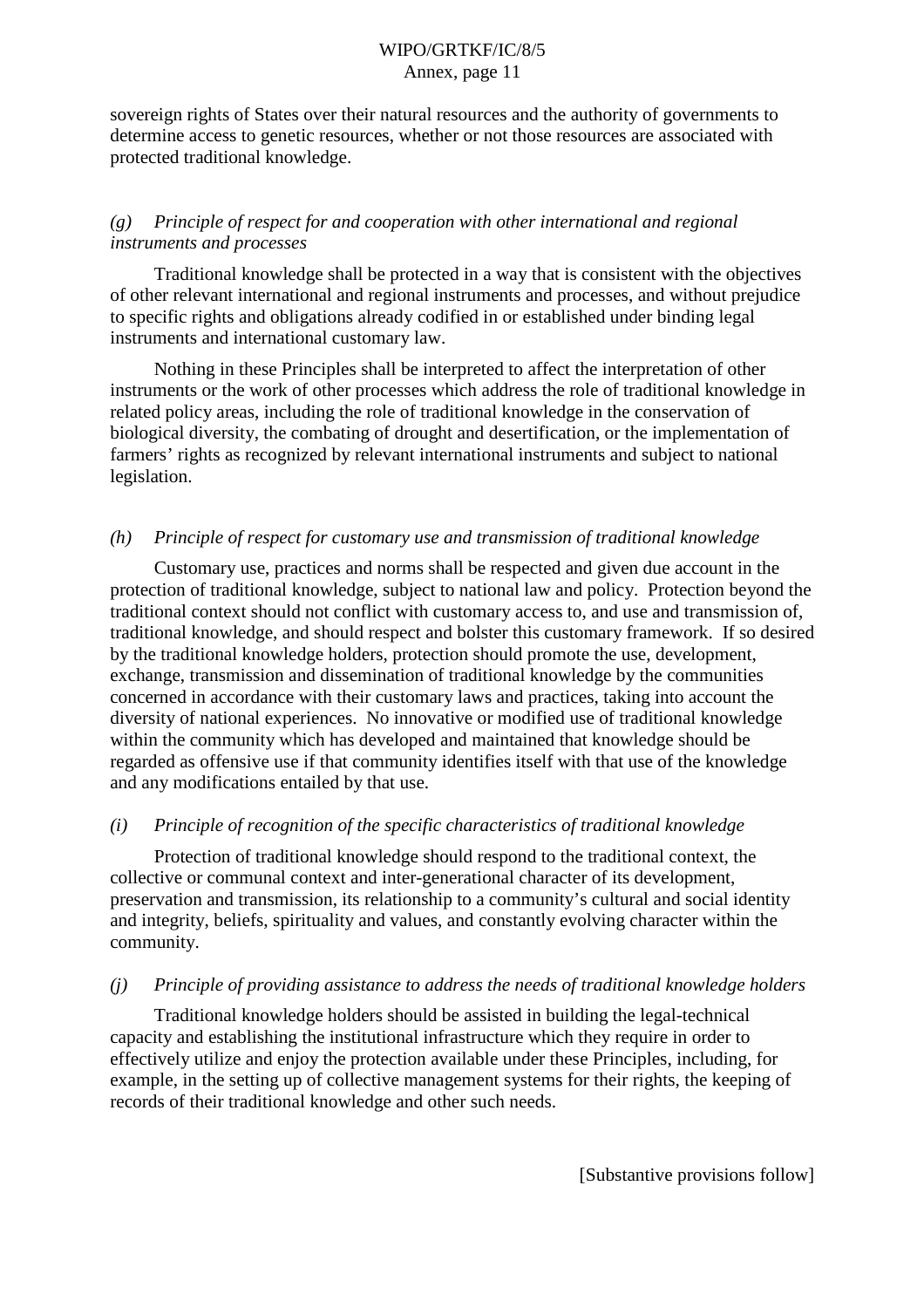sovereign rights of States over their natural resources and the authority of governments to determine access to genetic resources, whether or not those resources are associated with protected traditional knowledge.

### *(g) Principle of respect for and cooperation with other international and regional instruments and processes*

Traditional knowledge shall be protected in a way that is consistent with the objectives of other relevant international and regional instruments and processes, and without prejudice to specific rights and obligations already codified in or established under binding legal instruments and international customary law.

Nothing in these Principles shall be interpreted to affect the interpretation of other instruments or the work of other processes which address the role of traditional knowledge in related policy areas, including the role of traditional knowledge in the conservation of biological diversity, the combating of drought and desertification, or the implementation of farmers' rights as recognized by relevant international instruments and subject to national legislation.

#### *(h) Principle of respect for customary use and transmission of traditional knowledge*

Customary use, practices and norms shall be respected and given due account in the protection of traditional knowledge, subject to national law and policy. Protection beyond the traditional context should not conflict with customary access to, and use and transmission of, traditional knowledge, and should respect and bolster this customary framework. If so desired by the traditional knowledge holders, protection should promote the use, development, exchange, transmission and dissemination of traditional knowledge by the communities concerned in accordance with their customary laws and practices, taking into account the diversity of national experiences. No innovative or modified use of traditional knowledge within the community which has developed and maintained that knowledge should be regarded as offensive use if that community identifies itself with that use of the knowledge and any modifications entailed by that use.

### *(i) Principle of recognition of the specific characteristics of traditional knowledge*

Protection of traditional knowledge should respond to the traditional context, the collective or communal context and inter-generational character of its development, preservation and transmission, its relationship to a community's cultural and social identity and integrity, beliefs, spirituality and values, and constantly evolving character within the community.

#### *(j) Principle of providing assistance to address the needs of traditional knowledge holders*

Traditional knowledge holders should be assisted in building the legal-technical capacity and establishing the institutional infrastructure which they require in order to effectively utilize and enjoy the protection available under these Principles, including, for example, in the setting up of collective management systems for their rights, the keeping of records of their traditional knowledge and other such needs.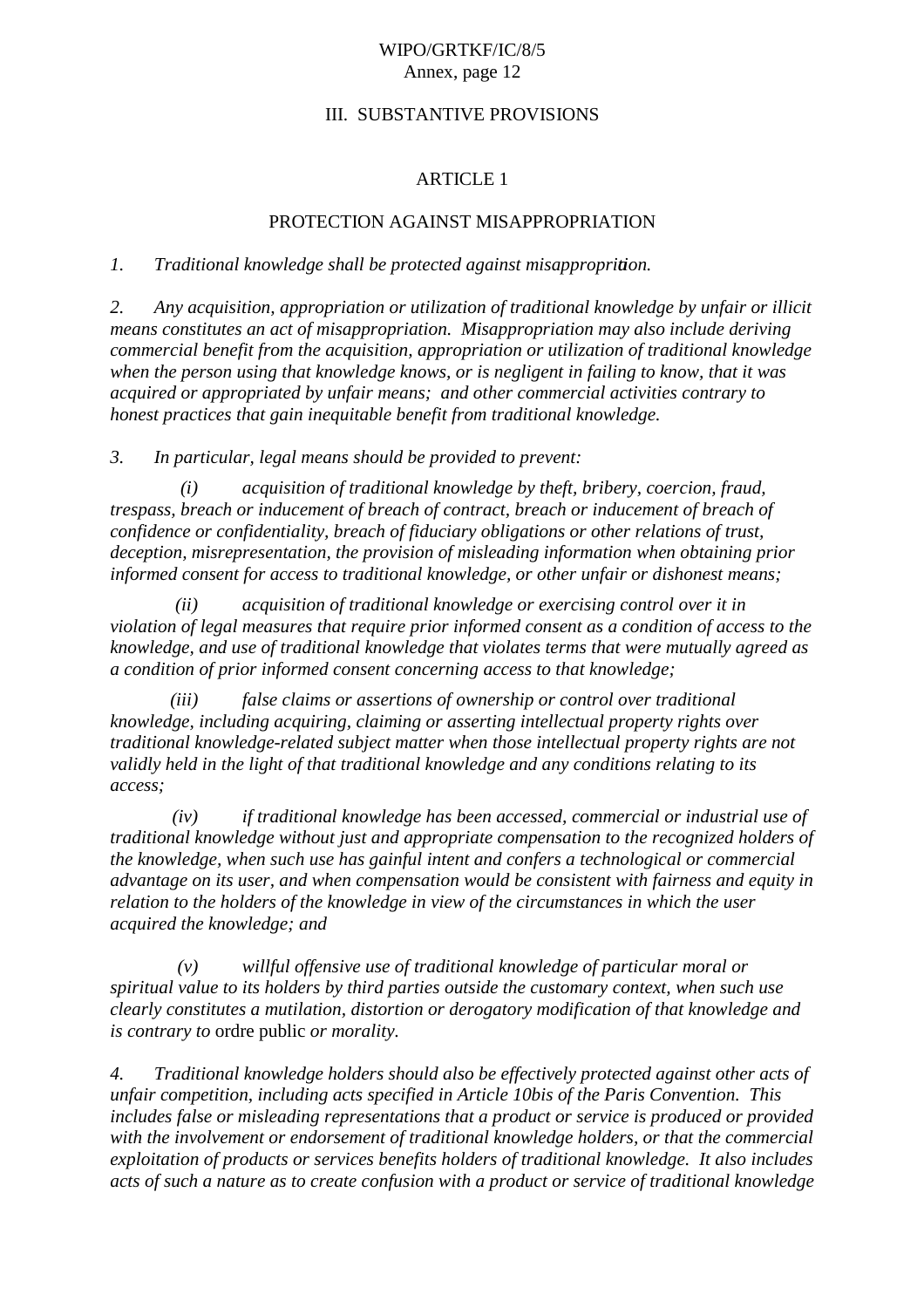### III. SUBSTANTIVE PROVISIONS

# ARTICLE 1

### PROTECTION AGAINST MISAPPROPRIATION

### *1. Traditional knowledge shall be protected against misappropriation.*

*2. Any acquisition, appropriation or utilization of traditional knowledge by unfair or illicit means constitutes an act of misappropriation. Misappropriation may also include deriving commercial benefit from the acquisition, appropriation or utilization of traditional knowledge when the person using that knowledge knows, or is negligent in failing to know, that it was acquired or appropriated by unfair means; and other commercial activities contrary to honest practices that gain inequitable benefit from traditional knowledge.*

### *3. In particular, legal means should be provided to prevent:*

*(i) acquisition of traditional knowledge by theft, bribery, coercion, fraud, trespass, breach or inducement of breach of contract, breach or inducement of breach of confidence or confidentiality, breach of fiduciary obligations or other relations of trust, deception, misrepresentation, the provision of misleading information when obtaining prior informed consent for access to traditional knowledge, or other unfair or dishonest means;*

*(ii) acquisition of traditional knowledge or exercising control over it in violation of legal measures that require prior informed consent as a condition of access to the knowledge, and use of traditional knowledge that violates terms that were mutually agreed as a condition of prior informed consent concerning access to that knowledge;*

*(iii) false claims or assertions of ownership or control over traditional knowledge, including acquiring, claiming or asserting intellectual property rights over traditional knowledge-related subject matter when those intellectual property rights are not validly held in the light of that traditional knowledge and any conditions relating to its access;* 

*(iv) if traditional knowledge has been accessed, commercial or industrial use of traditional knowledge without just and appropriate compensation to the recognized holders of the knowledge, when such use has gainful intent and confers a technological or commercial advantage on its user, and when compensation would be consistent with fairness and equity in relation to the holders of the knowledge in view of the circumstances in which the user acquired the knowledge; and*

*(v) willful offensive use of traditional knowledge of particular moral or spiritual value to its holders by third parties outside the customary context, when such use clearly constitutes a mutilation, distortion or derogatory modification of that knowledge and is contrary to* ordre public *or morality.* 

*4. Traditional knowledge holders should also be effectively protected against other acts of unfair competition, including acts specified in Article 10bis of the Paris Convention. This includes false or misleading representations that a product or service is produced or provided with the involvement or endorsement of traditional knowledge holders, or that the commercial exploitation of products or services benefits holders of traditional knowledge. It also includes acts of such a nature as to create confusion with a product or service of traditional knowledge*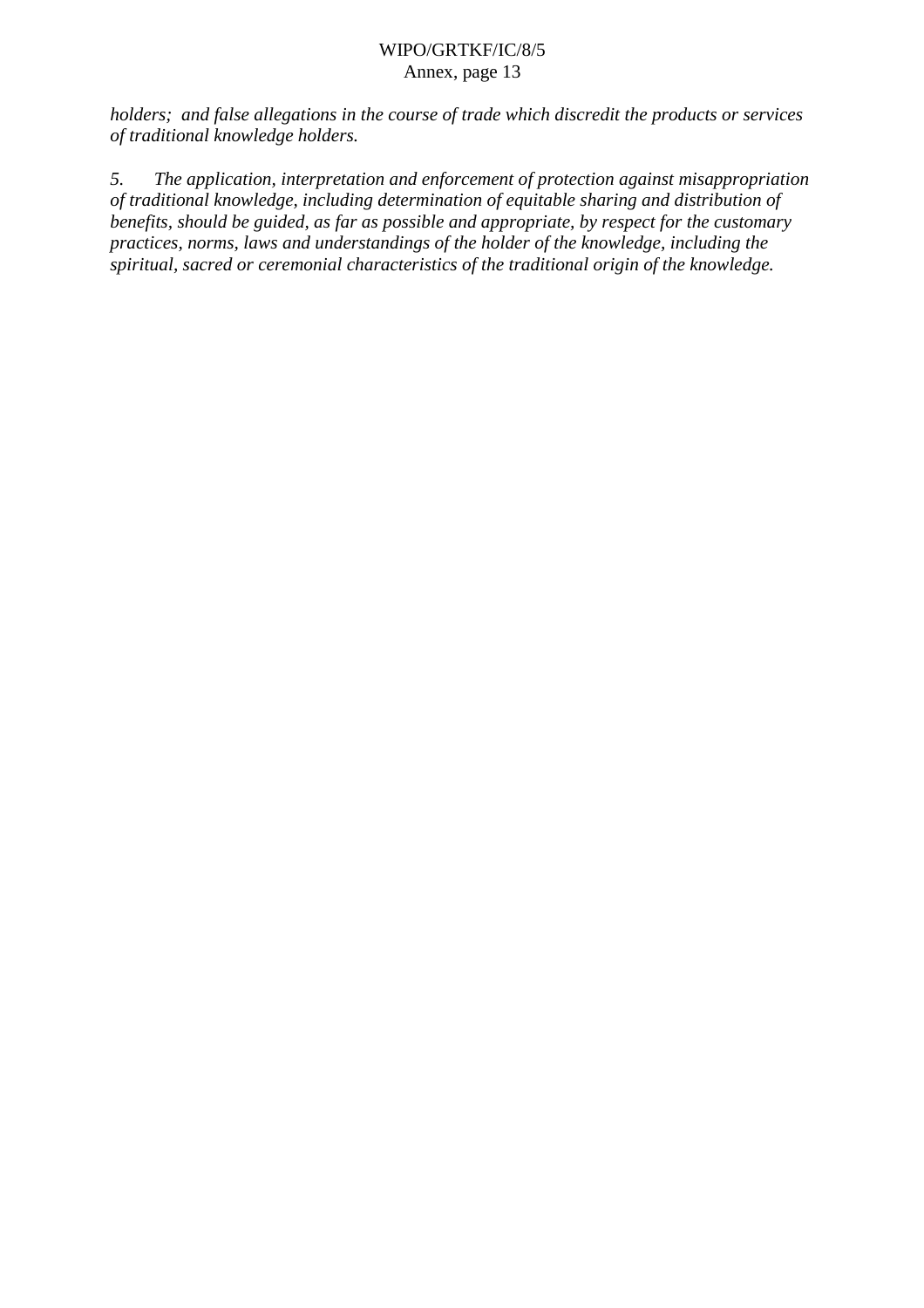*holders; and false allegations in the course of trade which discredit the products or services of traditional knowledge holders.*

*5. The application, interpretation and enforcement of protection against misappropriation of traditional knowledge, including determination of equitable sharing and distribution of benefits, should be guided, as far as possible and appropriate, by respect for the customary practices, norms, laws and understandings of the holder of the knowledge, including the spiritual, sacred or ceremonial characteristics of the traditional origin of the knowledge.*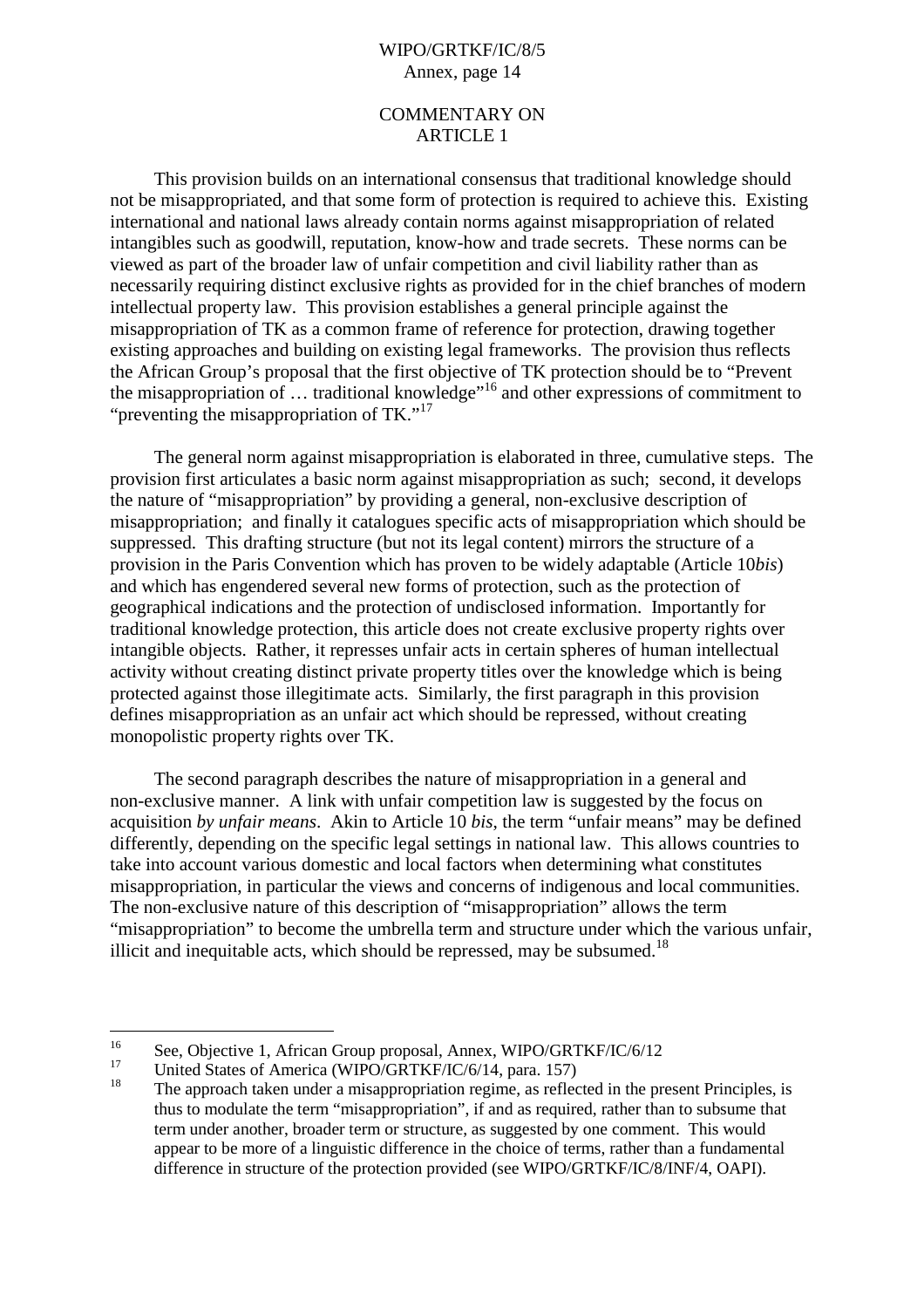#### COMMENTARY ON ARTICLE 1

This provision builds on an international consensus that traditional knowledge should not be misappropriated, and that some form of protection is required to achieve this. Existing international and national laws already contain norms against misappropriation of related intangibles such as goodwill, reputation, know-how and trade secrets. These norms can be viewed as part of the broader law of unfair competition and civil liability rather than as necessarily requiring distinct exclusive rights as provided for in the chief branches of modern intellectual property law. This provision establishes a general principle against the misappropriation of TK as a common frame of reference for protection, drawing together existing approaches and building on existing legal frameworks. The provision thus reflects the African Group's proposal that the first objective of TK protection should be to "Prevent the misappropriation of  $\ldots$  traditional knowledge"<sup>16</sup> and other expressions of commitment to "preventing the misappropriation of TK."<sup>17</sup>

The general norm against misappropriation is elaborated in three, cumulative steps. The provision first articulates a basic norm against misappropriation as such; second, it develops the nature of "misappropriation" by providing a general, non-exclusive description of misappropriation; and finally it catalogues specific acts of misappropriation which should be suppressed. This drafting structure (but not its legal content) mirrors the structure of a provision in the Paris Convention which has proven to be widely adaptable (Article 10*bis*) and which has engendered several new forms of protection, such as the protection of geographical indications and the protection of undisclosed information. Importantly for traditional knowledge protection, this article does not create exclusive property rights over intangible objects. Rather, it represses unfair acts in certain spheres of human intellectual activity without creating distinct private property titles over the knowledge which is being protected against those illegitimate acts. Similarly, the first paragraph in this provision defines misappropriation as an unfair act which should be repressed, without creating monopolistic property rights over TK.

The second paragraph describes the nature of misappropriation in a general and non-exclusive manner. A link with unfair competition law is suggested by the focus on acquisition *by unfair means*. Akin to Article 10 *bis*, the term "unfair means" may be defined differently, depending on the specific legal settings in national law. This allows countries to take into account various domestic and local factors when determining what constitutes misappropriation, in particular the views and concerns of indigenous and local communities. The non-exclusive nature of this description of "misappropriation" allows the term "misappropriation" to become the umbrella term and structure under which the various unfair, illicit and inequitable acts, which should be repressed, may be subsumed.<sup>18</sup>

<sup>&</sup>lt;sup>16</sup> See, Objective 1, African Group proposal, Annex, WIPO/GRTKF/IC/6/12

<sup>&</sup>lt;sup>17</sup> United States of America (WIPO/GRTKF/IC/6/14, para. 157)

<sup>18</sup> The approach taken under a misappropriation regime, as reflected in the present Principles, is thus to modulate the term "misappropriation", if and as required, rather than to subsume that term under another, broader term or structure, as suggested by one comment. This would appear to be more of a linguistic difference in the choice of terms, rather than a fundamental difference in structure of the protection provided (see WIPO/GRTKF/IC/8/INF/4, OAPI).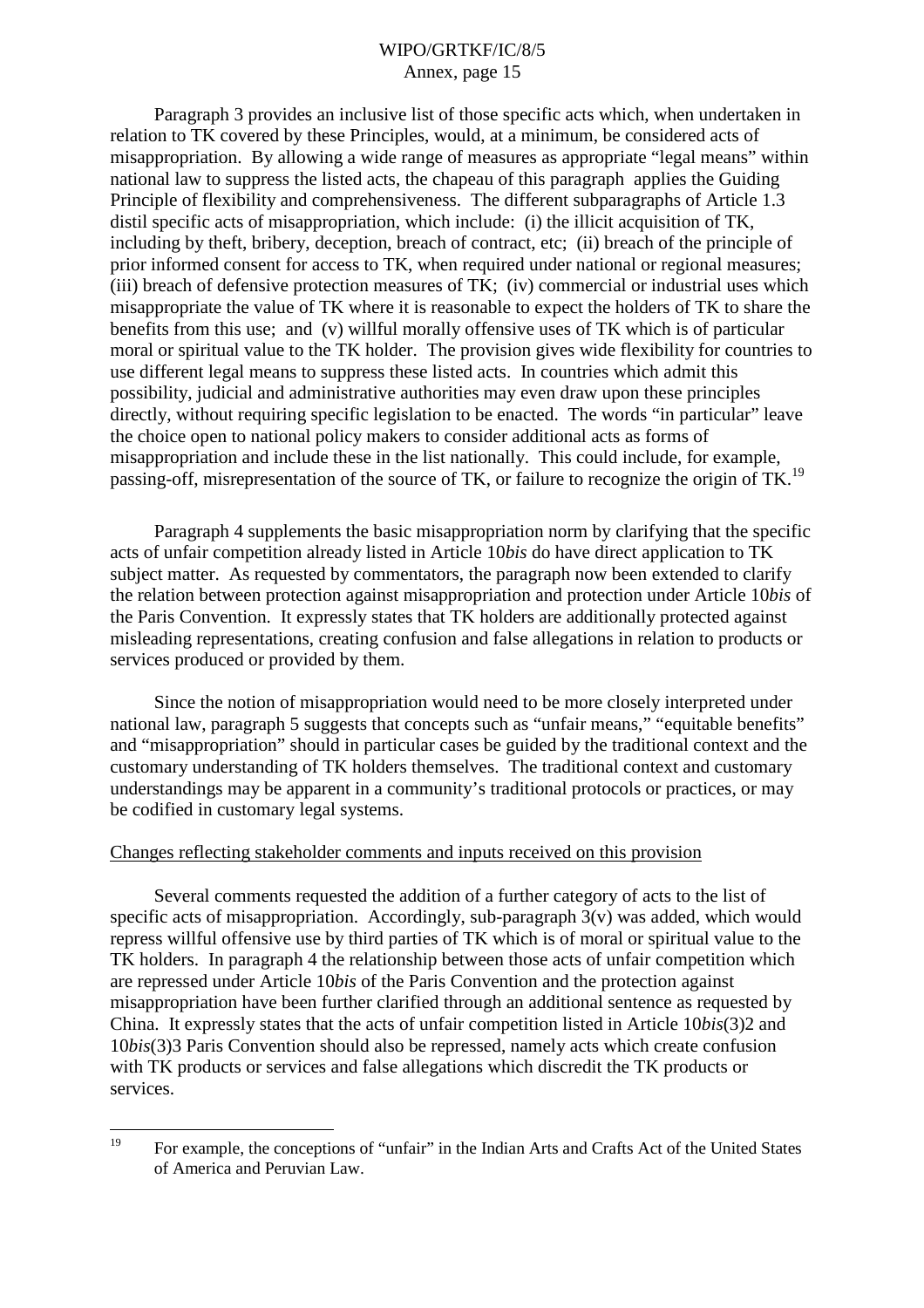Paragraph 3 provides an inclusive list of those specific acts which, when undertaken in relation to TK covered by these Principles, would, at a minimum, be considered acts of misappropriation. By allowing a wide range of measures as appropriate "legal means" within national law to suppress the listed acts, the chapeau of this paragraph applies the Guiding Principle of flexibility and comprehensiveness. The different subparagraphs of Article 1.3 distil specific acts of misappropriation, which include: (i) the illicit acquisition of TK, including by theft, bribery, deception, breach of contract, etc; (ii) breach of the principle of prior informed consent for access to TK, when required under national or regional measures; (iii) breach of defensive protection measures of TK; (iv) commercial or industrial uses which misappropriate the value of TK where it is reasonable to expect the holders of TK to share the benefits from this use; and (v) willful morally offensive uses of TK which is of particular moral or spiritual value to the TK holder. The provision gives wide flexibility for countries to use different legal means to suppress these listed acts. In countries which admit this possibility, judicial and administrative authorities may even draw upon these principles directly, without requiring specific legislation to be enacted. The words "in particular" leave the choice open to national policy makers to consider additional acts as forms of misappropriation and include these in the list nationally. This could include, for example, passing-off, misrepresentation of the source of TK, or failure to recognize the origin of TK.<sup>19</sup>

Paragraph 4 supplements the basic misappropriation norm by clarifying that the specific acts of unfair competition already listed in Article 10*bis* do have direct application to TK subject matter. As requested by commentators, the paragraph now been extended to clarify the relation between protection against misappropriation and protection under Article 10*bis* of the Paris Convention. It expressly states that TK holders are additionally protected against misleading representations, creating confusion and false allegations in relation to products or services produced or provided by them.

Since the notion of misappropriation would need to be more closely interpreted under national law, paragraph 5 suggests that concepts such as "unfair means," "equitable benefits" and "misappropriation" should in particular cases be guided by the traditional context and the customary understanding of TK holders themselves. The traditional context and customary understandings may be apparent in a community's traditional protocols or practices, or may be codified in customary legal systems.

#### Changes reflecting stakeholder comments and inputs received on this provision

Several comments requested the addition of a further category of acts to the list of specific acts of misappropriation. Accordingly, sub-paragraph  $3(v)$  was added, which would repress willful offensive use by third parties of TK which is of moral or spiritual value to the TK holders. In paragraph 4 the relationship between those acts of unfair competition which are repressed under Article 10*bis* of the Paris Convention and the protection against misappropriation have been further clarified through an additional sentence as requested by China. It expressly states that the acts of unfair competition listed in Article 10*bis*(3)2 and 10*bis*(3)3 Paris Convention should also be repressed, namely acts which create confusion with TK products or services and false allegations which discredit the TK products or services.

<sup>&</sup>lt;sup>19</sup> For example, the conceptions of "unfair" in the Indian Arts and Crafts Act of the United States of America and Peruvian Law.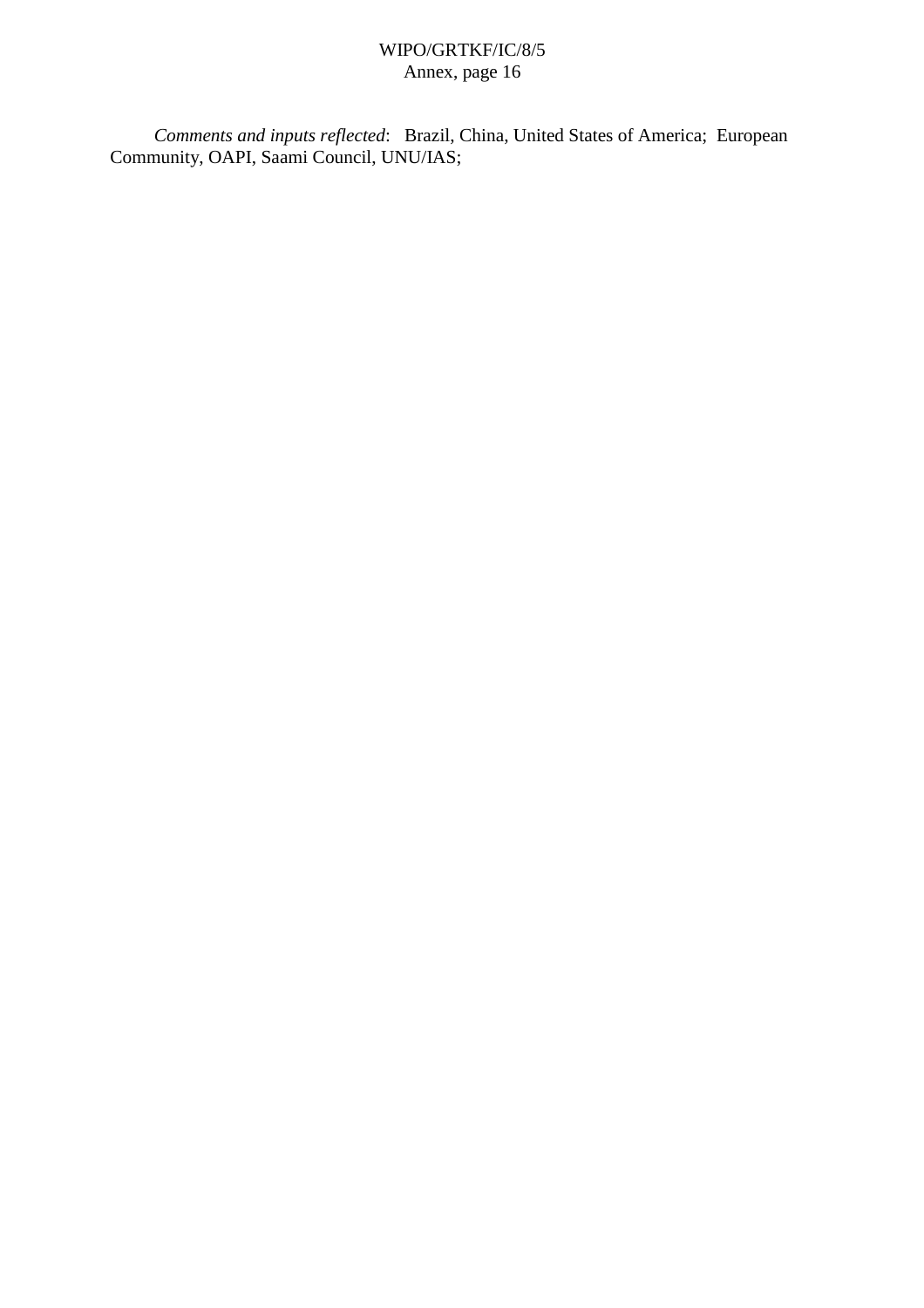*Comments and inputs reflected*: Brazil, China, United States of America; European Community, OAPI, Saami Council, UNU/IAS;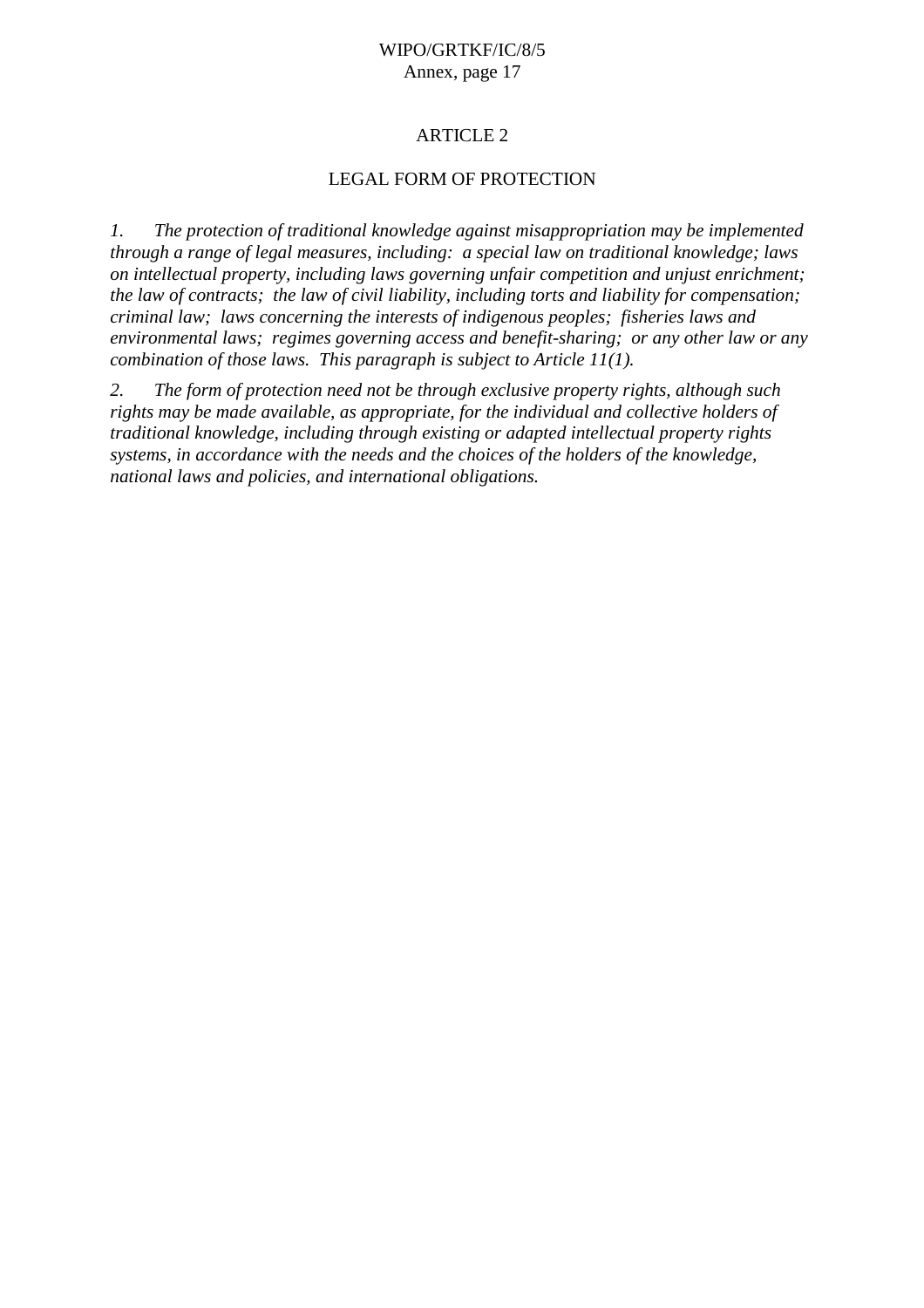### ARTICLE 2

### LEGAL FORM OF PROTECTION

*1. The protection of traditional knowledge against misappropriation may be implemented through a range of legal measures, including: a special law on traditional knowledge; laws on intellectual property, including laws governing unfair competition and unjust enrichment; the law of contracts; the law of civil liability, including torts and liability for compensation; criminal law; laws concerning the interests of indigenous peoples; fisheries laws and environmental laws; regimes governing access and benefit-sharing; or any other law or any combination of those laws. This paragraph is subject to Article 11(1).*

*2. The form of protection need not be through exclusive property rights, although such rights may be made available, as appropriate, for the individual and collective holders of traditional knowledge, including through existing or adapted intellectual property rights systems, in accordance with the needs and the choices of the holders of the knowledge, national laws and policies, and international obligations.*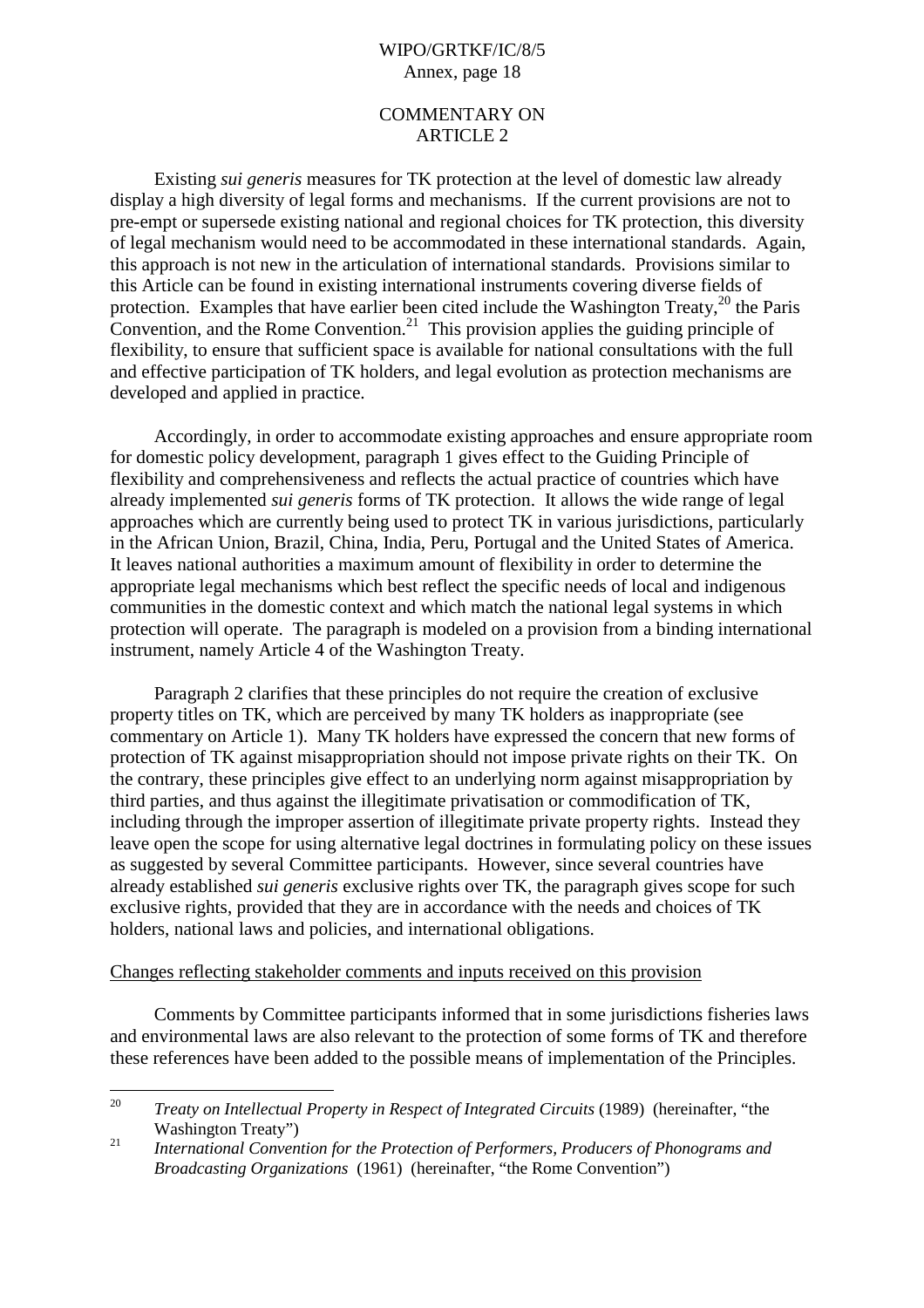#### COMMENTARY ON ARTICLE 2

Existing *sui generis* measures for TK protection at the level of domestic law already display a high diversity of legal forms and mechanisms. If the current provisions are not to pre-empt or supersede existing national and regional choices for TK protection, this diversity of legal mechanism would need to be accommodated in these international standards. Again, this approach is not new in the articulation of international standards. Provisions similar to this Article can be found in existing international instruments covering diverse fields of protection. Examples that have earlier been cited include the Washington Treaty, $^{20}$  the Paris Convention, and the Rome Convention.21 This provision applies the guiding principle of flexibility, to ensure that sufficient space is available for national consultations with the full and effective participation of TK holders, and legal evolution as protection mechanisms are developed and applied in practice.

Accordingly, in order to accommodate existing approaches and ensure appropriate room for domestic policy development, paragraph 1 gives effect to the Guiding Principle of flexibility and comprehensiveness and reflects the actual practice of countries which have already implemented *sui generis* forms of TK protection. It allows the wide range of legal approaches which are currently being used to protect TK in various jurisdictions, particularly in the African Union, Brazil, China, India, Peru, Portugal and the United States of America. It leaves national authorities a maximum amount of flexibility in order to determine the appropriate legal mechanisms which best reflect the specific needs of local and indigenous communities in the domestic context and which match the national legal systems in which protection will operate. The paragraph is modeled on a provision from a binding international instrument, namely Article 4 of the Washington Treaty.

Paragraph 2 clarifies that these principles do not require the creation of exclusive property titles on TK, which are perceived by many TK holders as inappropriate (see commentary on Article 1). Many TK holders have expressed the concern that new forms of protection of TK against misappropriation should not impose private rights on their TK. On the contrary, these principles give effect to an underlying norm against misappropriation by third parties, and thus against the illegitimate privatisation or commodification of TK, including through the improper assertion of illegitimate private property rights. Instead they leave open the scope for using alternative legal doctrines in formulating policy on these issues as suggested by several Committee participants. However, since several countries have already established *sui generis* exclusive rights over TK, the paragraph gives scope for such exclusive rights, provided that they are in accordance with the needs and choices of TK holders, national laws and policies, and international obligations.

#### Changes reflecting stakeholder comments and inputs received on this provision

Comments by Committee participants informed that in some jurisdictions fisheries laws and environmental laws are also relevant to the protection of some forms of TK and therefore these references have been added to the possible means of implementation of the Principles.

<sup>&</sup>lt;sup>20</sup> *Treaty on Intellectual Property in Respect of Integrated Circuits* (1989) (hereinafter, "the Washington Treaty")

<sup>21</sup> *International Convention for the Protection of Performers, Producers of Phonograms and Broadcasting Organizations* (1961) (hereinafter, "the Rome Convention")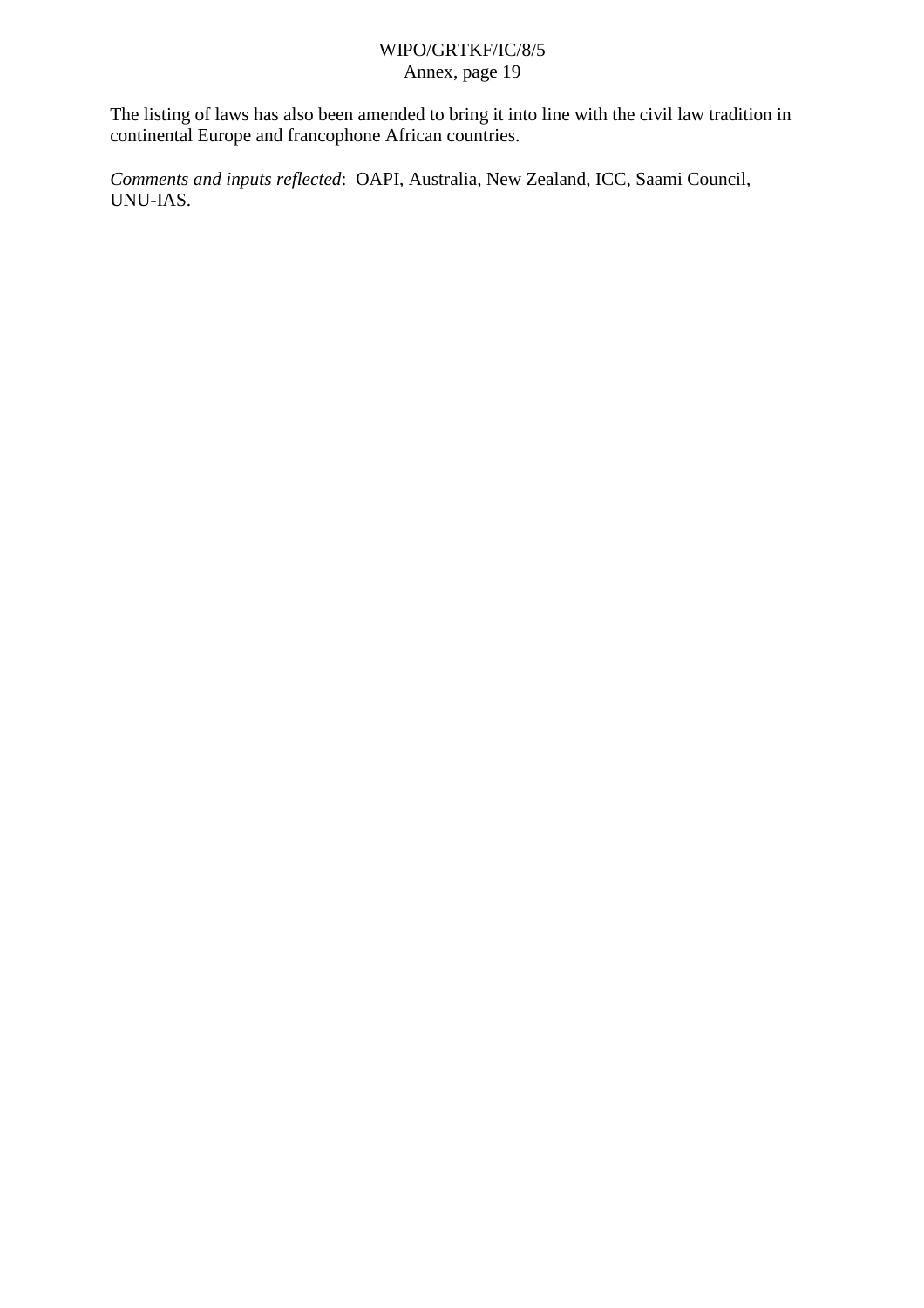The listing of laws has also been amended to bring it into line with the civil law tradition in continental Europe and francophone African countries.

*Comments and inputs reflected*: OAPI, Australia, New Zealand, ICC, Saami Council, UNU-IAS.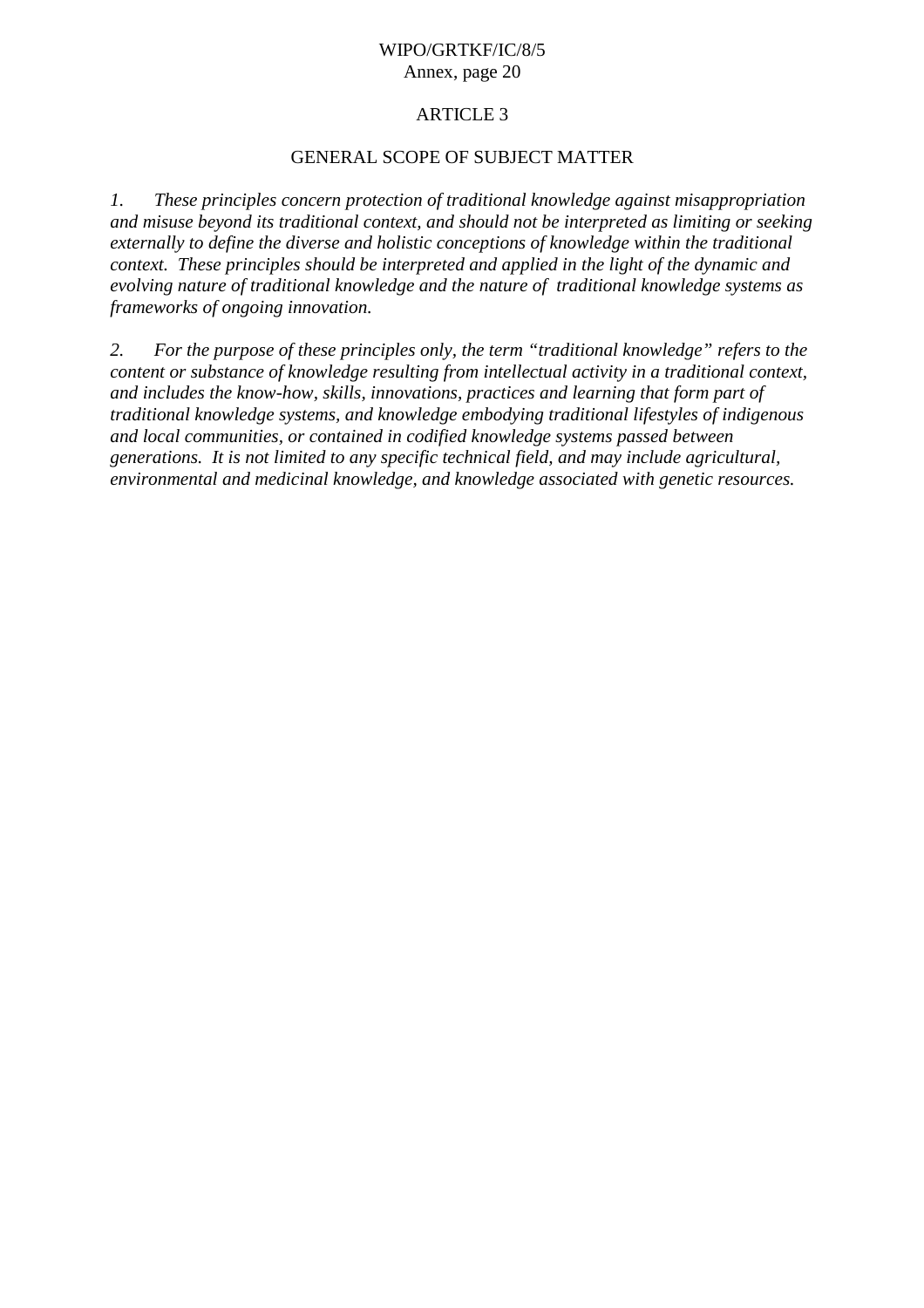### ARTICLE 3

#### GENERAL SCOPE OF SUBJECT MATTER

*1. These principles concern protection of traditional knowledge against misappropriation and misuse beyond its traditional context, and should not be interpreted as limiting or seeking externally to define the diverse and holistic conceptions of knowledge within the traditional context. These principles should be interpreted and applied in the light of the dynamic and evolving nature of traditional knowledge and the nature of traditional knowledge systems as frameworks of ongoing innovation.*

*2. For the purpose of these principles only, the term "traditional knowledge" refers to the content or substance of knowledge resulting from intellectual activity in a traditional context, and includes the know-how, skills, innovations, practices and learning that form part of traditional knowledge systems, and knowledge embodying traditional lifestyles of indigenous and local communities, or contained in codified knowledge systems passed between generations. It is not limited to any specific technical field, and may include agricultural, environmental and medicinal knowledge, and knowledge associated with genetic resources.*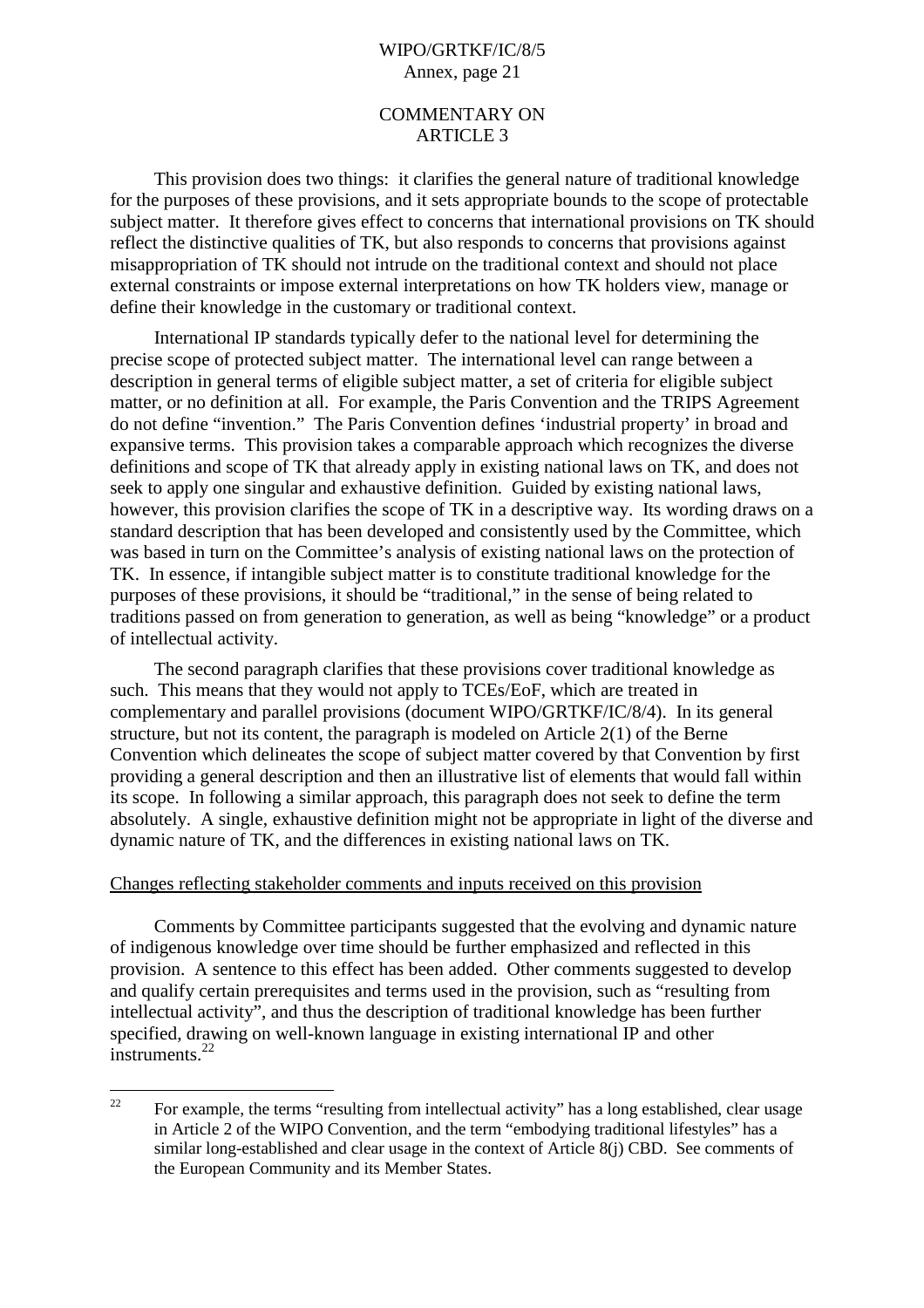#### COMMENTARY ON ARTICLE 3

This provision does two things: it clarifies the general nature of traditional knowledge for the purposes of these provisions, and it sets appropriate bounds to the scope of protectable subject matter. It therefore gives effect to concerns that international provisions on TK should reflect the distinctive qualities of TK, but also responds to concerns that provisions against misappropriation of TK should not intrude on the traditional context and should not place external constraints or impose external interpretations on how TK holders view, manage or define their knowledge in the customary or traditional context.

International IP standards typically defer to the national level for determining the precise scope of protected subject matter. The international level can range between a description in general terms of eligible subject matter, a set of criteria for eligible subject matter, or no definition at all. For example, the Paris Convention and the TRIPS Agreement do not define "invention." The Paris Convention defines 'industrial property' in broad and expansive terms. This provision takes a comparable approach which recognizes the diverse definitions and scope of TK that already apply in existing national laws on TK, and does not seek to apply one singular and exhaustive definition. Guided by existing national laws, however, this provision clarifies the scope of TK in a descriptive way. Its wording draws on a standard description that has been developed and consistently used by the Committee, which was based in turn on the Committee's analysis of existing national laws on the protection of TK. In essence, if intangible subject matter is to constitute traditional knowledge for the purposes of these provisions, it should be "traditional," in the sense of being related to traditions passed on from generation to generation, as well as being "knowledge" or a product of intellectual activity.

The second paragraph clarifies that these provisions cover traditional knowledge as such. This means that they would not apply to TCEs/EoF, which are treated in complementary and parallel provisions (document WIPO/GRTKF/IC/8/4). In its general structure, but not its content, the paragraph is modeled on Article 2(1) of the Berne Convention which delineates the scope of subject matter covered by that Convention by first providing a general description and then an illustrative list of elements that would fall within its scope. In following a similar approach, this paragraph does not seek to define the term absolutely. A single, exhaustive definition might not be appropriate in light of the diverse and dynamic nature of TK, and the differences in existing national laws on TK.

#### Changes reflecting stakeholder comments and inputs received on this provision

Comments by Committee participants suggested that the evolving and dynamic nature of indigenous knowledge over time should be further emphasized and reflected in this provision. A sentence to this effect has been added. Other comments suggested to develop and qualify certain prerequisites and terms used in the provision, such as "resulting from intellectual activity", and thus the description of traditional knowledge has been further specified, drawing on well-known language in existing international IP and other instruments.<sup>22</sup>

<sup>&</sup>lt;sup>22</sup> For example, the terms "resulting from intellectual activity" has a long established, clear usage in Article 2 of the WIPO Convention, and the term "embodying traditional lifestyles" has a similar long-established and clear usage in the context of Article 8(j) CBD. See comments of the European Community and its Member States.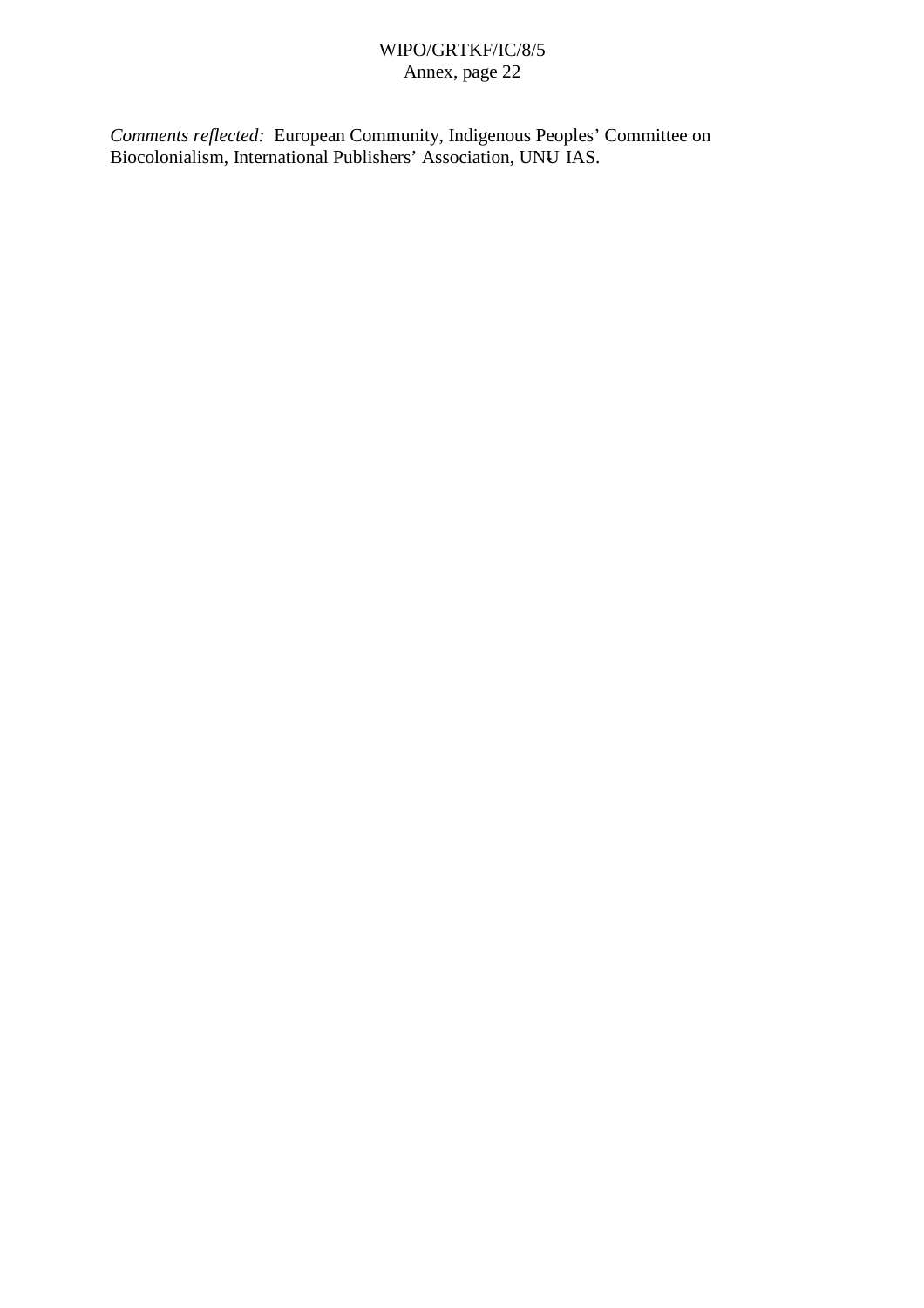*Comments reflected:* European Community, Indigenous Peoples' Committee on Biocolonialism, International Publishers' Association, UNU- IAS.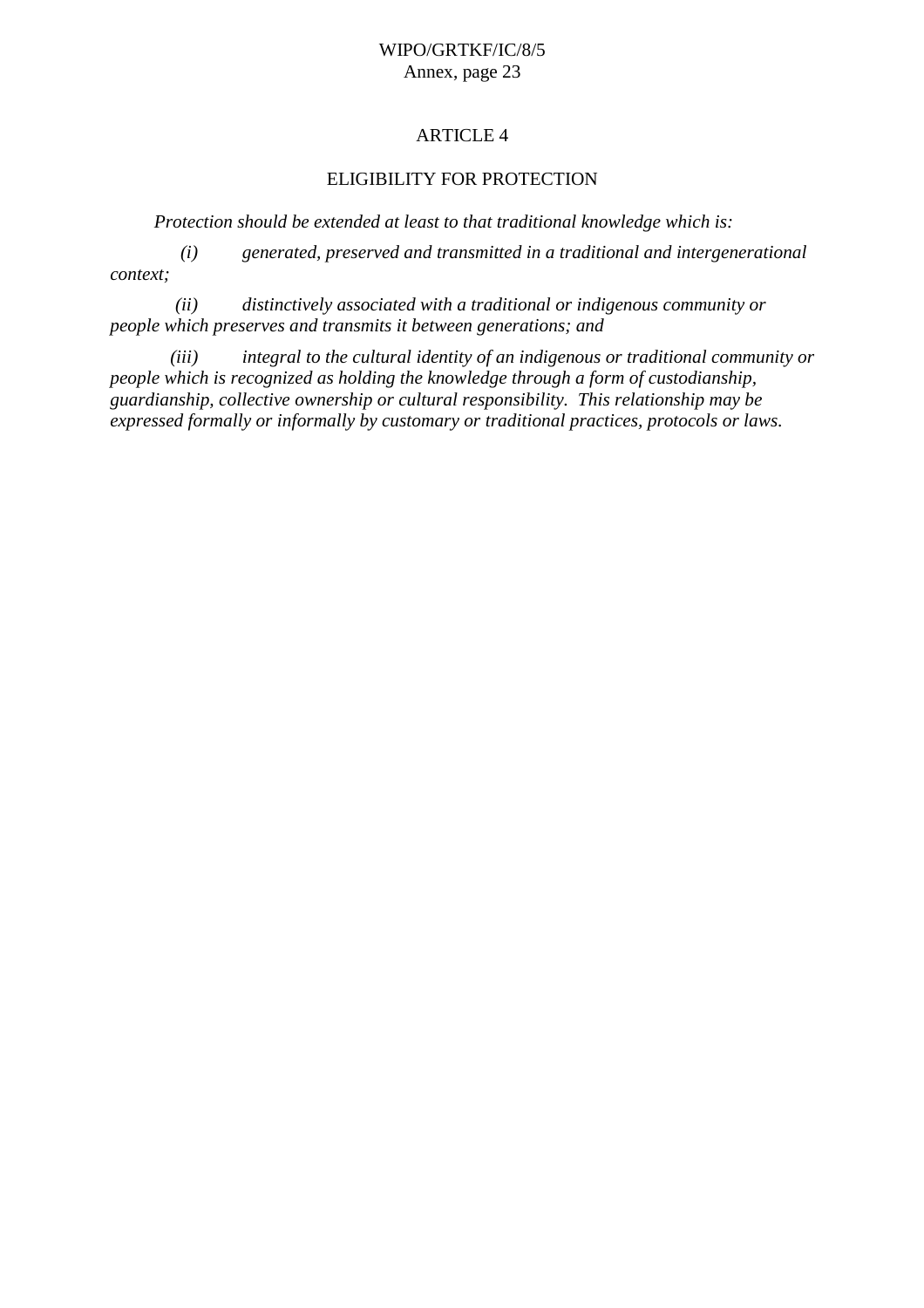### ARTICLE 4

### ELIGIBILITY FOR PROTECTION

*Protection should be extended at least to that traditional knowledge which is:*

*(i) generated, preserved and transmitted in a traditional and intergenerational context;*

*(ii) distinctively associated with a traditional or indigenous community or people which preserves and transmits it between generations; and*

*(iii) integral to the cultural identity of an indigenous or traditional community or people which is recognized as holding the knowledge through a form of custodianship, guardianship, collective ownership or cultural responsibility. This relationship may be expressed formally or informally by customary or traditional practices, protocols or laws.*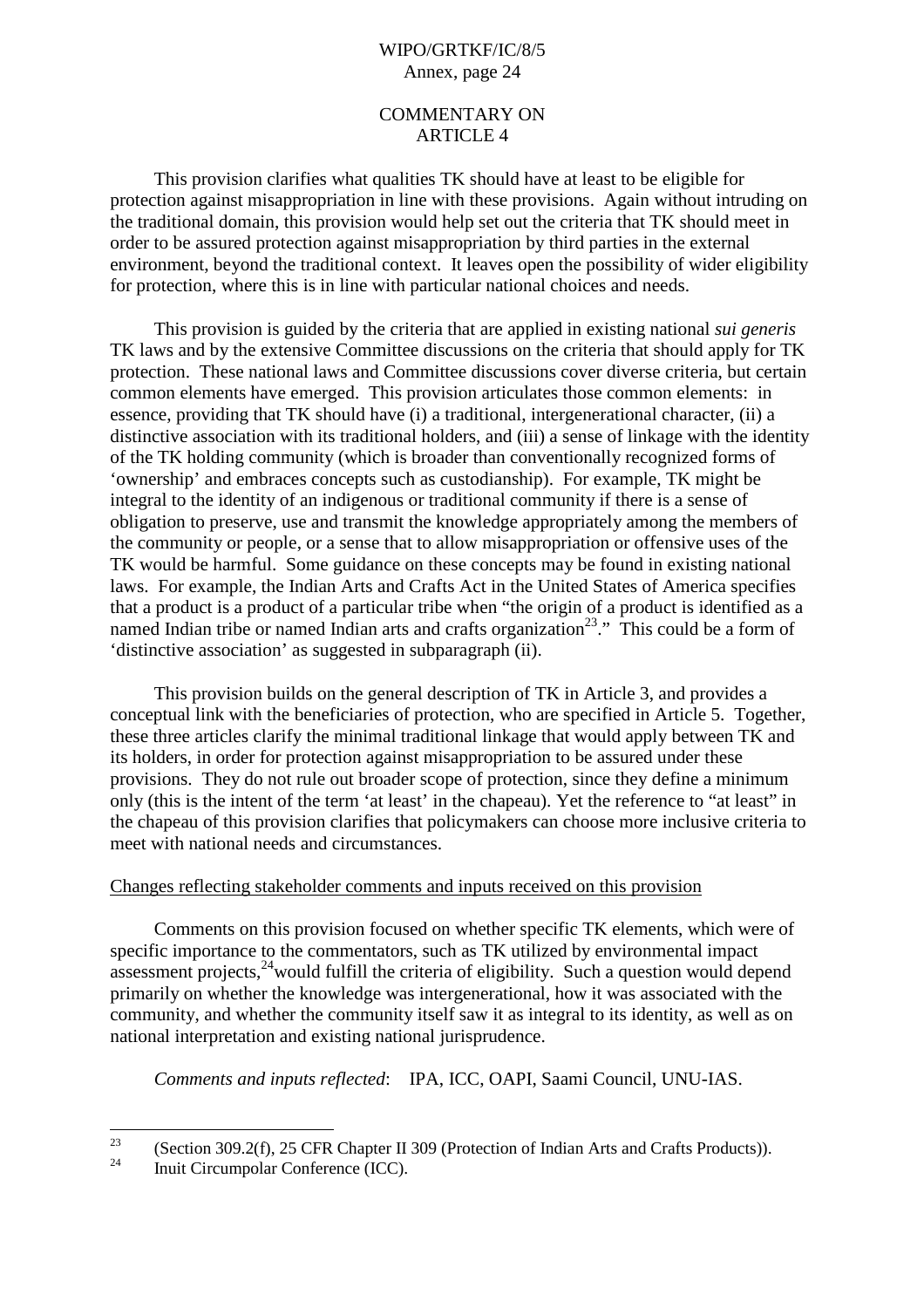#### COMMENTARY ON ARTICLE 4

This provision clarifies what qualities TK should have at least to be eligible for protection against misappropriation in line with these provisions. Again without intruding on the traditional domain, this provision would help set out the criteria that TK should meet in order to be assured protection against misappropriation by third parties in the external environment, beyond the traditional context. It leaves open the possibility of wider eligibility for protection, where this is in line with particular national choices and needs.

This provision is guided by the criteria that are applied in existing national *sui generis* TK laws and by the extensive Committee discussions on the criteria that should apply for TK protection. These national laws and Committee discussions cover diverse criteria, but certain common elements have emerged. This provision articulates those common elements: in essence, providing that TK should have (i) a traditional, intergenerational character, (ii) a distinctive association with its traditional holders, and (iii) a sense of linkage with the identity of the TK holding community (which is broader than conventionally recognized forms of 'ownership' and embraces concepts such as custodianship). For example, TK might be integral to the identity of an indigenous or traditional community if there is a sense of obligation to preserve, use and transmit the knowledge appropriately among the members of the community or people, or a sense that to allow misappropriation or offensive uses of the TK would be harmful. Some guidance on these concepts may be found in existing national laws. For example, the Indian Arts and Crafts Act in the United States of America specifies that a product is a product of a particular tribe when "the origin of a product is identified as a named Indian tribe or named Indian arts and crafts organization<sup>23</sup>." This could be a form of 'distinctive association' as suggested in subparagraph (ii).

This provision builds on the general description of TK in Article 3, and provides a conceptual link with the beneficiaries of protection, who are specified in Article 5. Together, these three articles clarify the minimal traditional linkage that would apply between TK and its holders, in order for protection against misappropriation to be assured under these provisions. They do not rule out broader scope of protection, since they define a minimum only (this is the intent of the term 'at least' in the chapeau). Yet the reference to "at least" in the chapeau of this provision clarifies that policymakers can choose more inclusive criteria to meet with national needs and circumstances.

#### Changes reflecting stakeholder comments and inputs received on this provision

Comments on this provision focused on whether specific TK elements, which were of specific importance to the commentators, such as TK utilized by environmental impact  $\alpha$ ssessment projects, $^{24}$ would fulfill the criteria of eligibility. Such a question would depend primarily on whether the knowledge was intergenerational, how it was associated with the community, and whether the community itself saw it as integral to its identity, as well as on national interpretation and existing national jurisprudence.

*Comments and inputs reflected*: IPA, ICC, OAPI, Saami Council, UNU-IAS.

<sup>&</sup>lt;sup>23</sup> (Section 309.2(f), 25 CFR Chapter II 309 (Protection of Indian Arts and Crafts Products)).<br><sup>24</sup> Invit Circumpalar Conference (ICC)

Inuit Circumpolar Conference (ICC).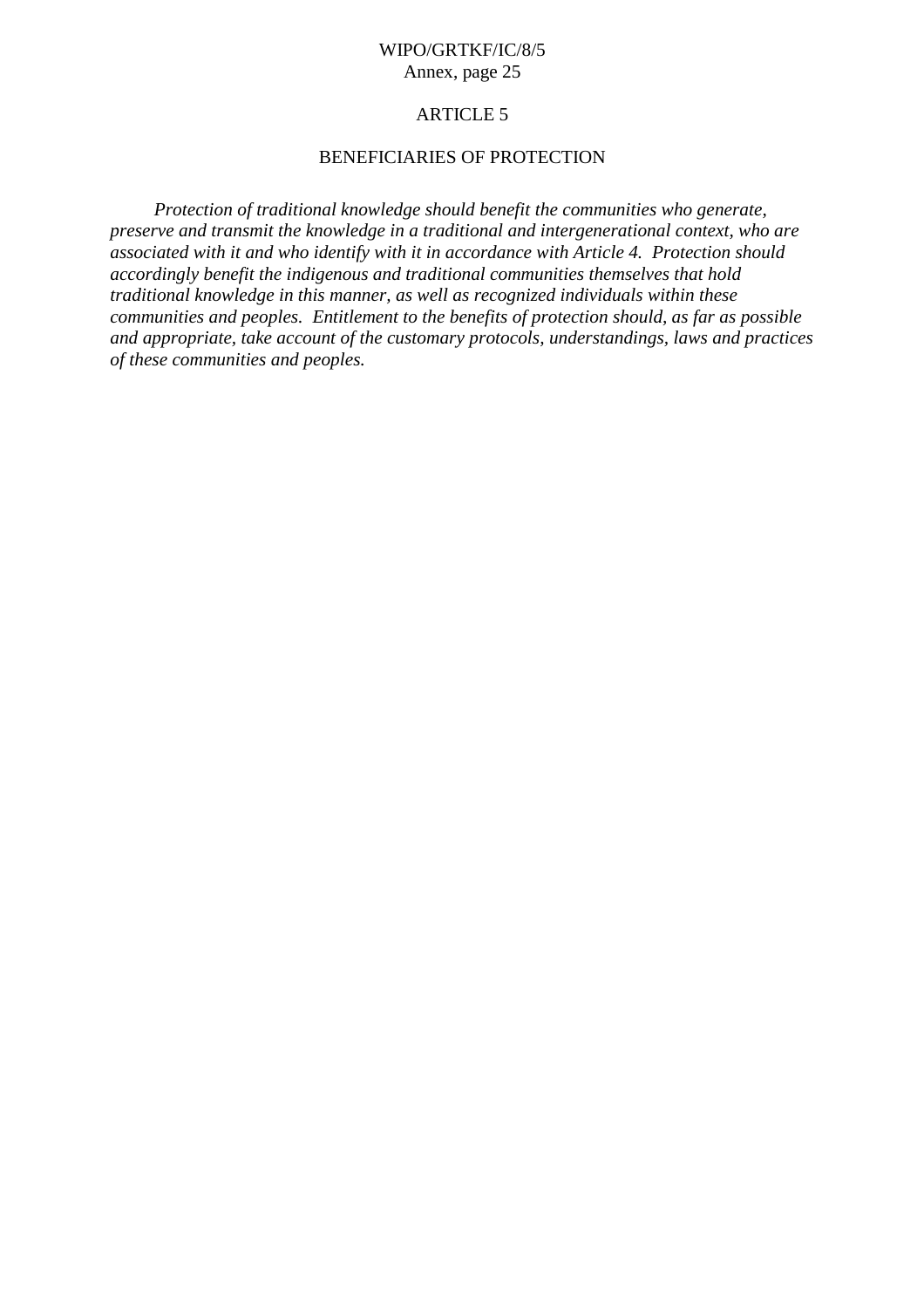#### ARTICLE 5

#### BENEFICIARIES OF PROTECTION

*Protection of traditional knowledge should benefit the communities who generate, preserve and transmit the knowledge in a traditional and intergenerational context, who are associated with it and who identify with it in accordance with Article 4. Protection should accordingly benefit the indigenous and traditional communities themselves that hold traditional knowledge in this manner, as well as recognized individuals within these communities and peoples. Entitlement to the benefits of protection should, as far as possible and appropriate, take account of the customary protocols, understandings, laws and practices of these communities and peoples.*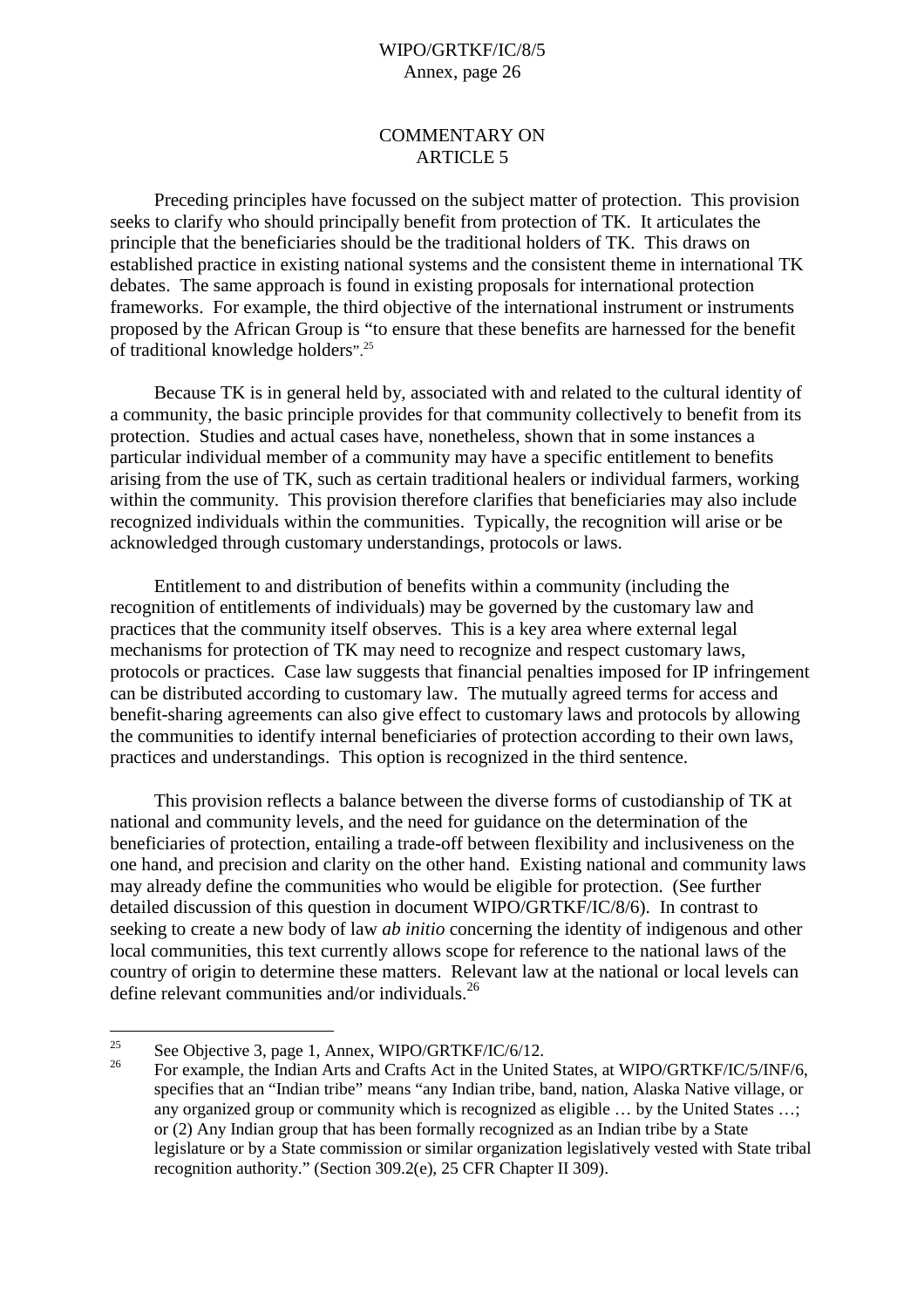#### COMMENTARY ON ARTICLE 5

Preceding principles have focussed on the subject matter of protection. This provision seeks to clarify who should principally benefit from protection of TK. It articulates the principle that the beneficiaries should be the traditional holders of TK. This draws on established practice in existing national systems and the consistent theme in international TK debates. The same approach is found in existing proposals for international protection frameworks. For example, the third objective of the international instrument or instruments proposed by the African Group is "to ensure that these benefits are harnessed for the benefit of traditional knowledge holders".25

Because TK is in general held by, associated with and related to the cultural identity of a community, the basic principle provides for that community collectively to benefit from its protection. Studies and actual cases have, nonetheless, shown that in some instances a particular individual member of a community may have a specific entitlement to benefits arising from the use of TK, such as certain traditional healers or individual farmers, working within the community. This provision therefore clarifies that beneficiaries may also include recognized individuals within the communities. Typically, the recognition will arise or be acknowledged through customary understandings, protocols or laws.

Entitlement to and distribution of benefits within a community (including the recognition of entitlements of individuals) may be governed by the customary law and practices that the community itself observes. This is a key area where external legal mechanisms for protection of TK may need to recognize and respect customary laws, protocols or practices. Case law suggests that financial penalties imposed for IP infringement can be distributed according to customary law. The mutually agreed terms for access and benefit-sharing agreements can also give effect to customary laws and protocols by allowing the communities to identify internal beneficiaries of protection according to their own laws, practices and understandings. This option is recognized in the third sentence.

This provision reflects a balance between the diverse forms of custodianship of TK at national and community levels, and the need for guidance on the determination of the beneficiaries of protection, entailing a trade-off between flexibility and inclusiveness on the one hand, and precision and clarity on the other hand. Existing national and community laws may already define the communities who would be eligible for protection. (See further detailed discussion of this question in document WIPO/GRTKF/IC/8/6). In contrast to seeking to create a new body of law *ab initio* concerning the identity of indigenous and other local communities, this text currently allows scope for reference to the national laws of the country of origin to determine these matters. Relevant law at the national or local levels can define relevant communities and/or individuals.26

<sup>&</sup>lt;sup>25</sup> See Objective 3, page 1, Annex, WIPO/GRTKF/IC/6/12.

<sup>26</sup> For example, the Indian Arts and Crafts Act in the United States, at WIPO/GRTKF/IC/5/INF/6, specifies that an "Indian tribe" means "any Indian tribe, band, nation, Alaska Native village, or any organized group or community which is recognized as eligible … by the United States …; or (2) Any Indian group that has been formally recognized as an Indian tribe by a State legislature or by a State commission or similar organization legislatively vested with State tribal recognition authority." (Section 309.2(e), 25 CFR Chapter II 309).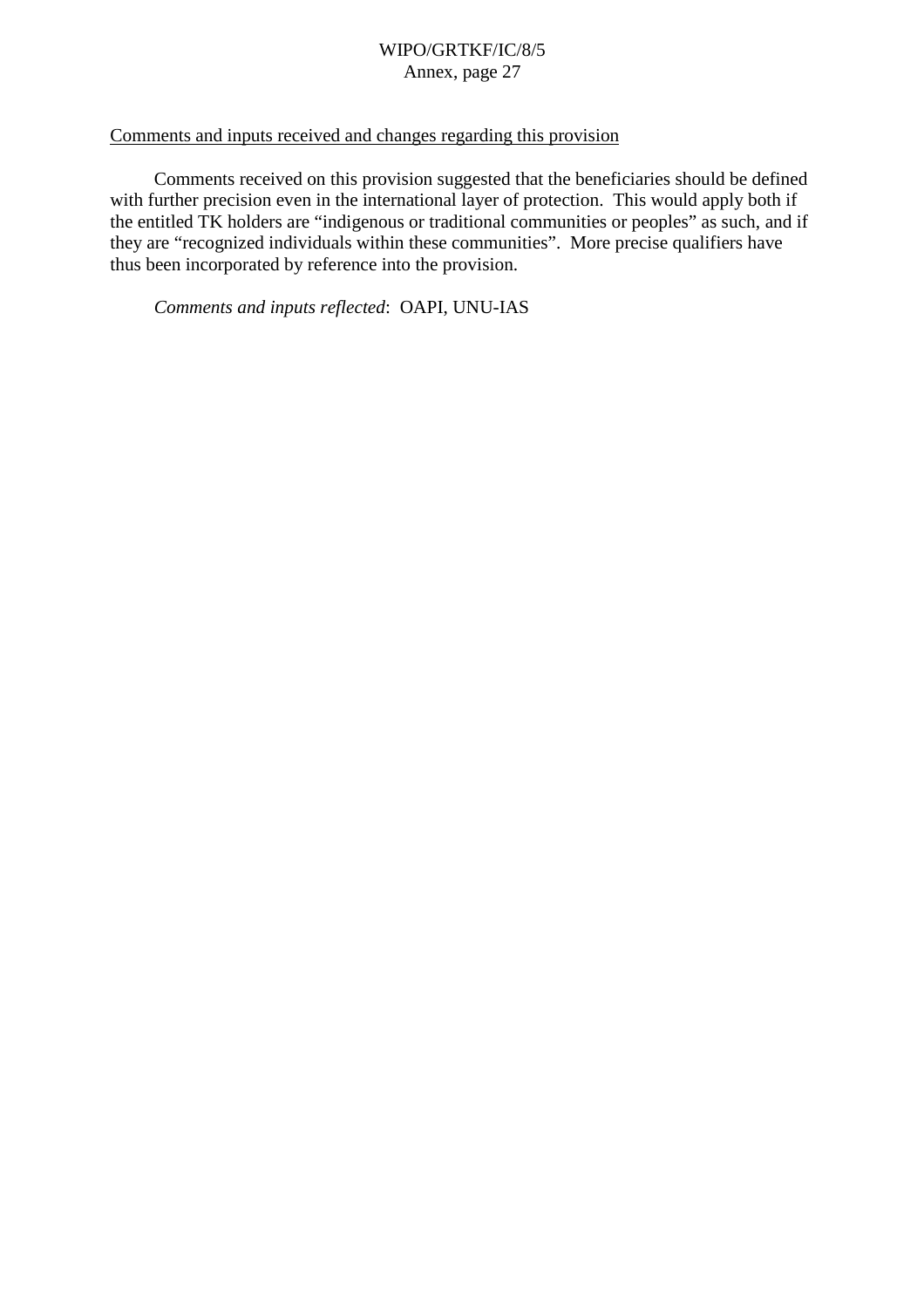# Comments and inputs received and changes regarding this provision

Comments received on this provision suggested that the beneficiaries should be defined with further precision even in the international layer of protection. This would apply both if the entitled TK holders are "indigenous or traditional communities or peoples" as such, and if they are "recognized individuals within these communities". More precise qualifiers have thus been incorporated by reference into the provision.

*Comments and inputs reflected*: OAPI, UNU-IAS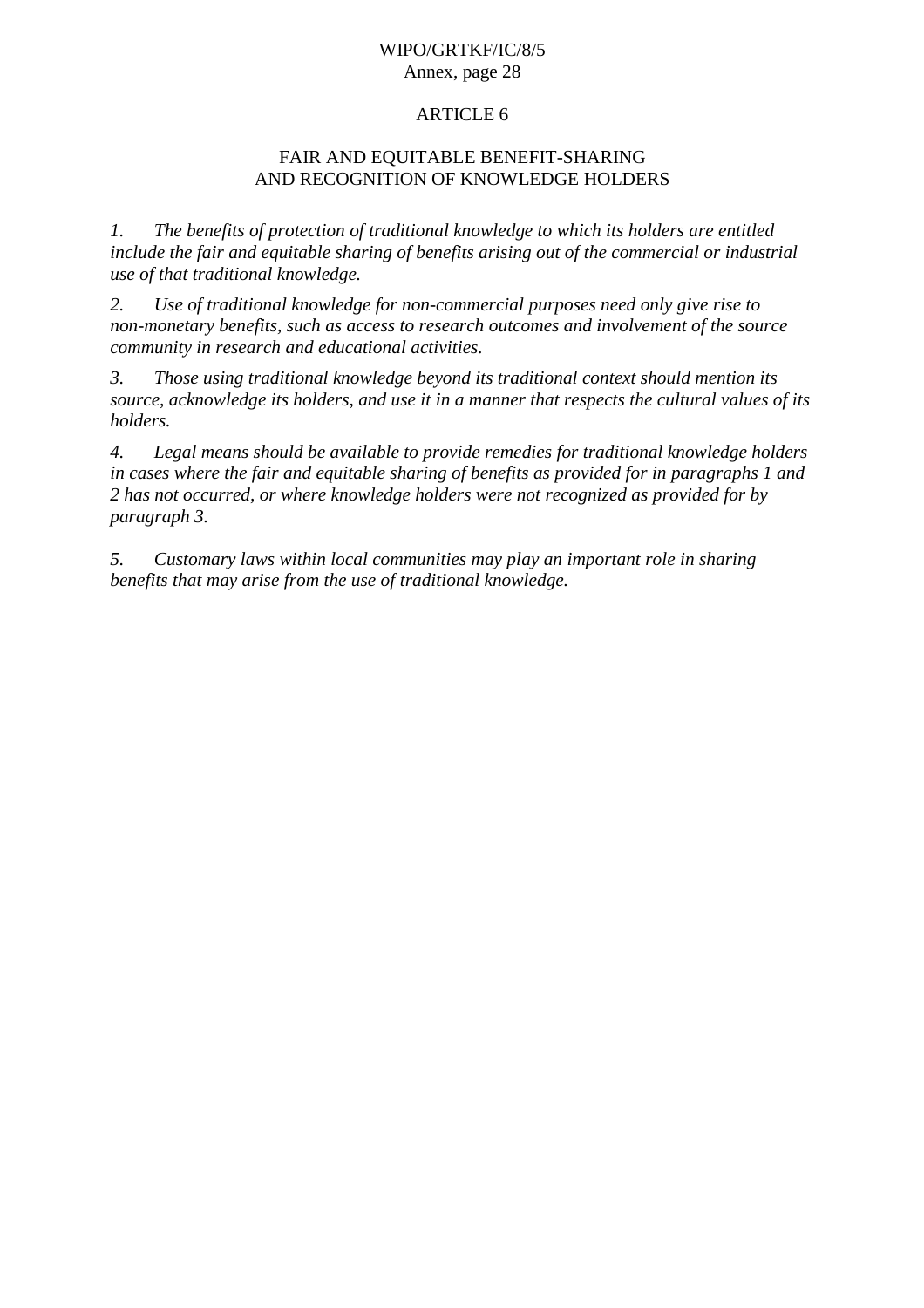### ARTICLE 6

#### FAIR AND EQUITABLE BENEFIT-SHARING AND RECOGNITION OF KNOWLEDGE HOLDERS

*1. The benefits of protection of traditional knowledge to which its holders are entitled include the fair and equitable sharing of benefits arising out of the commercial or industrial use of that traditional knowledge.*

*2. Use of traditional knowledge for non-commercial purposes need only give rise to non-monetary benefits, such as access to research outcomes and involvement of the source community in research and educational activities.*

*3. Those using traditional knowledge beyond its traditional context should mention its source, acknowledge its holders, and use it in a manner that respects the cultural values of its holders.* 

*4. Legal means should be available to provide remedies for traditional knowledge holders in cases where the fair and equitable sharing of benefits as provided for in paragraphs 1 and 2 has not occurred, or where knowledge holders were not recognized as provided for by paragraph 3.* 

*5. Customary laws within local communities may play an important role in sharing benefits that may arise from the use of traditional knowledge.*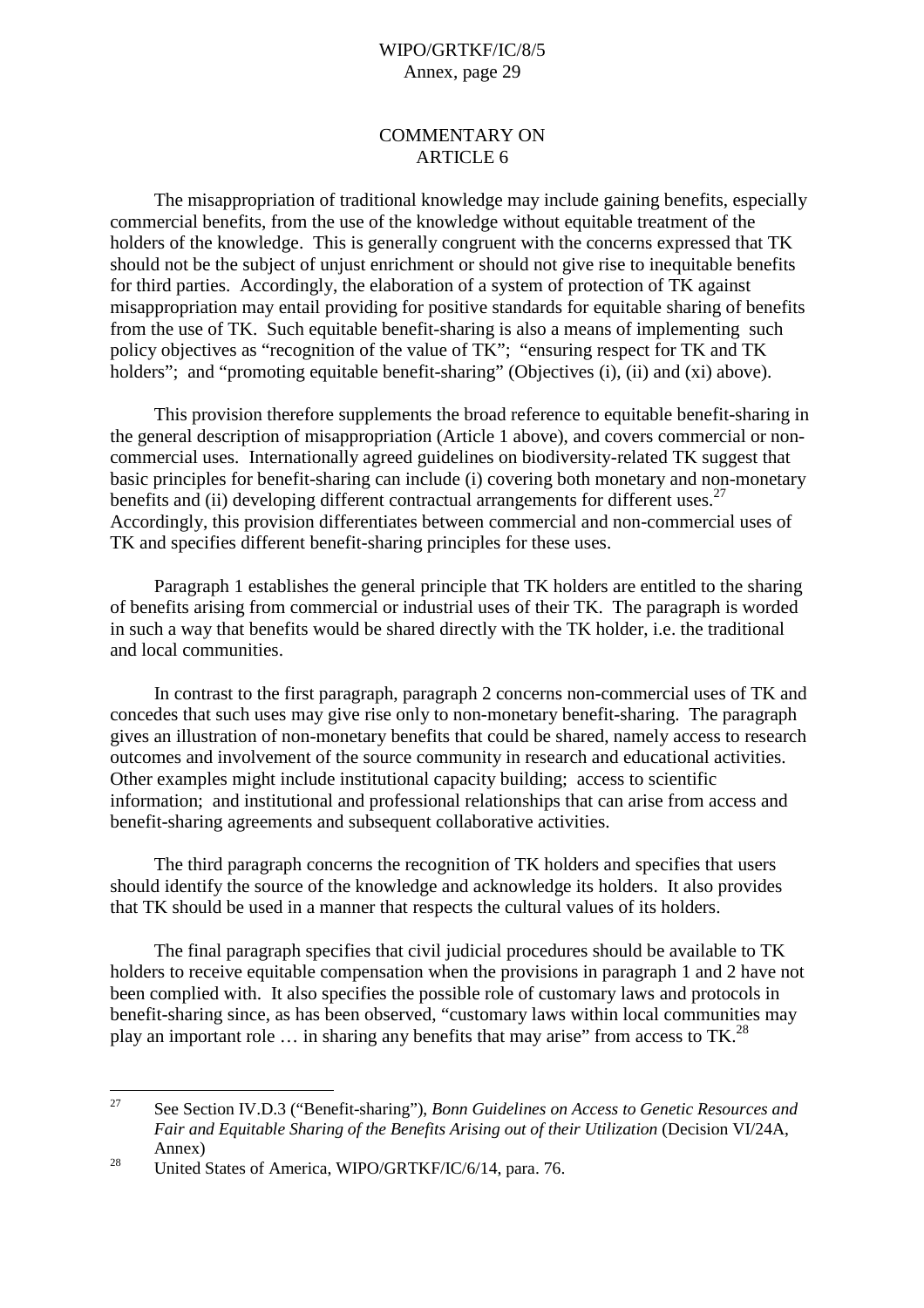#### COMMENTARY ON ARTICLE 6

The misappropriation of traditional knowledge may include gaining benefits, especially commercial benefits, from the use of the knowledge without equitable treatment of the holders of the knowledge. This is generally congruent with the concerns expressed that TK should not be the subject of unjust enrichment or should not give rise to inequitable benefits for third parties. Accordingly, the elaboration of a system of protection of TK against misappropriation may entail providing for positive standards for equitable sharing of benefits from the use of TK. Such equitable benefit-sharing is also a means of implementing such policy objectives as "recognition of the value of TK"; "ensuring respect for TK and TK holders"; and "promoting equitable benefit-sharing" (Objectives (i), (ii) and (xi) above).

This provision therefore supplements the broad reference to equitable benefit-sharing in the general description of misappropriation (Article 1 above), and covers commercial or noncommercial uses. Internationally agreed guidelines on biodiversity-related TK suggest that basic principles for benefit-sharing can include (i) covering both monetary and non-monetary benefits and (ii) developing different contractual arrangements for different uses.<sup>27</sup> Accordingly, this provision differentiates between commercial and non-commercial uses of TK and specifies different benefit-sharing principles for these uses.

Paragraph 1 establishes the general principle that TK holders are entitled to the sharing of benefits arising from commercial or industrial uses of their TK. The paragraph is worded in such a way that benefits would be shared directly with the TK holder, i.e. the traditional and local communities.

In contrast to the first paragraph, paragraph 2 concerns non-commercial uses of TK and concedes that such uses may give rise only to non-monetary benefit-sharing. The paragraph gives an illustration of non-monetary benefits that could be shared, namely access to research outcomes and involvement of the source community in research and educational activities. Other examples might include institutional capacity building; access to scientific information; and institutional and professional relationships that can arise from access and benefit-sharing agreements and subsequent collaborative activities.

The third paragraph concerns the recognition of TK holders and specifies that users should identify the source of the knowledge and acknowledge its holders. It also provides that TK should be used in a manner that respects the cultural values of its holders.

The final paragraph specifies that civil judicial procedures should be available to TK holders to receive equitable compensation when the provisions in paragraph 1 and 2 have not been complied with. It also specifies the possible role of customary laws and protocols in benefit-sharing since, as has been observed, "customary laws within local communities may play an important role  $\ldots$  in sharing any benefits that may arise" from access to TK.<sup>28</sup>

<sup>27</sup> See Section IV.D.3 ("Benefit-sharing"), *Bonn Guidelines on Access to Genetic Resources and Fair and Equitable Sharing of the Benefits Arising out of their Utilization* (Decision VI/24A, Annex)

<sup>&</sup>lt;sup>28</sup> United States of America, WIPO/GRTKF/IC/6/14, para. 76.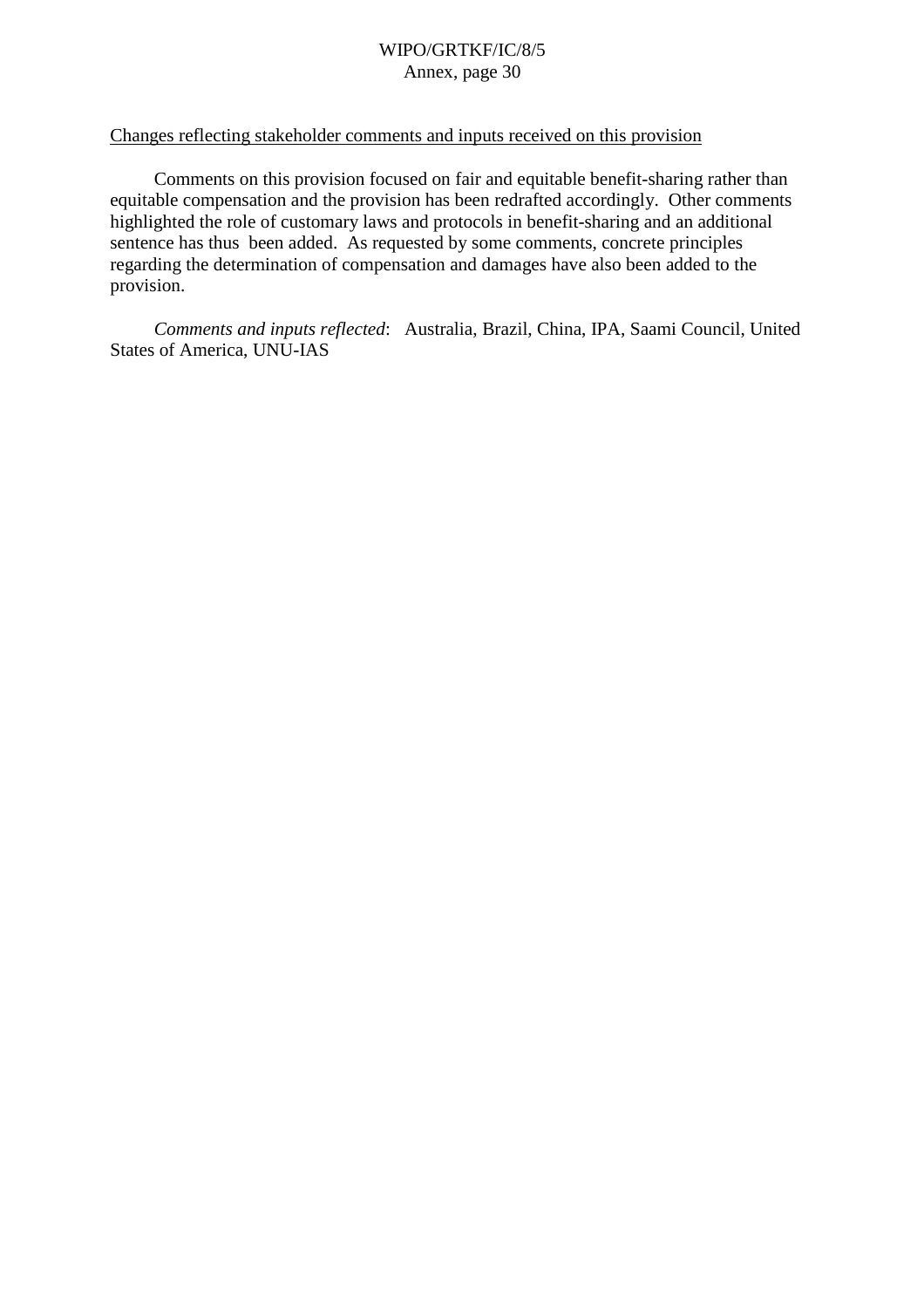#### Changes reflecting stakeholder comments and inputs received on this provision

Comments on this provision focused on fair and equitable benefit-sharing rather than equitable compensation and the provision has been redrafted accordingly. Other comments highlighted the role of customary laws and protocols in benefit-sharing and an additional sentence has thus been added. As requested by some comments, concrete principles regarding the determination of compensation and damages have also been added to the provision.

*Comments and inputs reflected*: Australia, Brazil, China, IPA, Saami Council, United States of America, UNU-IAS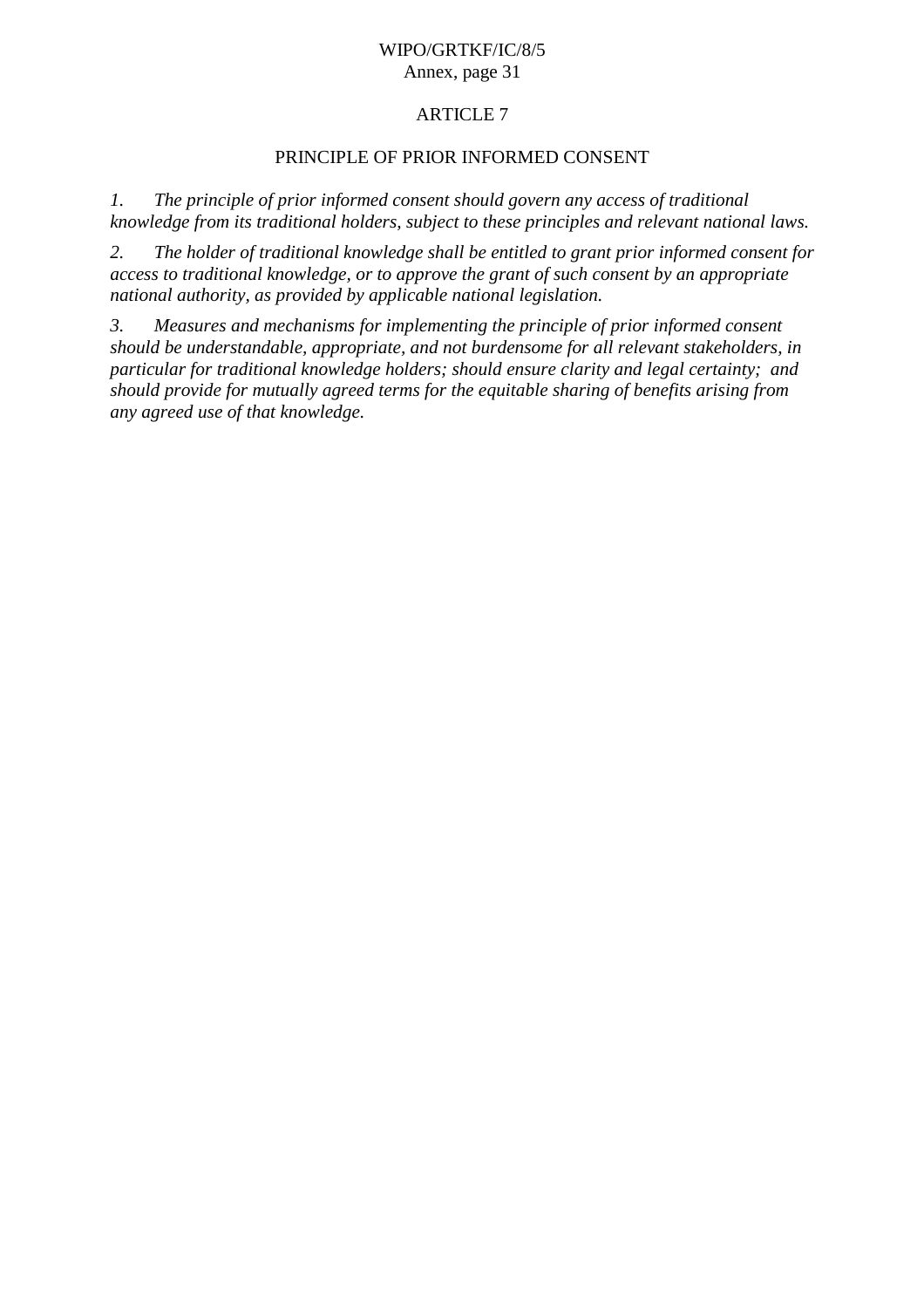### ARTICLE 7

#### PRINCIPLE OF PRIOR INFORMED CONSENT

*1. The principle of prior informed consent should govern any access of traditional knowledge from its traditional holders, subject to these principles and relevant national laws.* 

*2. The holder of traditional knowledge shall be entitled to grant prior informed consent for access to traditional knowledge, or to approve the grant of such consent by an appropriate national authority, as provided by applicable national legislation.*

*3. Measures and mechanisms for implementing the principle of prior informed consent should be understandable, appropriate, and not burdensome for all relevant stakeholders, in particular for traditional knowledge holders; should ensure clarity and legal certainty; and should provide for mutually agreed terms for the equitable sharing of benefits arising from any agreed use of that knowledge.*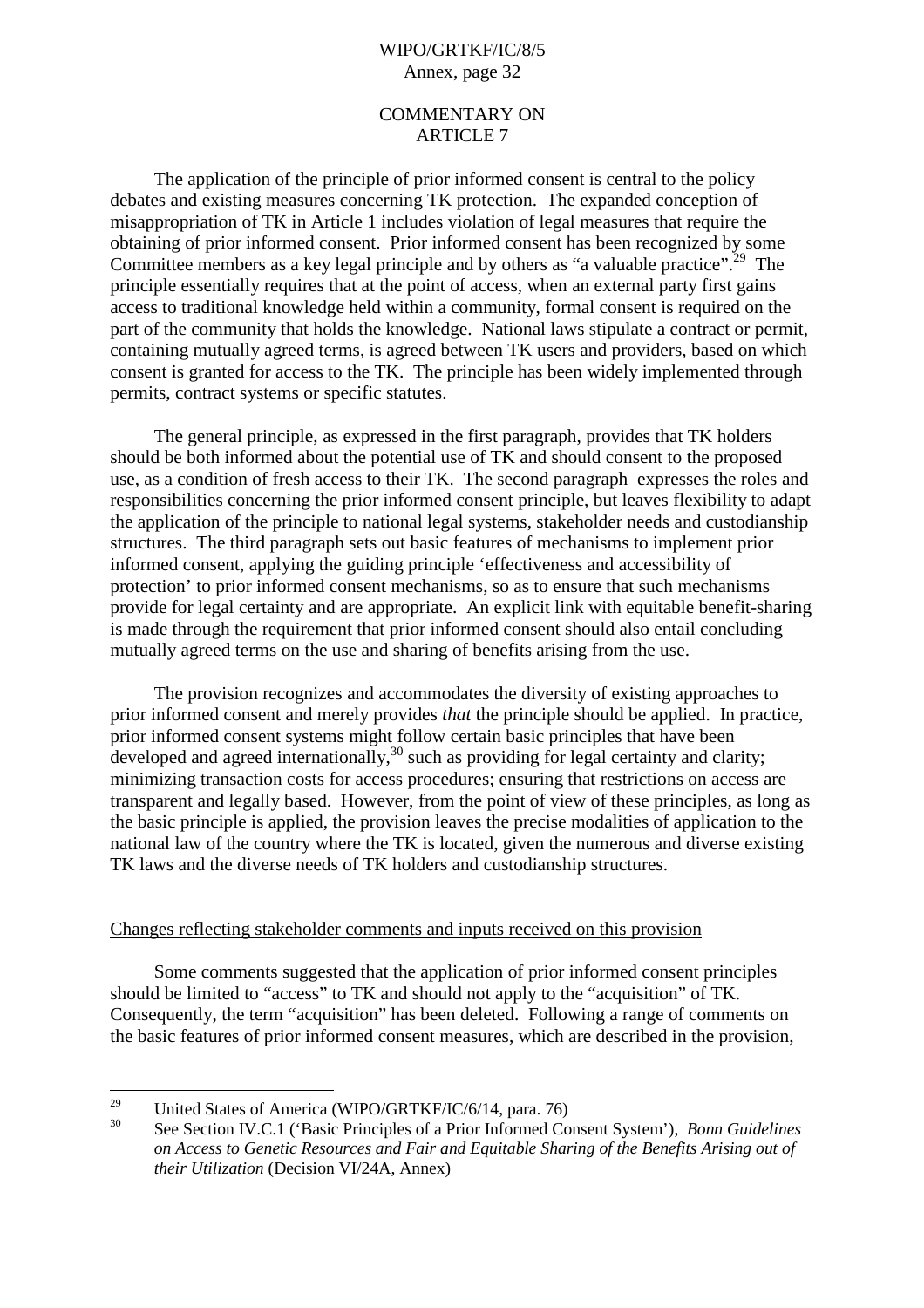#### COMMENTARY ON ARTICLE 7

The application of the principle of prior informed consent is central to the policy debates and existing measures concerning TK protection. The expanded conception of misappropriation of TK in Article 1 includes violation of legal measures that require the obtaining of prior informed consent. Prior informed consent has been recognized by some Committee members as a key legal principle and by others as "a valuable practice".<sup>29</sup> The principle essentially requires that at the point of access, when an external party first gains access to traditional knowledge held within a community, formal consent is required on the part of the community that holds the knowledge. National laws stipulate a contract or permit, containing mutually agreed terms, is agreed between TK users and providers, based on which consent is granted for access to the TK. The principle has been widely implemented through permits, contract systems or specific statutes.

The general principle, as expressed in the first paragraph, provides that TK holders should be both informed about the potential use of TK and should consent to the proposed use, as a condition of fresh access to their TK. The second paragraph expresses the roles and responsibilities concerning the prior informed consent principle, but leaves flexibility to adapt the application of the principle to national legal systems, stakeholder needs and custodianship structures. The third paragraph sets out basic features of mechanisms to implement prior informed consent, applying the guiding principle 'effectiveness and accessibility of protection' to prior informed consent mechanisms, so as to ensure that such mechanisms provide for legal certainty and are appropriate. An explicit link with equitable benefit-sharing is made through the requirement that prior informed consent should also entail concluding mutually agreed terms on the use and sharing of benefits arising from the use.

The provision recognizes and accommodates the diversity of existing approaches to prior informed consent and merely provides *that* the principle should be applied. In practice, prior informed consent systems might follow certain basic principles that have been developed and agreed internationally,<sup>30</sup> such as providing for legal certainty and clarity; minimizing transaction costs for access procedures; ensuring that restrictions on access are transparent and legally based. However, from the point of view of these principles, as long as the basic principle is applied, the provision leaves the precise modalities of application to the national law of the country where the TK is located, given the numerous and diverse existing TK laws and the diverse needs of TK holders and custodianship structures.

#### Changes reflecting stakeholder comments and inputs received on this provision

Some comments suggested that the application of prior informed consent principles should be limited to "access" to TK and should not apply to the "acquisition" of TK. Consequently, the term "acquisition" has been deleted. Following a range of comments on the basic features of prior informed consent measures, which are described in the provision,

<sup>&</sup>lt;sup>29</sup> United States of America (WIPO/GRTKF/IC/6/14, para. 76)

<sup>30</sup> See Section IV.C.1 ('Basic Principles of a Prior Informed Consent System'), *Bonn Guidelines on Access to Genetic Resources and Fair and Equitable Sharing of the Benefits Arising out of their Utilization* (Decision VI/24A, Annex)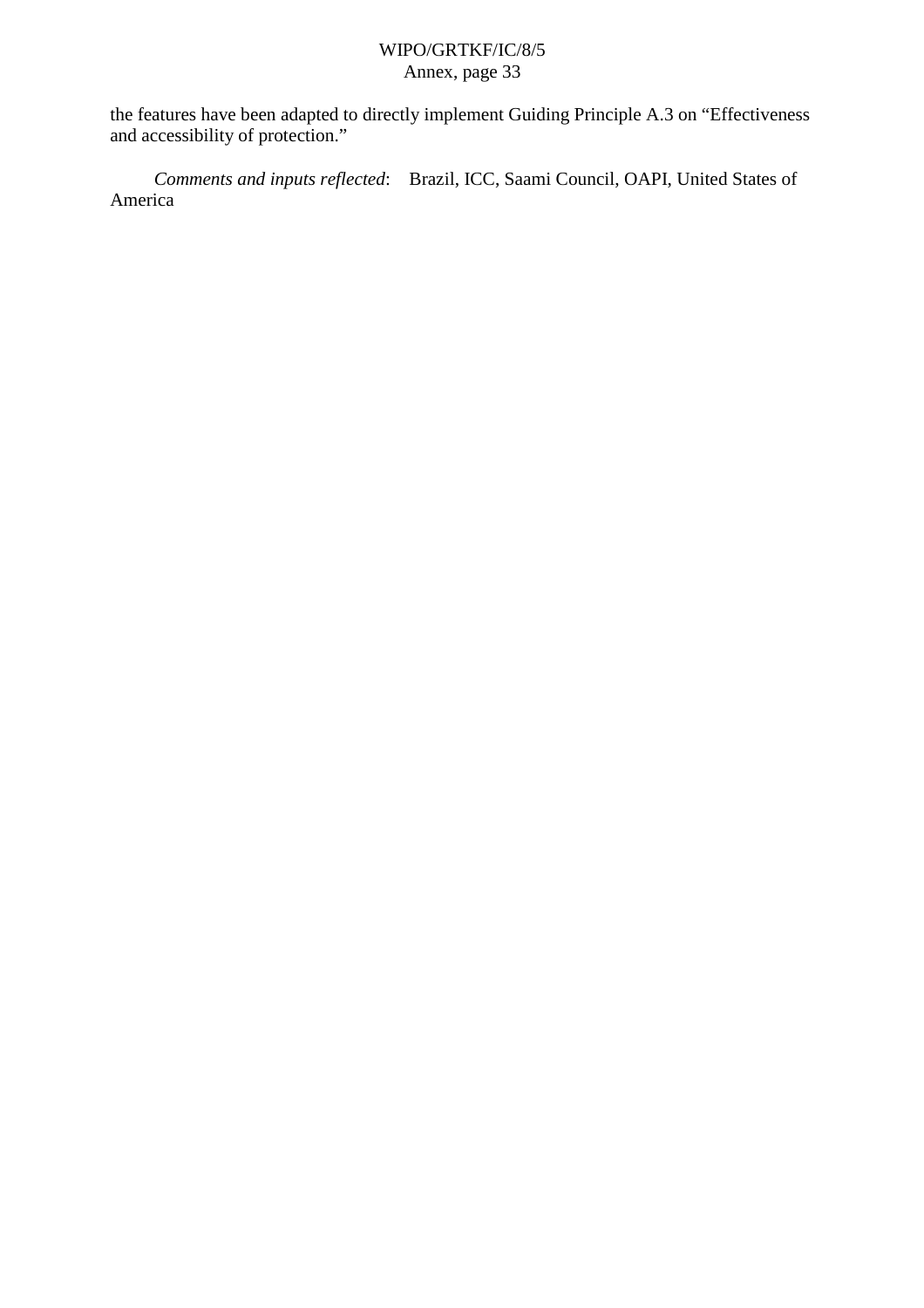the features have been adapted to directly implement Guiding Principle A.3 on "Effectiveness and accessibility of protection."

*Comments and inputs reflected*: Brazil, ICC, Saami Council, OAPI, United States of America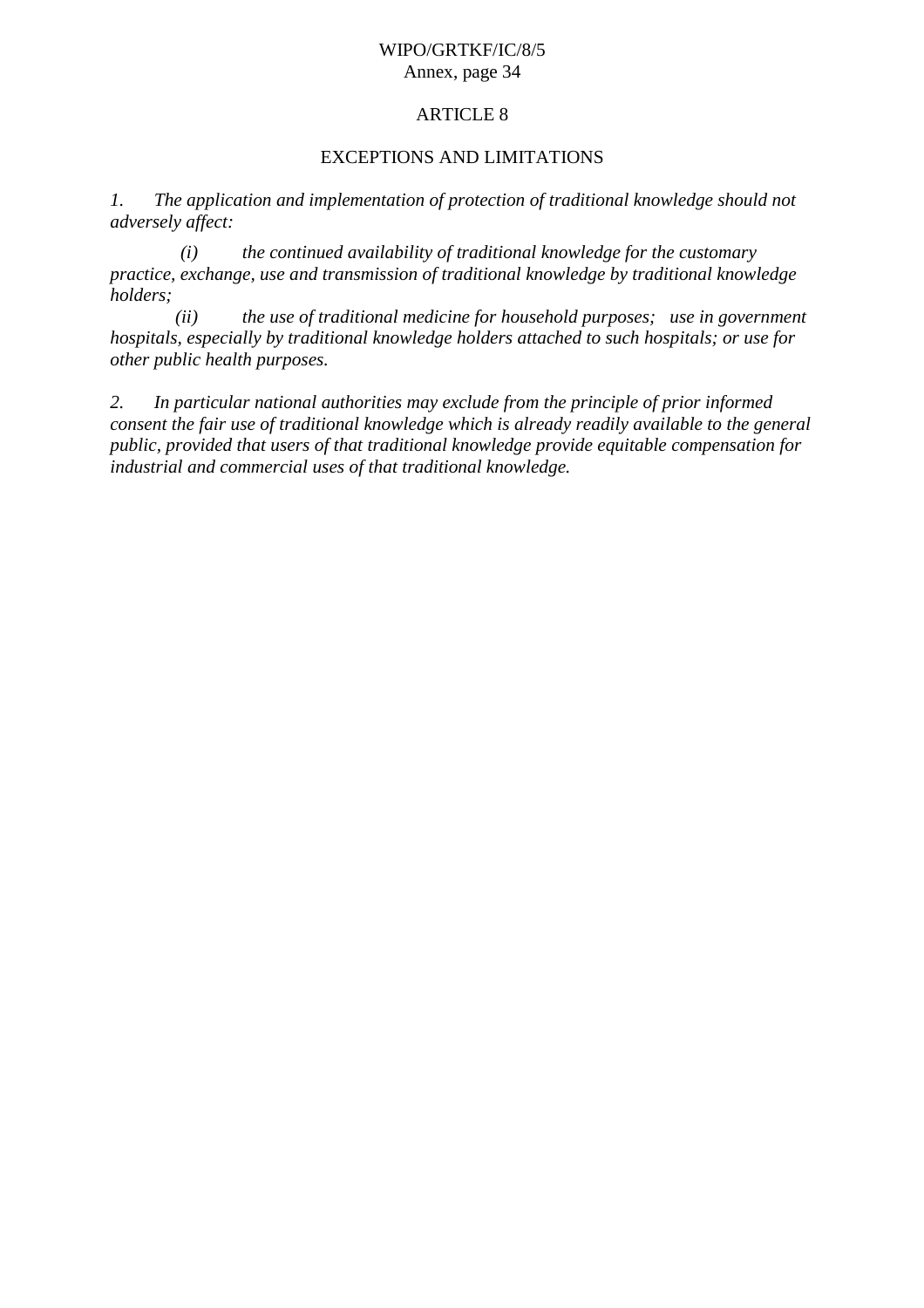#### ARTICLE 8

#### EXCEPTIONS AND LIMITATIONS

*1. The application and implementation of protection of traditional knowledge should not adversely affect:*

*(i) the continued availability of traditional knowledge for the customary practice, exchange, use and transmission of traditional knowledge by traditional knowledge holders;*

*(ii) the use of traditional medicine for household purposes; use in government hospitals, especially by traditional knowledge holders attached to such hospitals; or use for other public health purposes.*

*2. In particular national authorities may exclude from the principle of prior informed consent the fair use of traditional knowledge which is already readily available to the general public, provided that users of that traditional knowledge provide equitable compensation for industrial and commercial uses of that traditional knowledge.*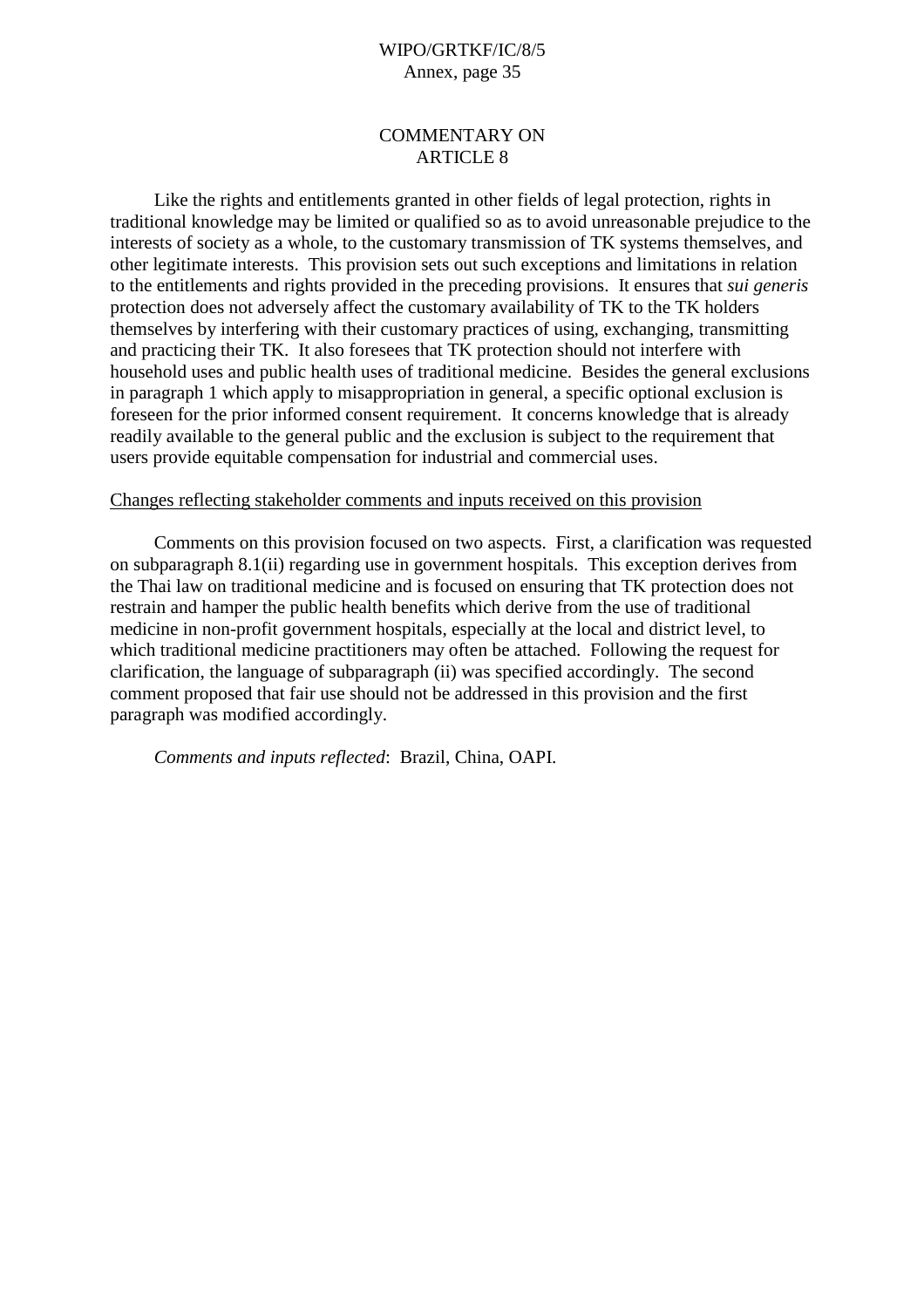#### COMMENTARY ON ARTICLE 8

Like the rights and entitlements granted in other fields of legal protection, rights in traditional knowledge may be limited or qualified so as to avoid unreasonable prejudice to the interests of society as a whole, to the customary transmission of TK systems themselves, and other legitimate interests. This provision sets out such exceptions and limitations in relation to the entitlements and rights provided in the preceding provisions. It ensures that *sui generis* protection does not adversely affect the customary availability of TK to the TK holders themselves by interfering with their customary practices of using, exchanging, transmitting and practicing their TK. It also foresees that TK protection should not interfere with household uses and public health uses of traditional medicine. Besides the general exclusions in paragraph 1 which apply to misappropriation in general, a specific optional exclusion is foreseen for the prior informed consent requirement. It concerns knowledge that is already readily available to the general public and the exclusion is subject to the requirement that users provide equitable compensation for industrial and commercial uses.

#### Changes reflecting stakeholder comments and inputs received on this provision

Comments on this provision focused on two aspects. First, a clarification was requested on subparagraph 8.1(ii) regarding use in government hospitals. This exception derives from the Thai law on traditional medicine and is focused on ensuring that TK protection does not restrain and hamper the public health benefits which derive from the use of traditional medicine in non-profit government hospitals, especially at the local and district level, to which traditional medicine practitioners may often be attached. Following the request for clarification, the language of subparagraph (ii) was specified accordingly. The second comment proposed that fair use should not be addressed in this provision and the first paragraph was modified accordingly.

*Comments and inputs reflected*: Brazil, China, OAPI.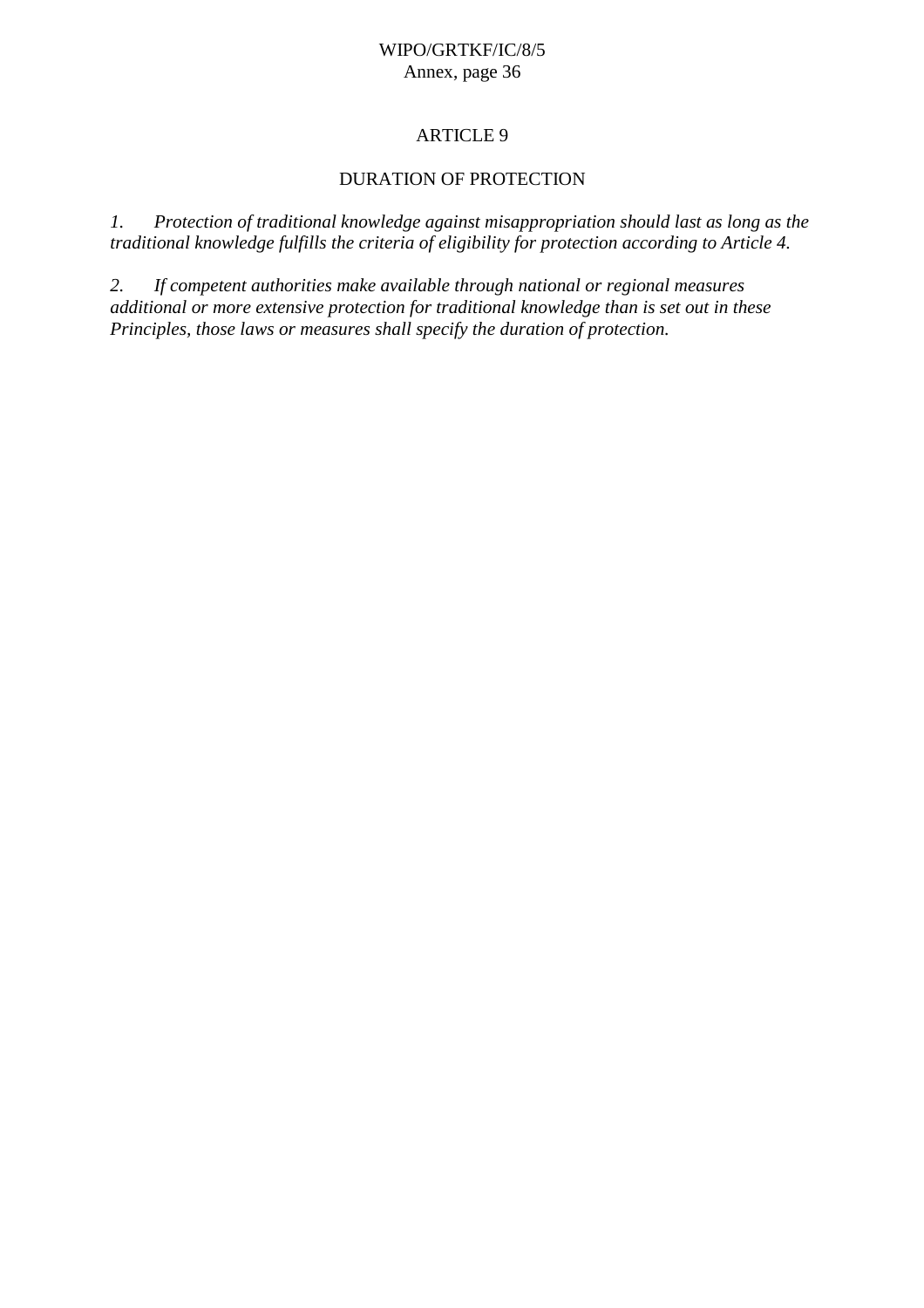### ARTICLE 9

### DURATION OF PROTECTION

*1. Protection of traditional knowledge against misappropriation should last as long as the traditional knowledge fulfills the criteria of eligibility for protection according to Article 4.*

*2. If competent authorities make available through national or regional measures additional or more extensive protection for traditional knowledge than is set out in these Principles, those laws or measures shall specify the duration of protection.*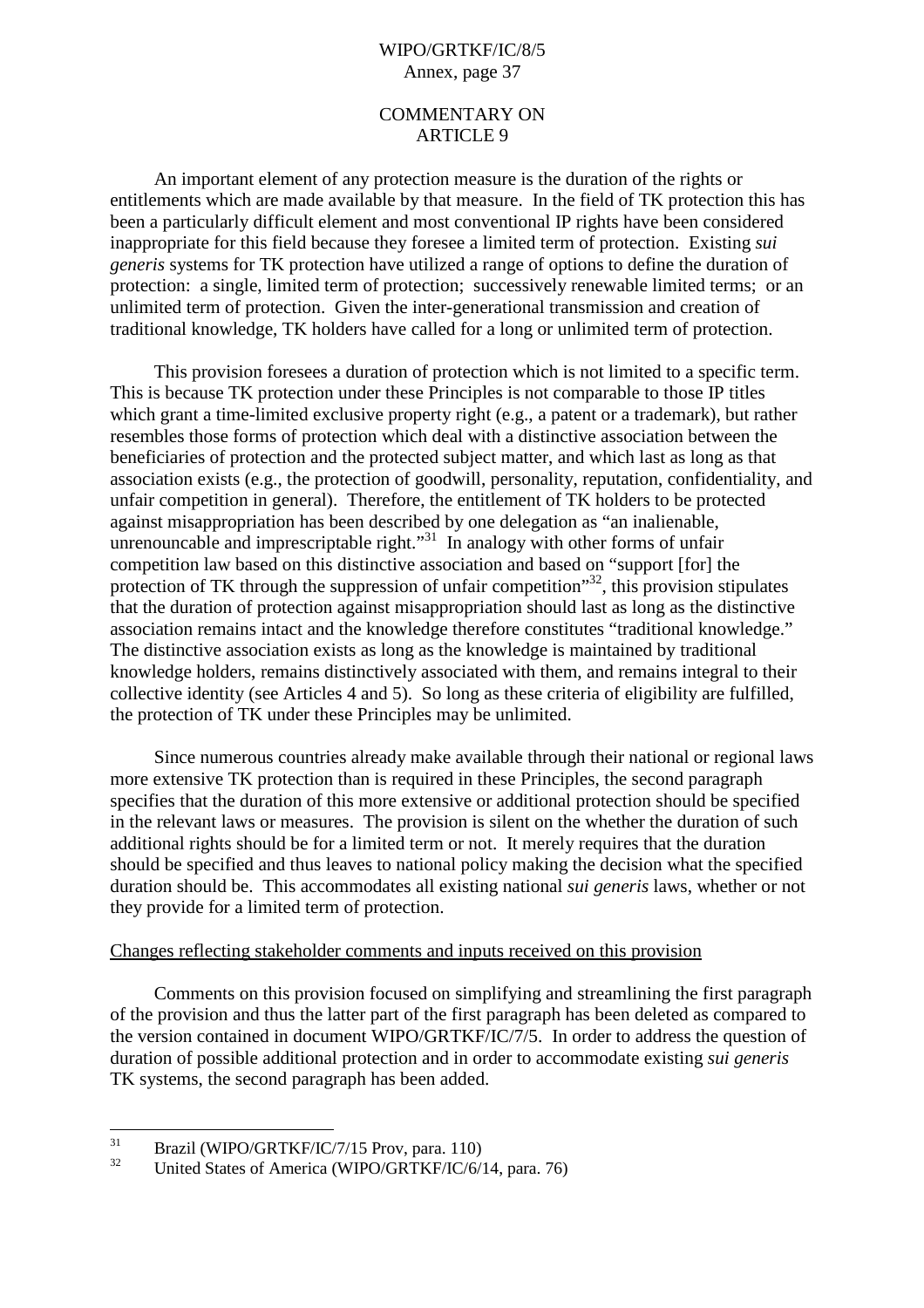#### COMMENTARY ON ARTICLE 9

An important element of any protection measure is the duration of the rights or entitlements which are made available by that measure. In the field of TK protection this has been a particularly difficult element and most conventional IP rights have been considered inappropriate for this field because they foresee a limited term of protection. Existing *sui generis* systems for TK protection have utilized a range of options to define the duration of protection: a single, limited term of protection; successively renewable limited terms; or an unlimited term of protection. Given the inter-generational transmission and creation of traditional knowledge, TK holders have called for a long or unlimited term of protection.

This provision foresees a duration of protection which is not limited to a specific term. This is because TK protection under these Principles is not comparable to those IP titles which grant a time-limited exclusive property right (e.g., a patent or a trademark), but rather resembles those forms of protection which deal with a distinctive association between the beneficiaries of protection and the protected subject matter, and which last as long as that association exists (e.g., the protection of goodwill, personality, reputation, confidentiality, and unfair competition in general). Therefore, the entitlement of TK holders to be protected against misappropriation has been described by one delegation as "an inalienable, unrenouncable and imprescriptable right."<sup>31</sup> In analogy with other forms of unfair competition law based on this distinctive association and based on "support [for] the protection of TK through the suppression of unfair competition" $32$ , this provision stipulates that the duration of protection against misappropriation should last as long as the distinctive association remains intact and the knowledge therefore constitutes "traditional knowledge." The distinctive association exists as long as the knowledge is maintained by traditional knowledge holders, remains distinctively associated with them, and remains integral to their collective identity (see Articles 4 and 5). So long as these criteria of eligibility are fulfilled, the protection of TK under these Principles may be unlimited.

Since numerous countries already make available through their national or regional laws more extensive TK protection than is required in these Principles, the second paragraph specifies that the duration of this more extensive or additional protection should be specified in the relevant laws or measures. The provision is silent on the whether the duration of such additional rights should be for a limited term or not. It merely requires that the duration should be specified and thus leaves to national policy making the decision what the specified duration should be. This accommodates all existing national *sui generis* laws, whether or not they provide for a limited term of protection.

#### Changes reflecting stakeholder comments and inputs received on this provision

Comments on this provision focused on simplifying and streamlining the first paragraph of the provision and thus the latter part of the first paragraph has been deleted as compared to the version contained in document WIPO/GRTKF/IC/7/5. In order to address the question of duration of possible additional protection and in order to accommodate existing *sui generis*  TK systems, the second paragraph has been added.

<sup>&</sup>lt;sup>31</sup> Brazil (WIPO/GRTKF/IC/7/15 Prov, para. 110)<br><sup>32</sup> United States of America (WIDO/CRTKE/IC/6/1

United States of America (WIPO/GRTKF/IC/6/14, para. 76)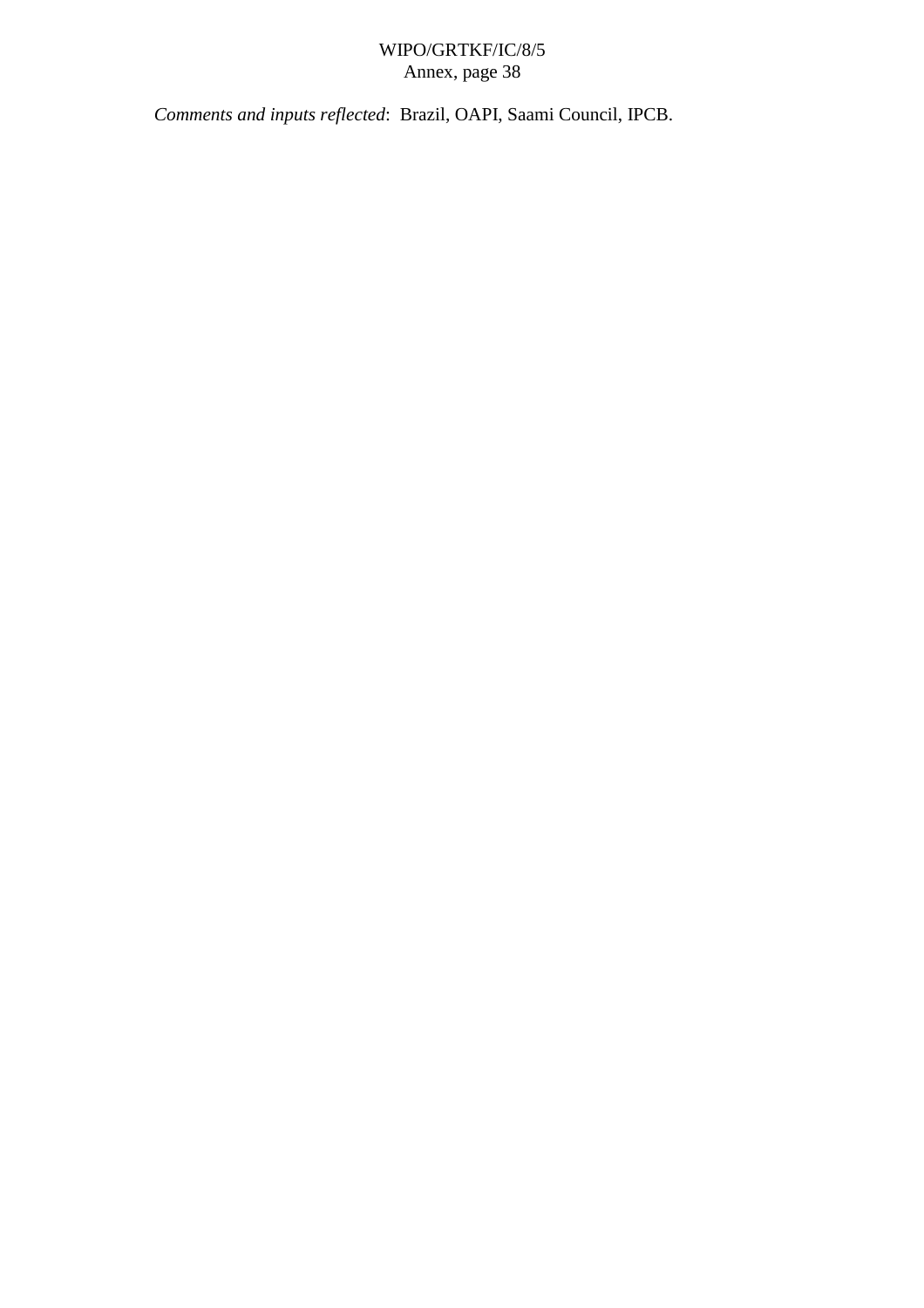*Comments and inputs reflected*: Brazil, OAPI, Saami Council, IPCB.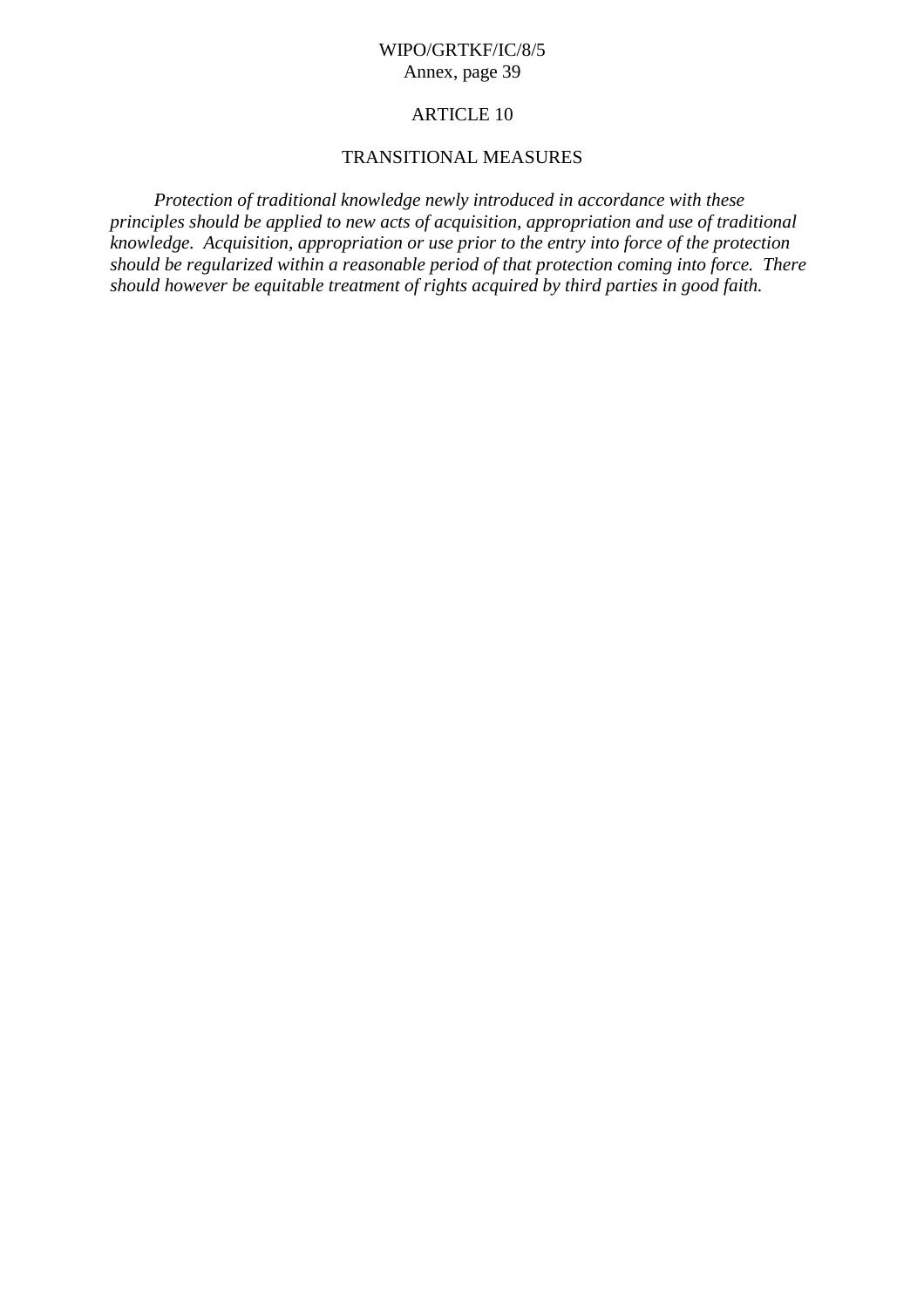#### ARTICLE 10

#### TRANSITIONAL MEASURES

*Protection of traditional knowledge newly introduced in accordance with these principles should be applied to new acts of acquisition, appropriation and use of traditional knowledge. Acquisition, appropriation or use prior to the entry into force of the protection should be regularized within a reasonable period of that protection coming into force. There should however be equitable treatment of rights acquired by third parties in good faith.*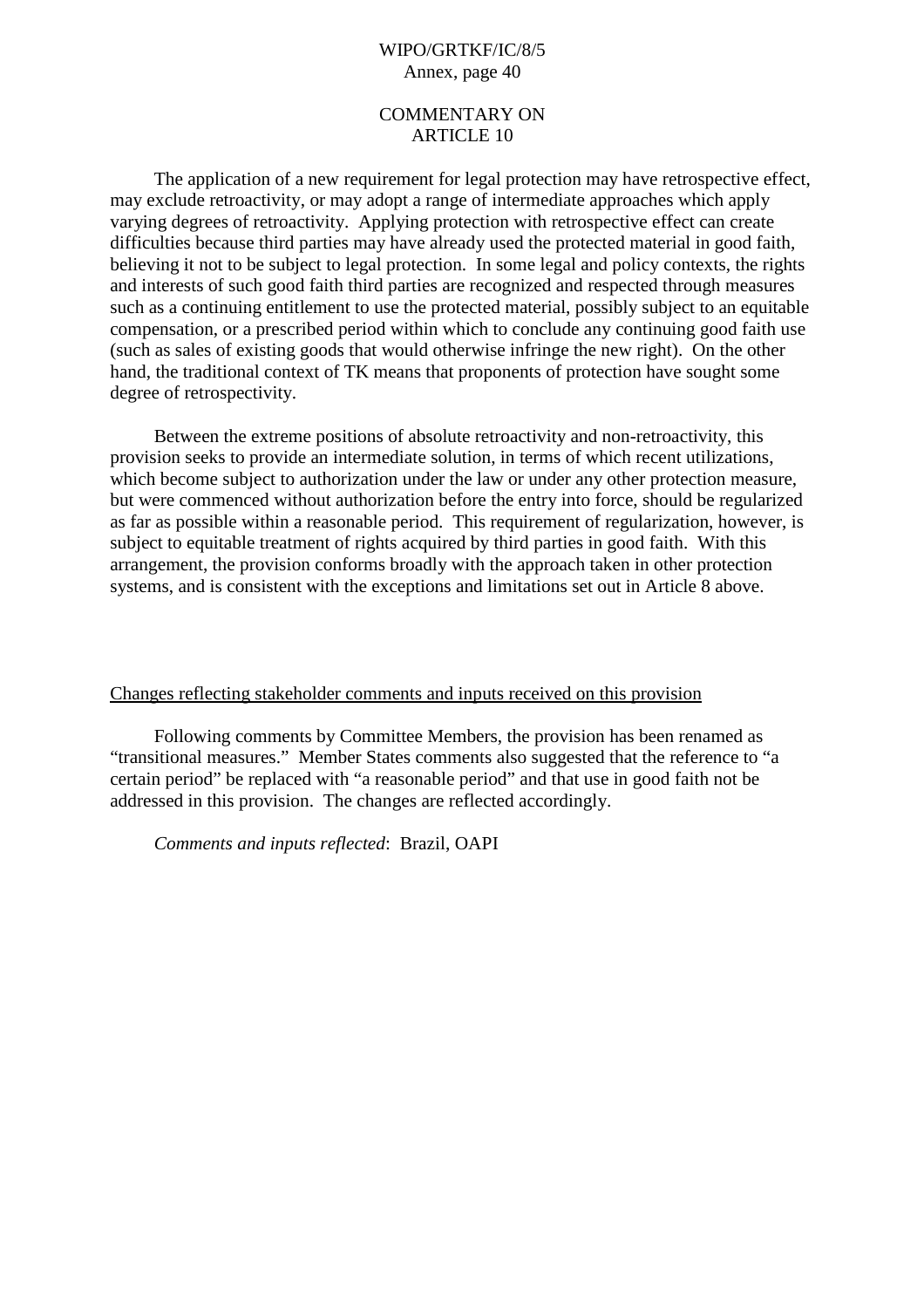#### COMMENTARY ON ARTICLE 10

The application of a new requirement for legal protection may have retrospective effect, may exclude retroactivity, or may adopt a range of intermediate approaches which apply varying degrees of retroactivity. Applying protection with retrospective effect can create difficulties because third parties may have already used the protected material in good faith, believing it not to be subject to legal protection. In some legal and policy contexts, the rights and interests of such good faith third parties are recognized and respected through measures such as a continuing entitlement to use the protected material, possibly subject to an equitable compensation, or a prescribed period within which to conclude any continuing good faith use (such as sales of existing goods that would otherwise infringe the new right). On the other hand, the traditional context of TK means that proponents of protection have sought some degree of retrospectivity.

Between the extreme positions of absolute retroactivity and non-retroactivity, this provision seeks to provide an intermediate solution, in terms of which recent utilizations, which become subject to authorization under the law or under any other protection measure, but were commenced without authorization before the entry into force, should be regularized as far as possible within a reasonable period. This requirement of regularization, however, is subject to equitable treatment of rights acquired by third parties in good faith. With this arrangement, the provision conforms broadly with the approach taken in other protection systems, and is consistent with the exceptions and limitations set out in Article 8 above.

#### Changes reflecting stakeholder comments and inputs received on this provision

Following comments by Committee Members, the provision has been renamed as "transitional measures." Member States comments also suggested that the reference to "a certain period" be replaced with "a reasonable period" and that use in good faith not be addressed in this provision. The changes are reflected accordingly.

*Comments and inputs reflected*: Brazil, OAPI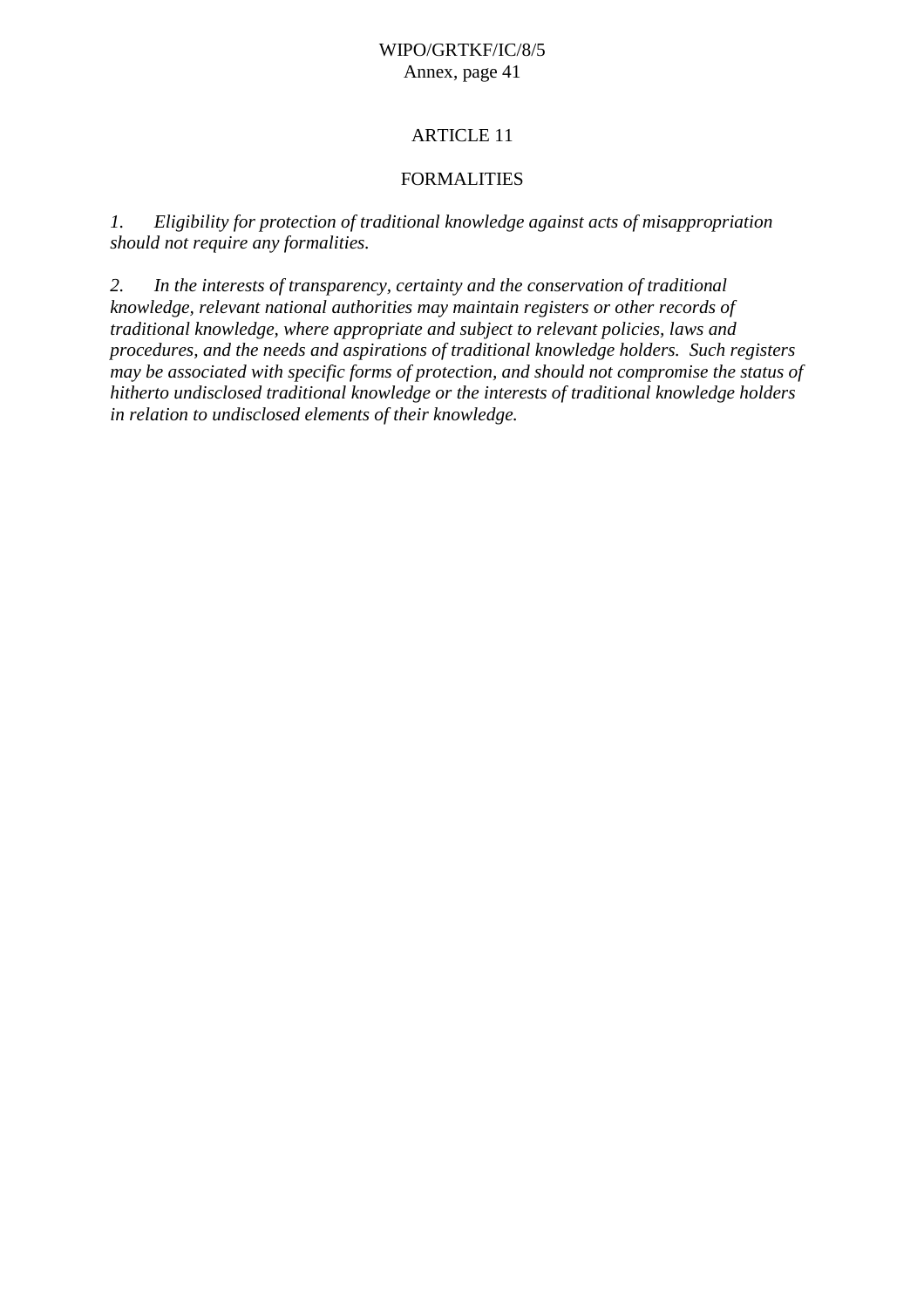# ARTICLE 11

### FORMALITIES

*1. Eligibility for protection of traditional knowledge against acts of misappropriation should not require any formalities.*

*2. In the interests of transparency, certainty and the conservation of traditional knowledge, relevant national authorities may maintain registers or other records of traditional knowledge, where appropriate and subject to relevant policies, laws and procedures, and the needs and aspirations of traditional knowledge holders. Such registers may be associated with specific forms of protection, and should not compromise the status of hitherto undisclosed traditional knowledge or the interests of traditional knowledge holders in relation to undisclosed elements of their knowledge.*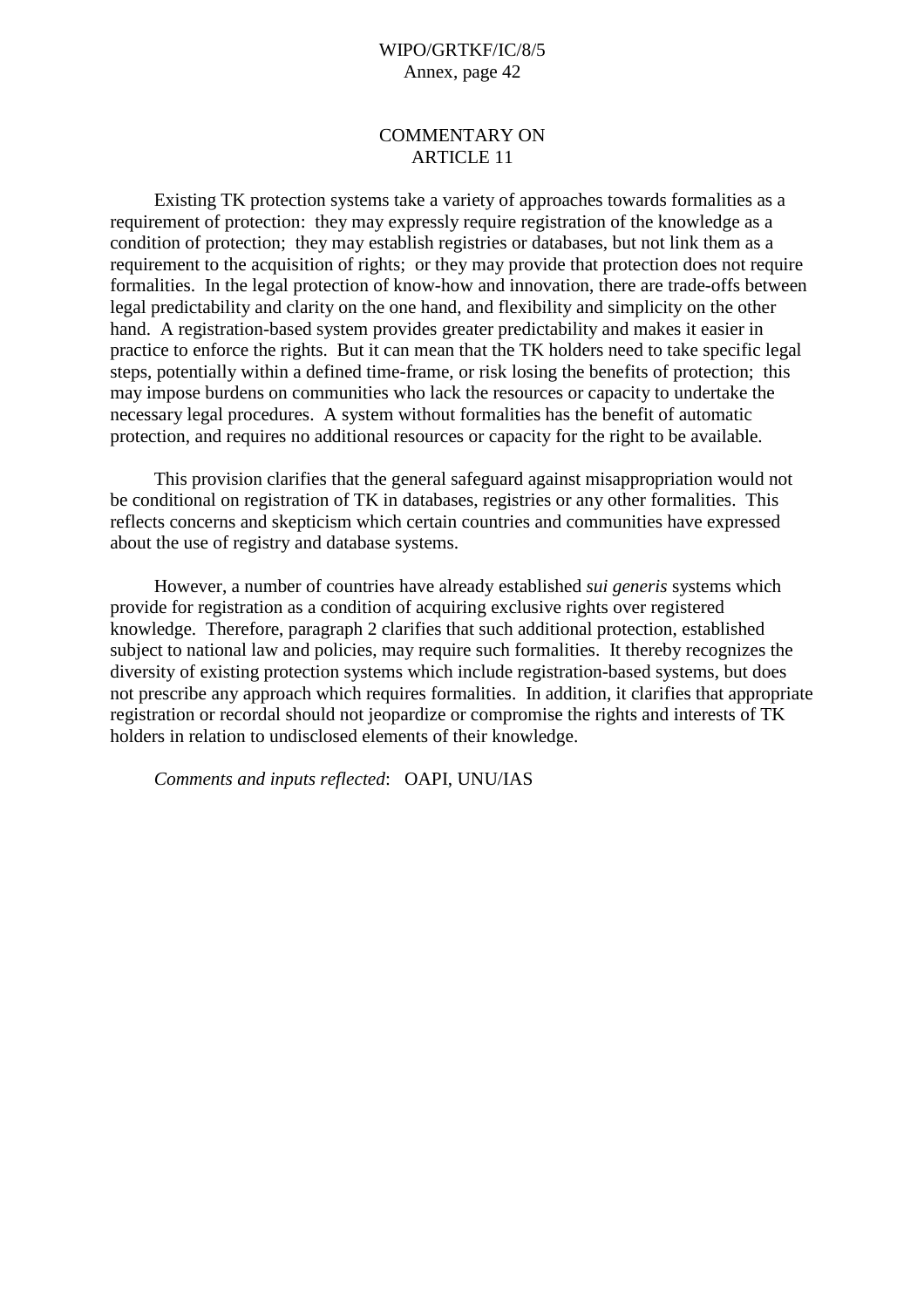#### COMMENTARY ON ARTICLE 11

Existing TK protection systems take a variety of approaches towards formalities as a requirement of protection: they may expressly require registration of the knowledge as a condition of protection; they may establish registries or databases, but not link them as a requirement to the acquisition of rights; or they may provide that protection does not require formalities. In the legal protection of know-how and innovation, there are trade-offs between legal predictability and clarity on the one hand, and flexibility and simplicity on the other hand. A registration-based system provides greater predictability and makes it easier in practice to enforce the rights. But it can mean that the TK holders need to take specific legal steps, potentially within a defined time-frame, or risk losing the benefits of protection; this may impose burdens on communities who lack the resources or capacity to undertake the necessary legal procedures. A system without formalities has the benefit of automatic protection, and requires no additional resources or capacity for the right to be available.

This provision clarifies that the general safeguard against misappropriation would not be conditional on registration of TK in databases, registries or any other formalities. This reflects concerns and skepticism which certain countries and communities have expressed about the use of registry and database systems.

However, a number of countries have already established *sui generis* systems which provide for registration as a condition of acquiring exclusive rights over registered knowledge. Therefore, paragraph 2 clarifies that such additional protection, established subject to national law and policies, may require such formalities. It thereby recognizes the diversity of existing protection systems which include registration-based systems, but does not prescribe any approach which requires formalities. In addition, it clarifies that appropriate registration or recordal should not jeopardize or compromise the rights and interests of TK holders in relation to undisclosed elements of their knowledge.

*Comments and inputs reflected*: OAPI, UNU/IAS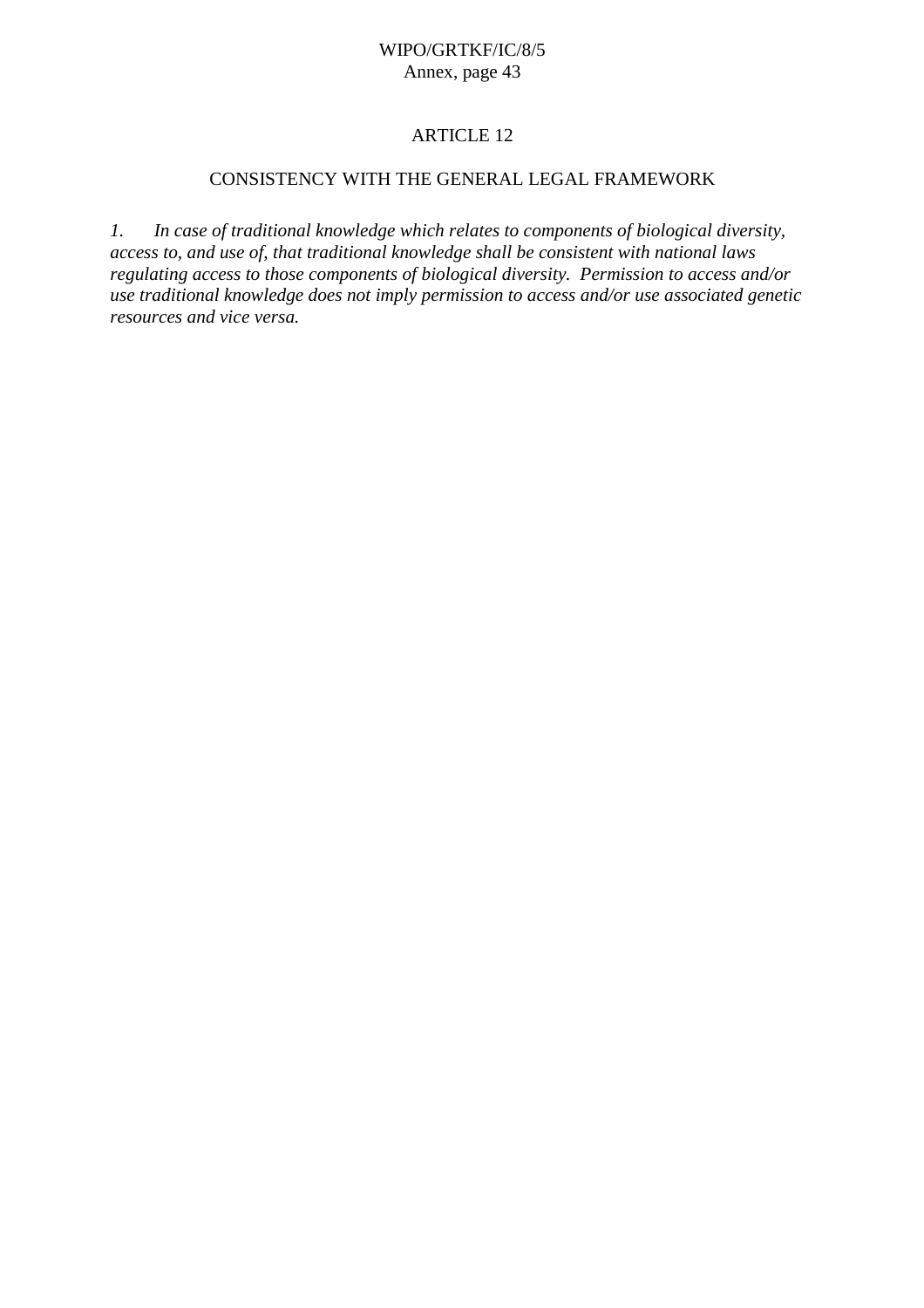# ARTICLE 12

### CONSISTENCY WITH THE GENERAL LEGAL FRAMEWORK

*1. In case of traditional knowledge which relates to components of biological diversity, access to, and use of, that traditional knowledge shall be consistent with national laws regulating access to those components of biological diversity. Permission to access and/or use traditional knowledge does not imply permission to access and/or use associated genetic resources and vice versa.*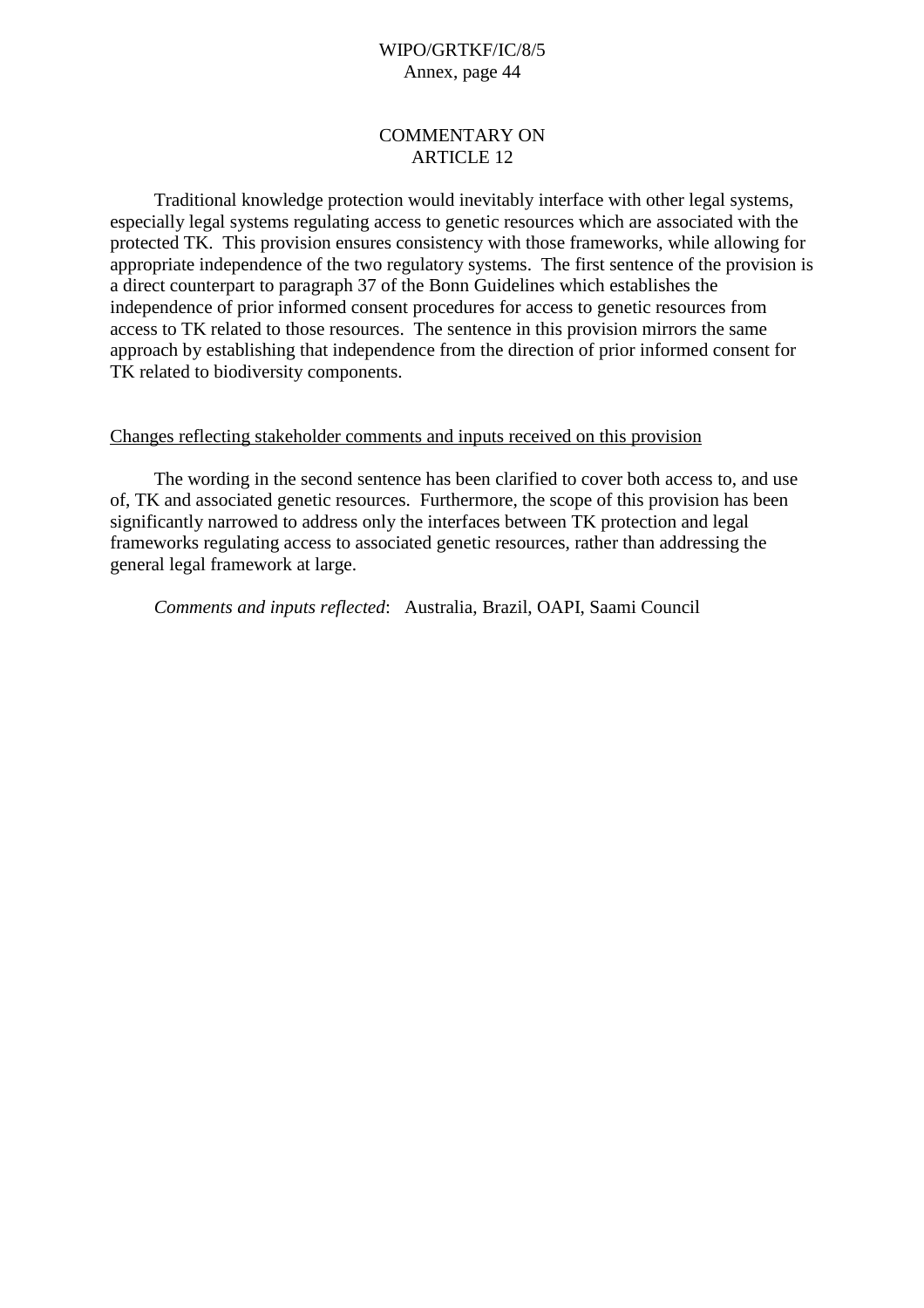#### COMMENTARY ON ARTICLE 12

Traditional knowledge protection would inevitably interface with other legal systems, especially legal systems regulating access to genetic resources which are associated with the protected TK. This provision ensures consistency with those frameworks, while allowing for appropriate independence of the two regulatory systems. The first sentence of the provision is a direct counterpart to paragraph 37 of the Bonn Guidelines which establishes the independence of prior informed consent procedures for access to genetic resources from access to TK related to those resources. The sentence in this provision mirrors the same approach by establishing that independence from the direction of prior informed consent for TK related to biodiversity components.

#### Changes reflecting stakeholder comments and inputs received on this provision

The wording in the second sentence has been clarified to cover both access to, and use of, TK and associated genetic resources. Furthermore, the scope of this provision has been significantly narrowed to address only the interfaces between TK protection and legal frameworks regulating access to associated genetic resources, rather than addressing the general legal framework at large.

*Comments and inputs reflected*: Australia, Brazil, OAPI, Saami Council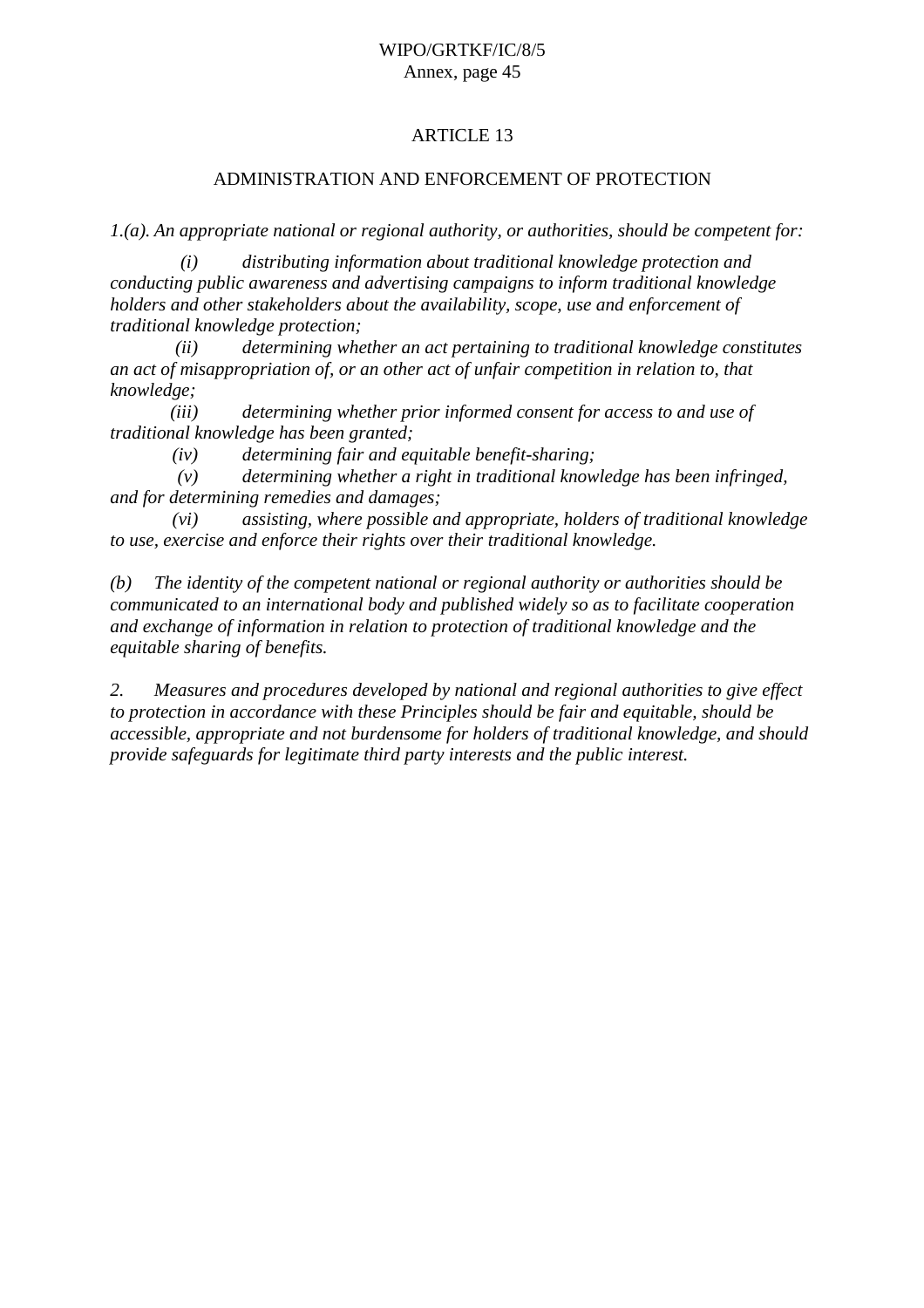### ARTICLE 13

### ADMINISTRATION AND ENFORCEMENT OF PROTECTION

*1.(a). An appropriate national or regional authority, or authorities, should be competent for:*

*(i) distributing information about traditional knowledge protection and conducting public awareness and advertising campaigns to inform traditional knowledge holders and other stakeholders about the availability, scope, use and enforcement of traditional knowledge protection;*

*(ii) determining whether an act pertaining to traditional knowledge constitutes an act of misappropriation of, or an other act of unfair competition in relation to, that knowledge;* 

*(iii) determining whether prior informed consent for access to and use of traditional knowledge has been granted;*

*(iv) determining fair and equitable benefit-sharing;*

*(v) determining whether a right in traditional knowledge has been infringed, and for determining remedies and damages;* 

*(vi) assisting, where possible and appropriate, holders of traditional knowledge to use, exercise and enforce their rights over their traditional knowledge.*

*(b) The identity of the competent national or regional authority or authorities should be communicated to an international body and published widely so as to facilitate cooperation and exchange of information in relation to protection of traditional knowledge and the equitable sharing of benefits.*

*2. Measures and procedures developed by national and regional authorities to give effect to protection in accordance with these Principles should be fair and equitable, should be accessible, appropriate and not burdensome for holders of traditional knowledge, and should provide safeguards for legitimate third party interests and the public interest.*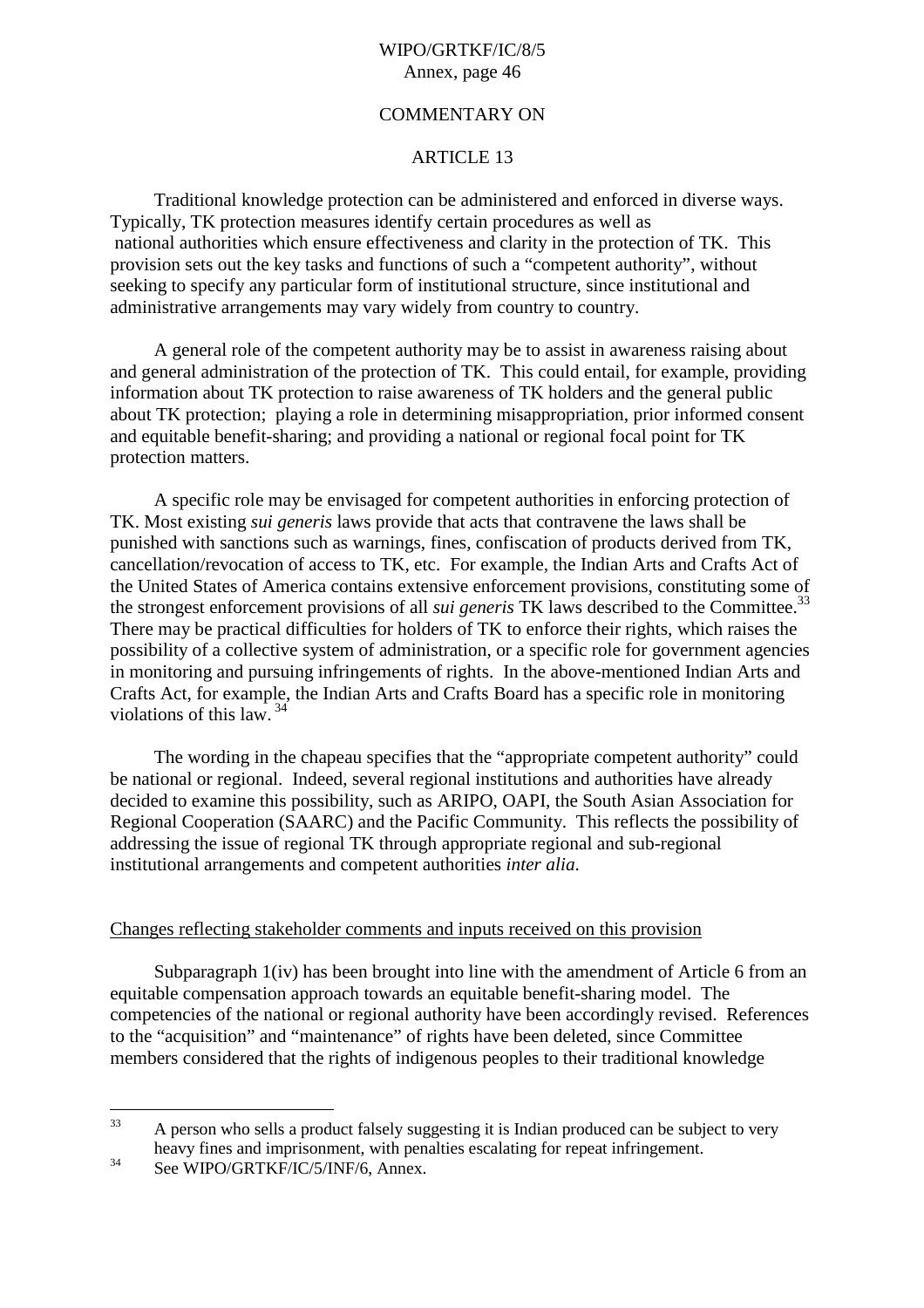#### COMMENTARY ON

#### ARTICLE 13

Traditional knowledge protection can be administered and enforced in diverse ways. Typically, TK protection measures identify certain procedures as well as national authorities which ensure effectiveness and clarity in the protection of TK. This provision sets out the key tasks and functions of such a "competent authority", without seeking to specify any particular form of institutional structure, since institutional and administrative arrangements may vary widely from country to country.

A general role of the competent authority may be to assist in awareness raising about and general administration of the protection of TK. This could entail, for example, providing information about TK protection to raise awareness of TK holders and the general public about TK protection; playing a role in determining misappropriation, prior informed consent and equitable benefit-sharing; and providing a national or regional focal point for TK protection matters.

A specific role may be envisaged for competent authorities in enforcing protection of TK. Most existing *sui generis* laws provide that acts that contravene the laws shall be punished with sanctions such as warnings, fines, confiscation of products derived from TK, cancellation/revocation of access to TK, etc. For example, the Indian Arts and Crafts Act of the United States of America contains extensive enforcement provisions, constituting some of the strongest enforcement provisions of all *sui generis* TK laws described to the Committee.33 There may be practical difficulties for holders of TK to enforce their rights, which raises the possibility of a collective system of administration, or a specific role for government agencies in monitoring and pursuing infringements of rights. In the above-mentioned Indian Arts and Crafts Act, for example, the Indian Arts and Crafts Board has a specific role in monitoring violations of this law. <sup>34</sup>

The wording in the chapeau specifies that the "appropriate competent authority" could be national or regional. Indeed, several regional institutions and authorities have already decided to examine this possibility, such as ARIPO, OAPI, the South Asian Association for Regional Cooperation (SAARC) and the Pacific Community. This reflects the possibility of addressing the issue of regional TK through appropriate regional and sub-regional institutional arrangements and competent authorities *inter alia*.

#### Changes reflecting stakeholder comments and inputs received on this provision

Subparagraph 1(iv) has been brought into line with the amendment of Article 6 from an equitable compensation approach towards an equitable benefit-sharing model. The competencies of the national or regional authority have been accordingly revised. References to the "acquisition" and "maintenance" of rights have been deleted, since Committee members considered that the rights of indigenous peoples to their traditional knowledge

<sup>&</sup>lt;sup>33</sup> A person who sells a product falsely suggesting it is Indian produced can be subject to very heavy fines and imprisonment, with penalties escalating for repeat infringement.

<sup>&</sup>lt;sup>34</sup> See WIPO/GRTKF/IC/5/INF/6, Annex.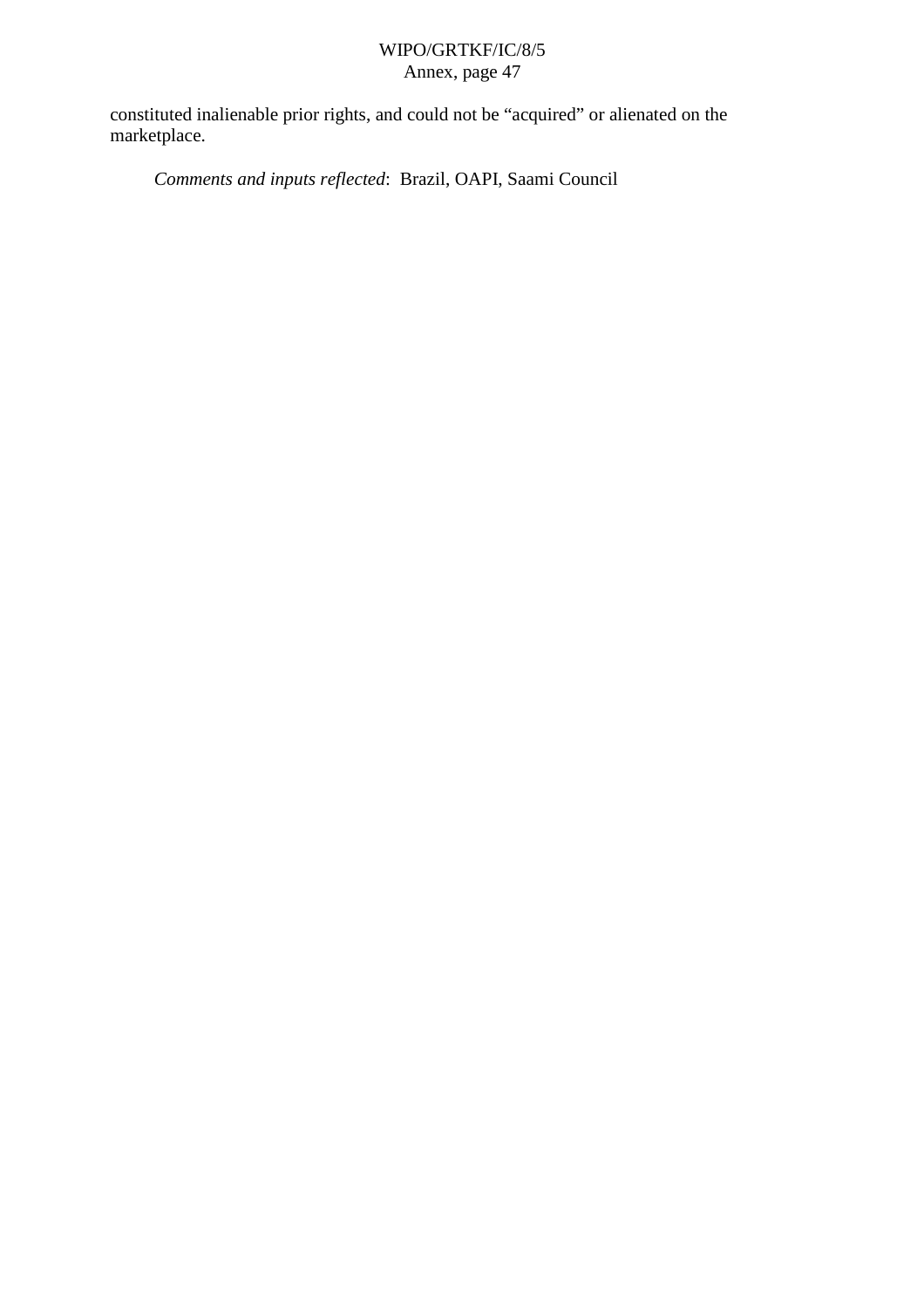constituted inalienable prior rights, and could not be "acquired" or alienated on the marketplace.

*Comments and inputs reflected*: Brazil, OAPI, Saami Council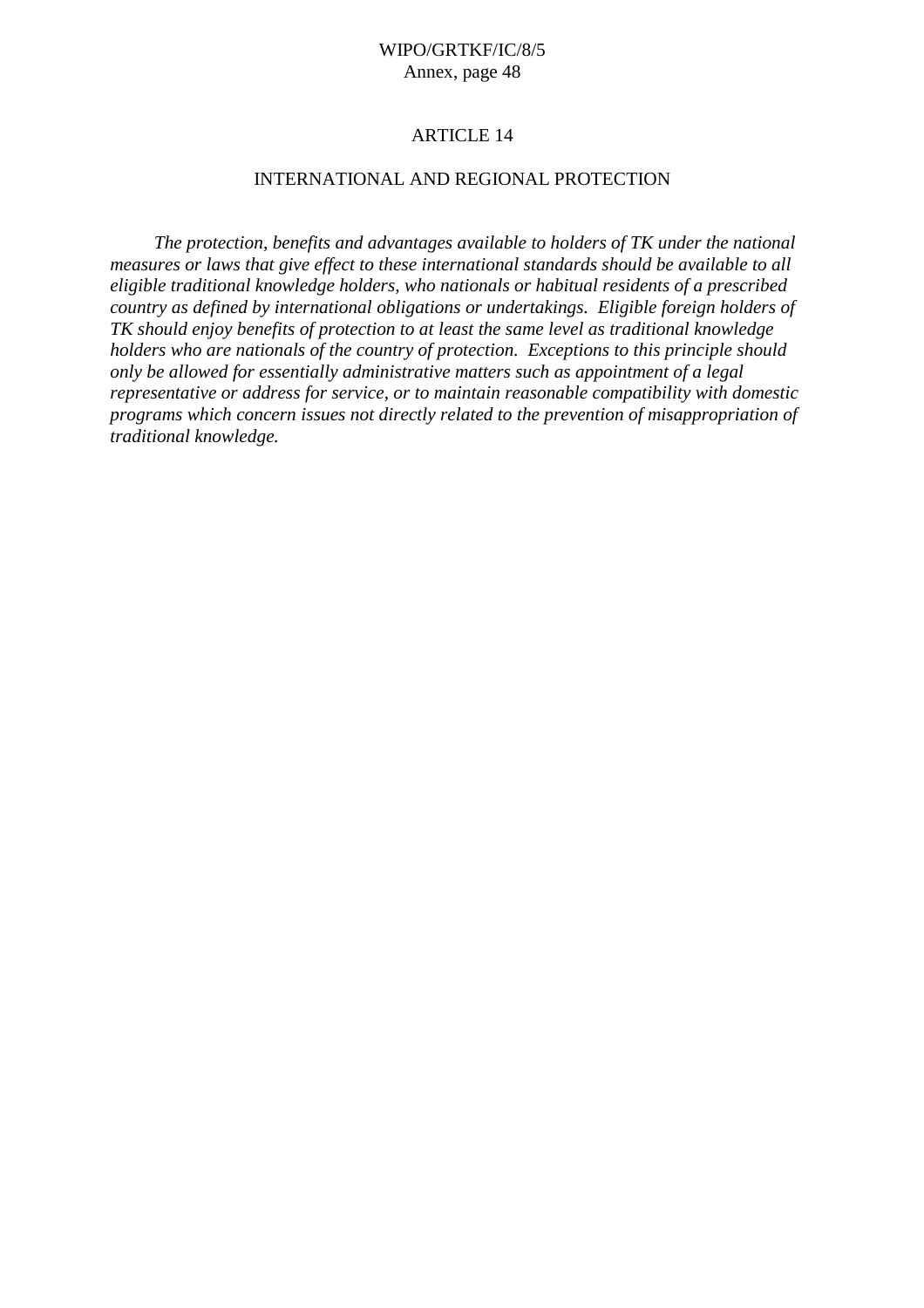#### ARTICLE 14

#### INTERNATIONAL AND REGIONAL PROTECTION

*The protection, benefits and advantages available to holders of TK under the national measures or laws that give effect to these international standards should be available to all eligible traditional knowledge holders, who nationals or habitual residents of a prescribed country as defined by international obligations or undertakings. Eligible foreign holders of TK should enjoy benefits of protection to at least the same level as traditional knowledge holders who are nationals of the country of protection. Exceptions to this principle should only be allowed for essentially administrative matters such as appointment of a legal representative or address for service, or to maintain reasonable compatibility with domestic programs which concern issues not directly related to the prevention of misappropriation of traditional knowledge.*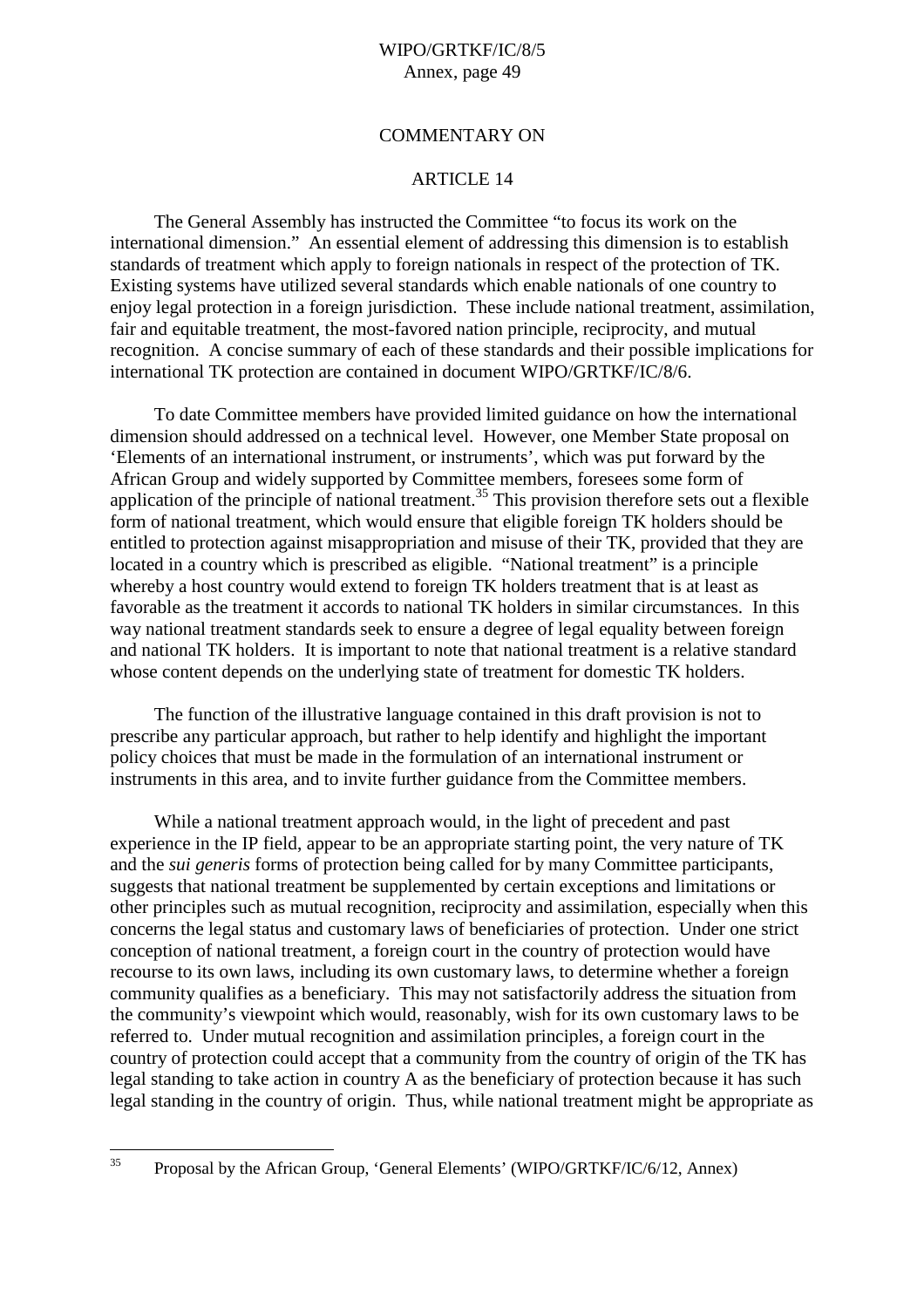#### COMMENTARY ON

#### ARTICLE 14

The General Assembly has instructed the Committee "to focus its work on the international dimension." An essential element of addressing this dimension is to establish standards of treatment which apply to foreign nationals in respect of the protection of TK. Existing systems have utilized several standards which enable nationals of one country to enjoy legal protection in a foreign jurisdiction. These include national treatment, assimilation, fair and equitable treatment, the most-favored nation principle, reciprocity, and mutual recognition. A concise summary of each of these standards and their possible implications for international TK protection are contained in document WIPO/GRTKF/IC/8/6.

To date Committee members have provided limited guidance on how the international dimension should addressed on a technical level. However, one Member State proposal on 'Elements of an international instrument, or instruments', which was put forward by the African Group and widely supported by Committee members, foresees some form of application of the principle of national treatment.<sup>35</sup> This provision therefore sets out a flexible form of national treatment, which would ensure that eligible foreign TK holders should be entitled to protection against misappropriation and misuse of their TK, provided that they are located in a country which is prescribed as eligible. "National treatment" is a principle whereby a host country would extend to foreign TK holders treatment that is at least as favorable as the treatment it accords to national TK holders in similar circumstances. In this way national treatment standards seek to ensure a degree of legal equality between foreign and national TK holders. It is important to note that national treatment is a relative standard whose content depends on the underlying state of treatment for domestic TK holders.

The function of the illustrative language contained in this draft provision is not to prescribe any particular approach, but rather to help identify and highlight the important policy choices that must be made in the formulation of an international instrument or instruments in this area, and to invite further guidance from the Committee members.

While a national treatment approach would, in the light of precedent and past experience in the IP field, appear to be an appropriate starting point, the very nature of TK and the *sui generis* forms of protection being called for by many Committee participants, suggests that national treatment be supplemented by certain exceptions and limitations or other principles such as mutual recognition, reciprocity and assimilation, especially when this concerns the legal status and customary laws of beneficiaries of protection. Under one strict conception of national treatment, a foreign court in the country of protection would have recourse to its own laws, including its own customary laws, to determine whether a foreign community qualifies as a beneficiary. This may not satisfactorily address the situation from the community's viewpoint which would, reasonably, wish for its own customary laws to be referred to. Under mutual recognition and assimilation principles, a foreign court in the country of protection could accept that a community from the country of origin of the TK has legal standing to take action in country A as the beneficiary of protection because it has such legal standing in the country of origin. Thus, while national treatment might be appropriate as

<sup>&</sup>lt;sup>35</sup> Proposal by the African Group, 'General Elements' (WIPO/GRTKF/IC/6/12, Annex)